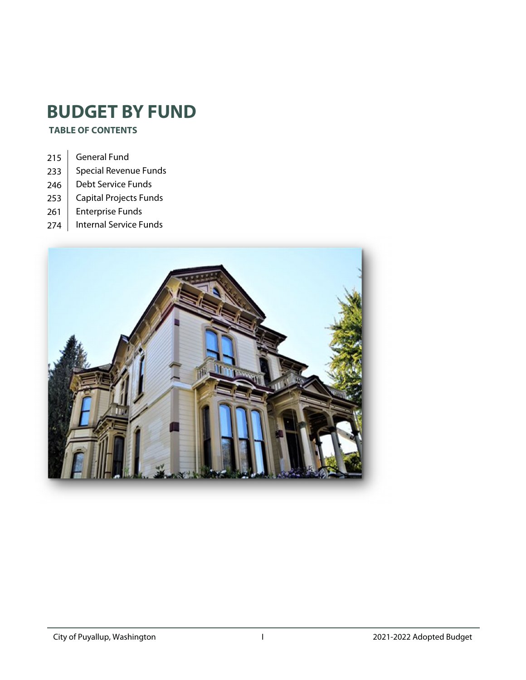# **BUDGET BY FUND**

 **TABLE OF CONTENTS** 

- 215 General Fund
- 233 Special Revenue Funds
- 246 | Debt Service Funds
- 253 | Capital Projects Funds
- 261 Enterprise Funds
- 274 | Internal Service Funds

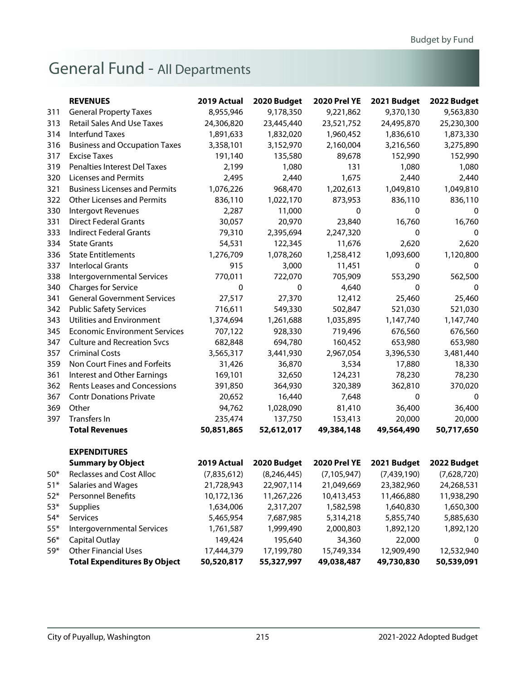# <span id="page-1-0"></span>General Fund - All Departments

|       | <b>REVENUES</b>                      | 2019 Actual | 2020 Budget | <b>2020 Prel YE</b> | 2021 Budget | 2022 Budget |
|-------|--------------------------------------|-------------|-------------|---------------------|-------------|-------------|
| 311   | <b>General Property Taxes</b>        | 8,955,946   | 9,178,350   | 9,221,862           | 9,370,130   | 9,563,830   |
| 313   | <b>Retail Sales And Use Taxes</b>    | 24,306,820  | 23,445,440  | 23,521,752          | 24,495,870  | 25,230,300  |
| 314   | <b>Interfund Taxes</b>               | 1,891,633   | 1,832,020   | 1,960,452           | 1,836,610   | 1,873,330   |
| 316   | <b>Business and Occupation Taxes</b> | 3,358,101   | 3,152,970   | 2,160,004           | 3,216,560   | 3,275,890   |
| 317   | <b>Excise Taxes</b>                  | 191,140     | 135,580     | 89,678              | 152,990     | 152,990     |
| 319   | Penalties Interest Del Taxes         | 2,199       | 1,080       | 131                 | 1,080       | 1,080       |
| 320   | <b>Licenses and Permits</b>          | 2,495       | 2,440       | 1,675               | 2,440       | 2,440       |
| 321   | <b>Business Licenses and Permits</b> | 1,076,226   | 968,470     | 1,202,613           | 1,049,810   | 1,049,810   |
| 322   | <b>Other Licenses and Permits</b>    | 836,110     | 1,022,170   | 873,953             | 836,110     | 836,110     |
| 330   | Intergovt Revenues                   | 2,287       | 11,000      | 0                   | 0           | 0           |
| 331   | <b>Direct Federal Grants</b>         | 30,057      | 20,970      | 23,840              | 16,760      | 16,760      |
| 333   | <b>Indirect Federal Grants</b>       | 79,310      | 2,395,694   | 2,247,320           | 0           | $\Omega$    |
| 334   | <b>State Grants</b>                  | 54,531      | 122,345     | 11,676              | 2,620       | 2,620       |
| 336   | <b>State Entitlements</b>            | 1,276,709   | 1,078,260   | 1,258,412           | 1,093,600   | 1,120,800   |
| 337   | <b>Interlocal Grants</b>             | 915         | 3,000       | 11,451              | 0           | 0           |
| 338   | Intergovernmental Services           | 770,011     | 722,070     | 705,909             | 553,290     | 562,500     |
| 340   | <b>Charges for Service</b>           | 0           | 0           | 4,640               | 0           | $\mathbf 0$ |
| 341   | <b>General Government Services</b>   | 27,517      | 27,370      | 12,412              | 25,460      | 25,460      |
| 342   | <b>Public Safety Services</b>        | 716,611     | 549,330     | 502,847             | 521,030     | 521,030     |
| 343   | <b>Utilities and Environment</b>     | 1,374,694   | 1,261,688   | 1,035,895           | 1,147,740   | 1,147,740   |
| 345   | <b>Economic Environment Services</b> | 707,122     | 928,330     | 719,496             | 676,560     | 676,560     |
| 347   | <b>Culture and Recreation Svcs</b>   | 682,848     | 694,780     | 160,452             | 653,980     | 653,980     |
| 357   | <b>Criminal Costs</b>                | 3,565,317   | 3,441,930   | 2,967,054           | 3,396,530   | 3,481,440   |
| 359   | Non Court Fines and Forfeits         | 31,426      | 36,870      | 3,534               | 17,880      | 18,330      |
| 361   | Interest and Other Earnings          | 169,101     | 32,650      | 124,231             | 78,230      | 78,230      |
| 362   | <b>Rents Leases and Concessions</b>  | 391,850     | 364,930     | 320,389             | 362,810     | 370,020     |
| 367   | <b>Contr Donations Private</b>       | 20,652      | 16,440      | 7,648               | 0           | 0           |
| 369   | Other                                | 94,762      | 1,028,090   | 81,410              | 36,400      | 36,400      |
| 397   | <b>Transfers In</b>                  | 235,474     | 137,750     | 153,413             | 20,000      | 20,000      |
|       | <b>Total Revenues</b>                | 50,851,865  | 52,612,017  | 49,384,148          | 49,564,490  | 50,717,650  |
|       | <b>EXPENDITURES</b>                  |             |             |                     |             |             |
|       | <b>Summary by Object</b>             | 2019 Actual | 2020 Budget | <b>2020 Prel YE</b> | 2021 Budget | 2022 Budget |
| $50*$ | <b>Reclasses and Cost Alloc</b>      | (7,835,612) | (8,246,445) | (7, 105, 947)       | (7,439,190) | (7,628,720) |
| $51*$ | Salaries and Wages                   | 21,728,943  | 22,907,114  | 21,049,669          | 23,382,960  | 24,268,531  |
| $52*$ | Personnel Benefits                   | 10,172,136  | 11,267,226  | 10,413,453          | 11,466,880  | 11,938,290  |
| $53*$ | <b>Supplies</b>                      | 1,634,006   | 2,317,207   | 1,582,598           | 1,640,830   | 1,650,300   |
| $54*$ | Services                             | 5,465,954   | 7,687,985   | 5,314,218           | 5,855,740   | 5,885,630   |
| $55*$ | <b>Intergovernmental Services</b>    | 1,761,587   | 1,999,490   | 2,000,803           | 1,892,120   | 1,892,120   |
| $56*$ | <b>Capital Outlay</b>                | 149,424     | 195,640     | 34,360              | 22,000      | 0           |
| 59*   | <b>Other Financial Uses</b>          | 17,444,379  | 17,199,780  | 15,749,334          | 12,909,490  | 12,532,940  |
|       | <b>Total Expenditures By Object</b>  | 50,520,817  | 55,327,997  | 49,038,487          | 49,730,830  | 50,539,091  |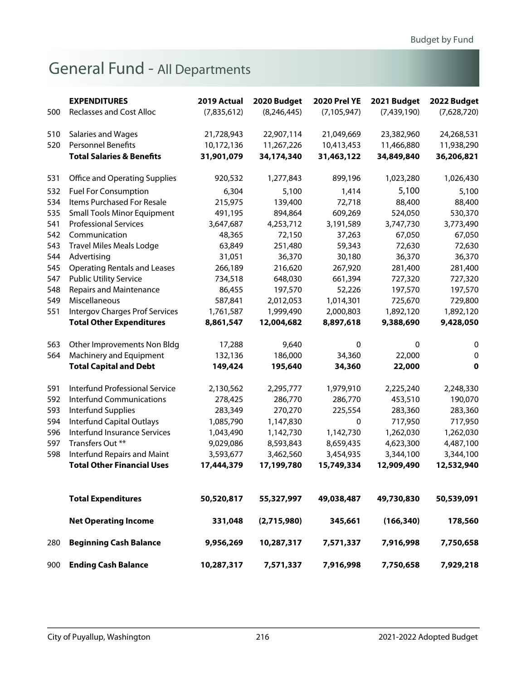# General Fund - All Departments

|     | <b>EXPENDITURES</b>                   | 2019 Actual | 2020 Budget   | <b>2020 Prel YE</b> | 2021 Budget | 2022 Budget  |
|-----|---------------------------------------|-------------|---------------|---------------------|-------------|--------------|
| 500 | <b>Reclasses and Cost Alloc</b>       | (7,835,612) | (8, 246, 445) | (7, 105, 947)       | (7,439,190) | (7,628,720)  |
|     |                                       |             |               |                     |             |              |
| 510 | Salaries and Wages                    | 21,728,943  | 22,907,114    | 21,049,669          | 23,382,960  | 24,268,531   |
| 520 | <b>Personnel Benefits</b>             | 10,172,136  | 11,267,226    | 10,413,453          | 11,466,880  | 11,938,290   |
|     | <b>Total Salaries &amp; Benefits</b>  | 31,901,079  | 34,174,340    | 31,463,122          | 34,849,840  | 36,206,821   |
|     |                                       |             |               |                     |             |              |
| 531 | <b>Office and Operating Supplies</b>  | 920,532     | 1,277,843     | 899,196             | 1,023,280   | 1,026,430    |
| 532 | <b>Fuel For Consumption</b>           | 6,304       | 5,100         | 1,414               | 5,100       | 5,100        |
| 534 | Items Purchased For Resale            | 215,975     | 139,400       | 72,718              | 88,400      | 88,400       |
| 535 | <b>Small Tools Minor Equipment</b>    | 491,195     | 894,864       | 609,269             | 524,050     | 530,370      |
| 541 | <b>Professional Services</b>          | 3,647,687   | 4,253,712     | 3,191,589           | 3,747,730   | 3,773,490    |
| 542 | Communication                         | 48,365      | 72,150        | 37,263              | 67,050      | 67,050       |
| 543 | <b>Travel Miles Meals Lodge</b>       | 63,849      | 251,480       | 59,343              | 72,630      | 72,630       |
| 544 | Advertising                           | 31,051      | 36,370        | 30,180              | 36,370      | 36,370       |
| 545 | <b>Operating Rentals and Leases</b>   | 266,189     | 216,620       | 267,920             | 281,400     | 281,400      |
| 547 | <b>Public Utility Service</b>         | 734,518     | 648,030       | 661,394             | 727,320     | 727,320      |
| 548 | <b>Repairs and Maintenance</b>        | 86,455      | 197,570       | 52,226              | 197,570     | 197,570      |
| 549 | Miscellaneous                         | 587,841     | 2,012,053     | 1,014,301           | 725,670     | 729,800      |
| 551 | <b>Intergov Charges Prof Services</b> | 1,761,587   | 1,999,490     | 2,000,803           | 1,892,120   | 1,892,120    |
|     | <b>Total Other Expenditures</b>       | 8,861,547   | 12,004,682    | 8,897,618           | 9,388,690   | 9,428,050    |
| 563 | Other Improvements Non Bldg           | 17,288      | 9,640         | 0                   | 0           | $\mathbf 0$  |
| 564 | Machinery and Equipment               | 132,136     | 186,000       | 34,360              | 22,000      | $\mathbf{0}$ |
|     | <b>Total Capital and Debt</b>         | 149,424     | 195,640       | 34,360              | 22,000      | 0            |
|     |                                       |             |               |                     |             |              |
| 591 | <b>Interfund Professional Service</b> | 2,130,562   | 2,295,777     | 1,979,910           | 2,225,240   | 2,248,330    |
| 592 | <b>Interfund Communications</b>       | 278,425     | 286,770       | 286,770             | 453,510     | 190,070      |
| 593 | Interfund Supplies                    | 283,349     | 270,270       | 225,554             | 283,360     | 283,360      |
| 594 | <b>Interfund Capital Outlays</b>      | 1,085,790   | 1,147,830     | 0                   | 717,950     | 717,950      |
| 596 | Interfund Insurance Services          | 1,043,490   | 1,142,730     | 1,142,730           | 1,262,030   | 1,262,030    |
| 597 | Transfers Out **                      | 9,029,086   | 8,593,843     | 8,659,435           | 4,623,300   | 4,487,100    |
| 598 | Interfund Repairs and Maint           | 3,593,677   | 3,462,560     | 3,454,935           | 3,344,100   | 3,344,100    |
|     | <b>Total Other Financial Uses</b>     | 17,444,379  | 17,199,780    | 15,749,334          | 12,909,490  | 12,532,940   |
|     |                                       |             |               |                     |             |              |
|     | <b>Total Expenditures</b>             | 50,520,817  | 55,327,997    | 49,038,487          | 49,730,830  | 50,539,091   |
|     | <b>Net Operating Income</b>           | 331,048     | (2,715,980)   | 345,661             | (166, 340)  | 178,560      |
| 280 | <b>Beginning Cash Balance</b>         | 9,956,269   | 10,287,317    | 7,571,337           | 7,916,998   | 7,750,658    |
| 900 | <b>Ending Cash Balance</b>            | 10,287,317  | 7,571,337     | 7,916,998           | 7,750,658   | 7,929,218    |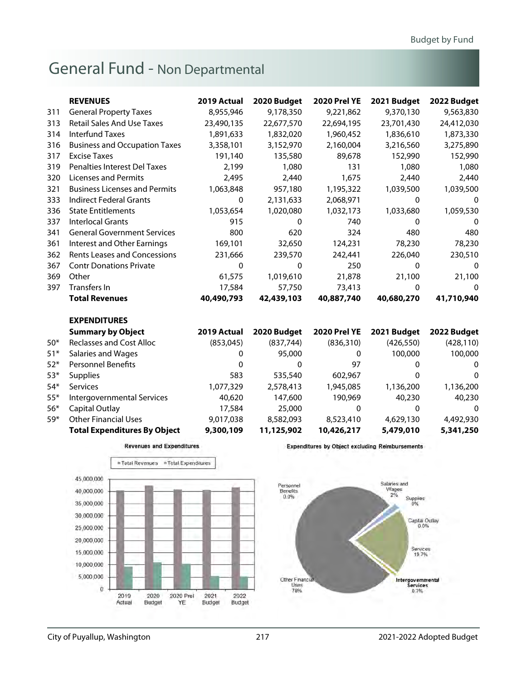|       | <b>REVENUES</b>                      | 2019 Actual | 2020 Budget | <b>2020 Prel YE</b> | 2021 Budget  | 2022 Budget |
|-------|--------------------------------------|-------------|-------------|---------------------|--------------|-------------|
| 311   | <b>General Property Taxes</b>        | 8,955,946   | 9,178,350   | 9,221,862           | 9,370,130    | 9,563,830   |
| 313   | <b>Retail Sales And Use Taxes</b>    | 23,490,135  | 22,677,570  | 22,694,195          | 23,701,430   | 24,412,030  |
| 314   | <b>Interfund Taxes</b>               | 1,891,633   | 1,832,020   | 1,960,452           | 1,836,610    | 1,873,330   |
| 316   | <b>Business and Occupation Taxes</b> | 3,358,101   | 3,152,970   | 2,160,004           | 3,216,560    | 3,275,890   |
| 317   | <b>Excise Taxes</b>                  | 191,140     | 135,580     | 89,678              | 152,990      | 152,990     |
| 319   | <b>Penalties Interest Del Taxes</b>  | 2,199       | 1,080       | 131                 | 1,080        | 1,080       |
| 320   | <b>Licenses and Permits</b>          | 2,495       | 2,440       | 1,675               | 2,440        | 2,440       |
| 321   | <b>Business Licenses and Permits</b> | 1,063,848   | 957,180     | 1,195,322           | 1,039,500    | 1,039,500   |
| 333   | <b>Indirect Federal Grants</b>       | $\Omega$    | 2,131,633   | 2,068,971           | $\Omega$     | 0           |
| 336   | <b>State Entitlements</b>            | 1,053,654   | 1,020,080   | 1,032,173           | 1,033,680    | 1,059,530   |
| 337   | <b>Interlocal Grants</b>             | 915         | 0           | 740                 | $\mathbf{0}$ | 0           |
| 341   | <b>General Government Services</b>   | 800         | 620         | 324                 | 480          | 480         |
| 361   | Interest and Other Earnings          | 169,101     | 32,650      | 124,231             | 78,230       | 78,230      |
| 362   | <b>Rents Leases and Concessions</b>  | 231,666     | 239,570     | 242,441             | 226,040      | 230,510     |
| 367   | <b>Contr Donations Private</b>       | $\Omega$    | 0           | 250                 | 0            | $\Omega$    |
| 369   | Other                                | 61,575      | 1,019,610   | 21,878              | 21,100       | 21,100      |
| 397   | Transfers In                         | 17,584      | 57,750      | 73,413              | $\mathbf{0}$ | 0           |
|       | <b>Total Revenues</b>                | 40,490,793  | 42,439,103  | 40,887,740          | 40,680,270   | 41,710,940  |
|       | <b>EXPENDITURES</b>                  |             |             |                     |              |             |
|       | <b>Summary by Object</b>             | 2019 Actual | 2020 Budget | <b>2020 Prel YE</b> | 2021 Budget  | 2022 Budget |
| $50*$ | <b>Reclasses and Cost Alloc</b>      | (853,045)   | (837, 744)  | (836, 310)          | (426, 550)   | (428, 110)  |
| $51*$ | Salaries and Wages                   | 0           | 95,000      | 0                   | 100,000      | 100,000     |
| $52*$ | <b>Personnel Benefits</b>            | 0           | 0           | 97                  | 0            | 0           |
| $53*$ | <b>Supplies</b>                      | 583         | 535,540     | 602,967             | 0            | 0           |
| $54*$ | Services                             | 1,077,329   | 2,578,413   | 1,945,085           | 1,136,200    | 1,136,200   |
| $55*$ | Intergovernmental Services           | 40,620      | 147,600     | 190,969             | 40,230       | 40,230      |
| $56*$ | <b>Capital Outlay</b>                | 17,584      | 25,000      | $\Omega$            | $\Omega$     | 0           |
| $59*$ | <b>Other Financial Uses</b>          | 9,017,038   | 8,582,093   | 8,523,410           | 4,629,130    | 4,492,930   |
|       | <b>Total Expenditures By Object</b>  | 9,300,109   | 11,125,902  | 10,426,217          | 5,479,010    | 5,341,250   |





**Expenditures by Object excluding Reimbursements** 

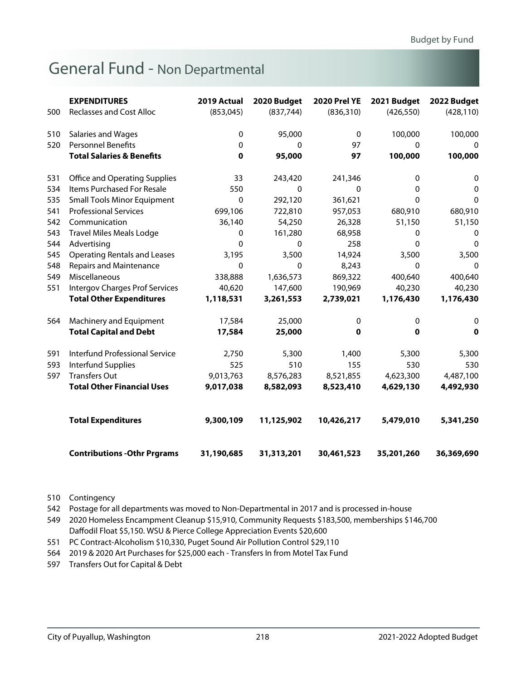|     | <b>EXPENDITURES</b>                   | 2019 Actual | 2020 Budget | <b>2020 Prel YE</b> | 2021 Budget  | 2022 Budget  |
|-----|---------------------------------------|-------------|-------------|---------------------|--------------|--------------|
| 500 | <b>Reclasses and Cost Alloc</b>       | (853,045)   | (837, 744)  | (836, 310)          | (426, 550)   | (428, 110)   |
| 510 | Salaries and Wages                    | 0           | 95,000      | $\mathbf{0}$        | 100,000      | 100,000      |
| 520 | <b>Personnel Benefits</b>             | 0           | 0           | 97                  | $\mathbf{0}$ | 0            |
|     | <b>Total Salaries &amp; Benefits</b>  | $\mathbf 0$ | 95,000      | 97                  | 100,000      | 100,000      |
| 531 | <b>Office and Operating Supplies</b>  | 33          | 243,420     | 241,346             | 0            | 0            |
| 534 | Items Purchased For Resale            | 550         | 0           | 0                   | 0            | 0            |
| 535 | <b>Small Tools Minor Equipment</b>    | 0           | 292,120     | 361,621             | 0            | $\mathbf{0}$ |
| 541 | <b>Professional Services</b>          | 699,106     | 722,810     | 957,053             | 680,910      | 680,910      |
| 542 | Communication                         | 36,140      | 54,250      | 26,328              | 51,150       | 51,150       |
| 543 | <b>Travel Miles Meals Lodge</b>       | 0           | 161,280     | 68,958              | 0            | 0            |
| 544 | Advertising                           | $\Omega$    | $\Omega$    | 258                 | $\mathbf{0}$ | $\mathbf{0}$ |
| 545 | <b>Operating Rentals and Leases</b>   | 3,195       | 3,500       | 14,924              | 3,500        | 3,500        |
| 548 | <b>Repairs and Maintenance</b>        | $\Omega$    | $\Omega$    | 8,243               | $\mathbf 0$  | 0            |
| 549 | Miscellaneous                         | 338,888     | 1,636,573   | 869,322             | 400,640      | 400,640      |
| 551 | <b>Intergov Charges Prof Services</b> | 40,620      | 147,600     | 190,969             | 40,230       | 40,230       |
|     | <b>Total Other Expenditures</b>       | 1,118,531   | 3,261,553   | 2,739,021           | 1,176,430    | 1,176,430    |
| 564 | Machinery and Equipment               | 17,584      | 25,000      | 0                   | 0            | 0            |
|     | <b>Total Capital and Debt</b>         | 17,584      | 25,000      | 0                   | 0            | $\mathbf 0$  |
| 591 | <b>Interfund Professional Service</b> | 2,750       | 5,300       | 1,400               | 5,300        | 5,300        |
| 593 | Interfund Supplies                    | 525         | 510         | 155                 | 530          | 530          |
| 597 | <b>Transfers Out</b>                  | 9,013,763   | 8,576,283   | 8,521,855           | 4,623,300    | 4,487,100    |
|     | <b>Total Other Financial Uses</b>     | 9,017,038   | 8,582,093   | 8,523,410           | 4,629,130    | 4,492,930    |
|     | <b>Total Expenditures</b>             | 9,300,109   | 11,125,902  | 10,426,217          | 5,479,010    | 5,341,250    |
|     | <b>Contributions - Othr Prgrams</b>   | 31,190,685  | 31,313,201  | 30,461,523          | 35,201,260   | 36,369,690   |

510 Contingency

542 Postage for all departments was moved to Non-Departmental in 2017 and is processed in-house

549 2020 Homeless Encampment Cleanup \$15,910, Community Requests \$183,500, memberships \$146,700 Daffodil Float \$5,150. WSU & Pierce College Appreciation Events \$20,600

551 PC Contract-Alcoholism \$10,330, Puget Sound Air Pollution Control \$29,110

564 2019 & 2020 Art Purchases for \$25,000 each - Transfers In from Motel Tax Fund

597 Transfers Out for Capital & Debt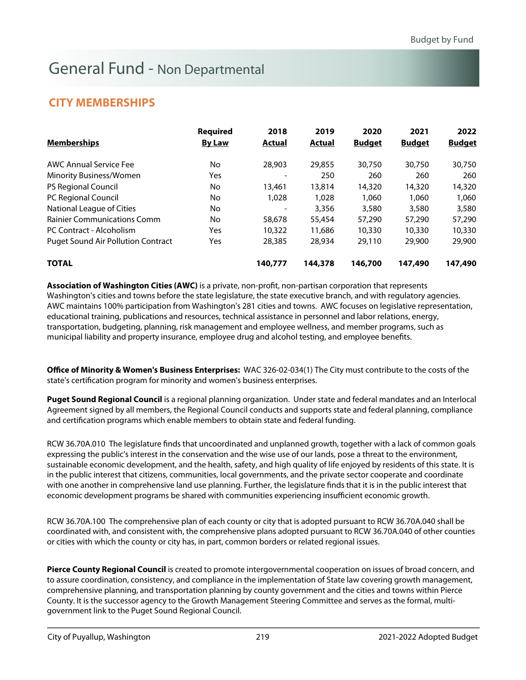### **CITY MEMBERSHIPS**

| <b>Memberships</b>                        | <b>Required</b><br><b>By Law</b> | 2018<br>Actual | 2019<br>Actual | 2020<br><b>Budget</b> | 2021<br><b>Budget</b> | 2022<br><b>Budget</b> |
|-------------------------------------------|----------------------------------|----------------|----------------|-----------------------|-----------------------|-----------------------|
| AWC Annual Service Fee                    | No                               | 28,903         | 29,855         | 30,750                | 30,750                | 30,750                |
| Minority Business/Women                   | Yes                              |                | 250            | 260                   | 260                   | 260                   |
| <b>PS Regional Council</b>                | No.                              | 13,461         | 13,814         | 14,320                | 14,320                | 14,320                |
| PC Regional Council                       | No.                              | 1,028          | 1,028          | 1.060                 | 1.060                 | 1,060                 |
| National League of Cities                 | No.                              |                | 3,356          | 3,580                 | 3,580                 | 3,580                 |
| <b>Rainier Communications Comm</b>        | No.                              | 58,678         | 55,454         | 57,290                | 57,290                | 57,290                |
| PC Contract - Alcoholism                  | Yes                              | 10,322         | 11,686         | 10,330                | 10,330                | 10,330                |
| <b>Puget Sound Air Pollution Contract</b> | Yes                              | 28,385         | 28,934         | 29,110                | 29,900                | 29,900                |
| <b>TOTAL</b>                              |                                  | 140,777        | 144,378        | 146,700               | 147,490               | 147,490               |

**Association of Washington Cities (AWC)** is a private, non-profit, non-partisan corporation that represents Washington's cities and towns before the state legislature, the state executive branch, and with regulatory agencies. AWC maintains 100% participation from Washington's 281 cities and towns. AWC focuses on legislative representation, educational training, publications and resources, technical assistance in personnel and labor relations, energy, transportation, budgeting, planning, risk management and employee wellness, and member programs, such as municipal liability and property insurance, employee drug and alcohol testing, and employee benefits.

**Office of Minority & Women's Business Enterprises:** WAC 326-02-034(1) The City must contribute to the costs of the state's certification program for minority and women's business enterprises.

**Puget Sound Regional Council** is a regional planning organization. Under state and federal mandates and an Interlocal Agreement signed by all members, the Regional Council conducts and supports state and federal planning, compliance and certification programs which enable members to obtain state and federal funding.

RCW 36.70A.010 The legislature finds that uncoordinated and unplanned growth, together with a lack of common goals expressing the public's interest in the conservation and the wise use of our lands, pose a threat to the environment, sustainable economic development, and the health, safety, and high quality of life enjoyed by residents of this state. It is in the public interest that citizens, communities, local governments, and the private sector cooperate and coordinate with one another in comprehensive land use planning. Further, the legislature finds that it is in the public interest that economic development programs be shared with communities experiencing insufficient economic growth.

RCW 36.70A.100 The comprehensive plan of each county or city that is adopted pursuant to RCW 36.70A.040 shall be coordinated with, and consistent with, the comprehensive plans adopted pursuant to RCW 36.70A.040 of other counties or cities with which the county or city has, in part, common borders or related regional issues.

**Pierce County Regional Council** is created to promote intergovernmental cooperation on issues of broad concern, and to assure coordination, consistency, and compliance in the implementation of State law covering growth management, comprehensive planning, and transportation planning by county government and the cities and towns within Pierce County. It is the successor agency to the Growth Management Steering Committee and serves as the formal, multigovernment link to the Puget Sound Regional Council.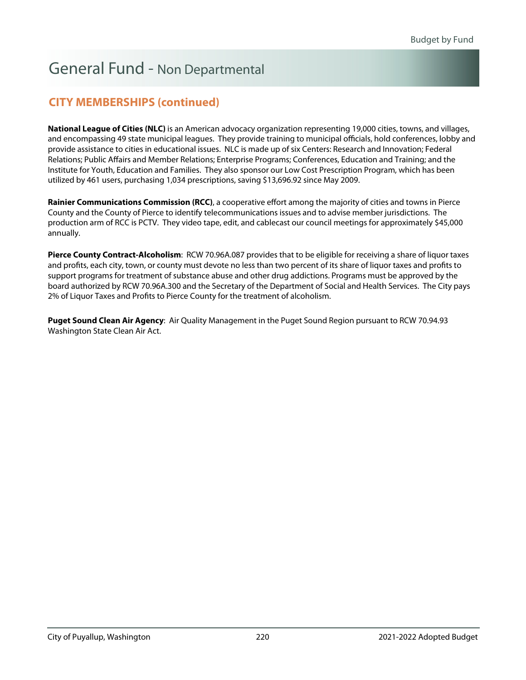### **CITY MEMBERSHIPS (continued)**

**National League of Cities (NLC)** is an American advocacy organization representing 19,000 cities, towns, and villages, and encompassing 49 state municipal leagues. They provide training to municipal officials, hold conferences, lobby and provide assistance to cities in educational issues. NLC is made up of six Centers: Research and Innovation; Federal Relations; Public Affairs and Member Relations; Enterprise Programs; Conferences, Education and Training; and the Institute for Youth, Education and Families. They also sponsor our Low Cost Prescription Program, which has been utilized by 461 users, purchasing 1,034 prescriptions, saving \$13,696.92 since May 2009.

**Rainier Communications Commission (RCC)**, a cooperative effort among the majority of cities and towns in Pierce County and the County of Pierce to identify telecommunications issues and to advise member jurisdictions. The production arm of RCC is PCTV. They video tape, edit, and cablecast our council meetings for approximately \$45,000 annually.

**Pierce County Contract-Alcoholism**: RCW 70.96A.087 provides that to be eligible for receiving a share of liquor taxes and profits, each city, town, or county must devote no less than two percent of its share of liquor taxes and profits to support programs for treatment of substance abuse and other drug addictions. Programs must be approved by the board authorized by RCW 70.96A.300 and the Secretary of the Department of Social and Health Services. The City pays 2% of Liquor Taxes and Profits to Pierce County for the treatment of alcoholism.

**Puget Sound Clean Air Agency**: Air Quality Management in the Puget Sound Region pursuant to RCW 70.94.93 Washington State Clean Air Act.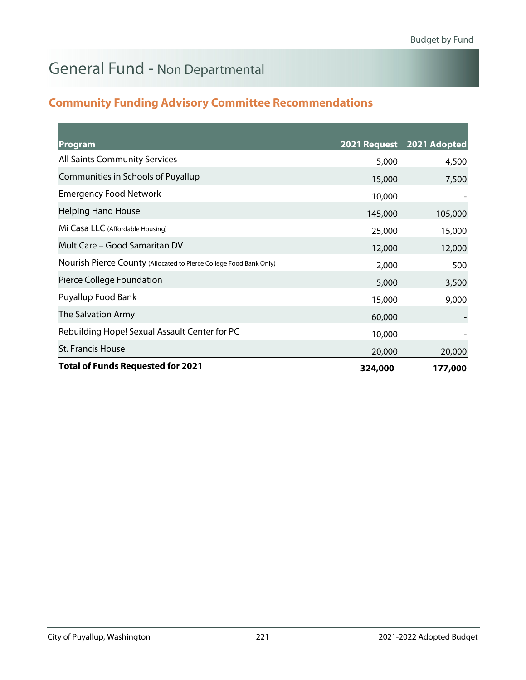### **Community Funding Advisory Committee Recommendations**

| Program                                                            |         | 2021 Request 2021 Adopted |
|--------------------------------------------------------------------|---------|---------------------------|
| <b>All Saints Community Services</b>                               | 5,000   | 4,500                     |
| Communities in Schools of Puyallup                                 | 15,000  | 7,500                     |
| <b>Emergency Food Network</b>                                      | 10,000  |                           |
| <b>Helping Hand House</b>                                          | 145,000 | 105,000                   |
| Mi Casa LLC (Affordable Housing)                                   | 25,000  | 15,000                    |
| MultiCare – Good Samaritan DV                                      | 12,000  | 12,000                    |
| Nourish Pierce County (Allocated to Pierce College Food Bank Only) | 2,000   | 500                       |
| Pierce College Foundation                                          | 5,000   | 3,500                     |
| Puyallup Food Bank                                                 | 15,000  | 9,000                     |
| The Salvation Army                                                 | 60,000  |                           |
| Rebuilding Hope! Sexual Assault Center for PC                      | 10,000  |                           |
| <b>St. Francis House</b>                                           | 20,000  | 20,000                    |
| <b>Total of Funds Requested for 2021</b>                           | 324,000 | 177,000                   |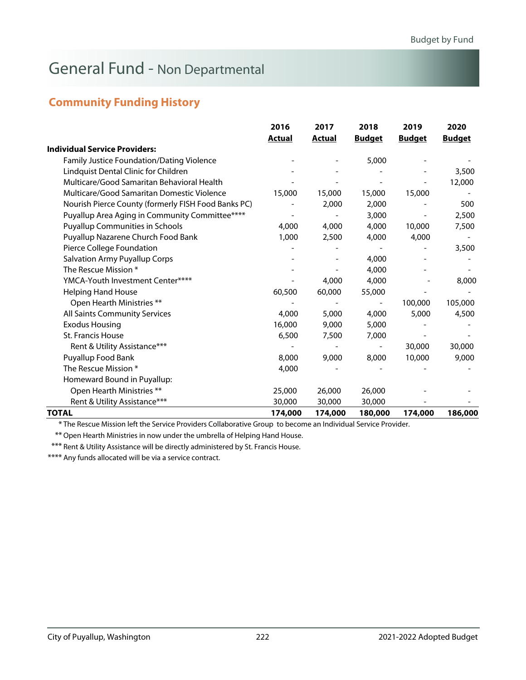### **Community Funding History**

|                                                     | 2016          | 2017          | 2018          | 2019          | 2020          |
|-----------------------------------------------------|---------------|---------------|---------------|---------------|---------------|
|                                                     | <b>Actual</b> | <b>Actual</b> | <b>Budget</b> | <b>Budget</b> | <b>Budget</b> |
| <b>Individual Service Providers:</b>                |               |               |               |               |               |
| <b>Family Justice Foundation/Dating Violence</b>    |               |               | 5,000         |               |               |
| Lindquist Dental Clinic for Children                |               |               |               |               | 3,500         |
| Multicare/Good Samaritan Behavioral Health          |               |               |               |               | 12,000        |
| Multicare/Good Samaritan Domestic Violence          | 15,000        | 15,000        | 15,000        | 15,000        |               |
| Nourish Pierce County (formerly FISH Food Banks PC) |               | 2,000         | 2,000         |               | 500           |
| Puyallup Area Aging in Community Committee****      |               |               | 3,000         |               | 2,500         |
| <b>Puyallup Communities in Schools</b>              | 4,000         | 4,000         | 4,000         | 10,000        | 7,500         |
| Puyallup Nazarene Church Food Bank                  | 1,000         | 2,500         | 4,000         | 4,000         |               |
| Pierce College Foundation                           |               |               |               |               | 3,500         |
| <b>Salvation Army Puyallup Corps</b>                |               |               | 4,000         |               |               |
| The Rescue Mission *                                |               |               | 4,000         |               |               |
| YMCA-Youth Investment Center****                    |               | 4,000         | 4,000         |               | 8,000         |
| <b>Helping Hand House</b>                           | 60,500        | 60,000        | 55,000        |               |               |
| Open Hearth Ministries **                           |               |               |               | 100,000       | 105,000       |
| All Saints Community Services                       | 4,000         | 5,000         | 4,000         | 5,000         | 4,500         |
| <b>Exodus Housing</b>                               | 16,000        | 9,000         | 5,000         |               |               |
| St. Francis House                                   | 6,500         | 7,500         | 7,000         |               |               |
| Rent & Utility Assistance***                        |               |               |               | 30,000        | 30,000        |
| Puyallup Food Bank                                  | 8,000         | 9,000         | 8,000         | 10,000        | 9,000         |
| The Rescue Mission *                                | 4,000         |               |               |               |               |
| Homeward Bound in Puyallup:                         |               |               |               |               |               |
| Open Hearth Ministries **                           | 25,000        | 26,000        | 26,000        |               |               |
| Rent & Utility Assistance***                        | 30,000        | 30,000        | 30,000        |               |               |
| TOTAL                                               | 174,000       | 174,000       | 180,000       | 174,000       | 186,000       |

\* The Rescue Mission left the Service Providers Collaborative Group to become an Individual Service Provider.

\*\* Open Hearth Ministries in now under the umbrella of Helping Hand House.

\*\*\* Rent & Utility Assistance will be directly administered by St. Francis House.

\*\*\*\* Any funds allocated will be via a service contract.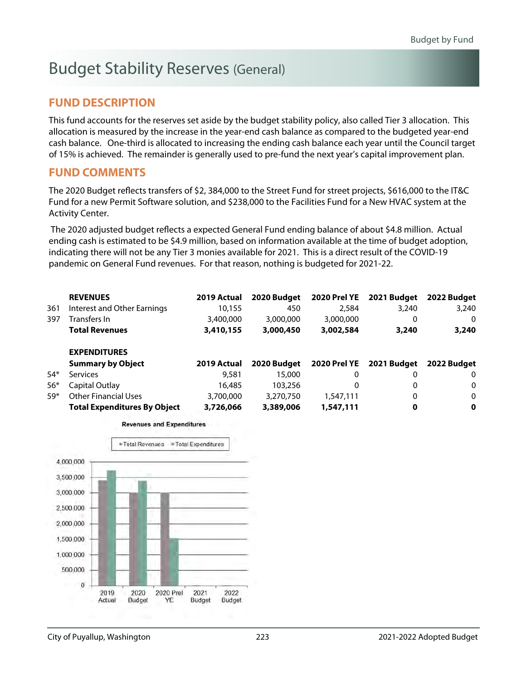# Budget Stability Reserves (General)

### **FUND DESCRIPTION**

This fund accounts for the reserves set aside by the budget stability policy, also called Tier 3 allocation. This allocation is measured by the increase in the year-end cash balance as compared to the budgeted year-end cash balance. One-third is allocated to increasing the ending cash balance each year until the Council target of 15% is achieved. The remainder is generally used to pre-fund the next year's capital improvement plan.

#### **FUND COMMENTS**

The 2020 Budget reflects transfers of \$2, 384,000 to the Street Fund for street projects, \$616,000 to the IT&C Fund for a new Permit Software solution, and \$238,000 to the Facilities Fund for a New HVAC system at the Activity Center.

 The 2020 adjusted budget reflects a expected General Fund ending balance of about \$4.8 million. Actual ending cash is estimated to be \$4.9 million, based on information available at the time of budget adoption, indicating there will not be any Tier 3 monies available for 2021. This is a direct result of the COVID-19 pandemic on General Fund revenues. For that reason, nothing is budgeted for 2021-22.

|       | <b>REVENUES</b>                     | 2019 Actual | 2020 Budget | 2020 Prel YE | 2021 Budget              | 2022 Budget |
|-------|-------------------------------------|-------------|-------------|--------------|--------------------------|-------------|
| 361   | Interest and Other Earnings         | 10,155      | 450         | 2,584        | 3,240                    | 3,240       |
| 397   | Transfers In                        | 3,400,000   | 3,000,000   | 3,000,000    | 0                        | $\Omega$    |
|       | <b>Total Revenues</b>               | 3,410,155   | 3,000,450   | 3,002,584    | 3,240                    | 3,240       |
|       | <b>EXPENDITURES</b>                 |             |             |              |                          |             |
|       | <b>Summary by Object</b>            | 2019 Actual | 2020 Budget |              | 2020 Prel YE 2021 Budget | 2022 Budget |
| $54*$ | <b>Services</b>                     | 9,581       | 15,000      | 0            | 0                        | $\Omega$    |
| $56*$ | Capital Outlay                      | 16,485      | 103,256     | 0            | 0                        | 0           |
| $59*$ | <b>Other Financial Uses</b>         | 3,700,000   | 3,270,750   | 1,547,111    | 0                        | $\Omega$    |
|       | <b>Total Expenditures By Object</b> | 3,726,066   | 3,389,006   | 1,547,111    | 0                        | $\mathbf 0$ |



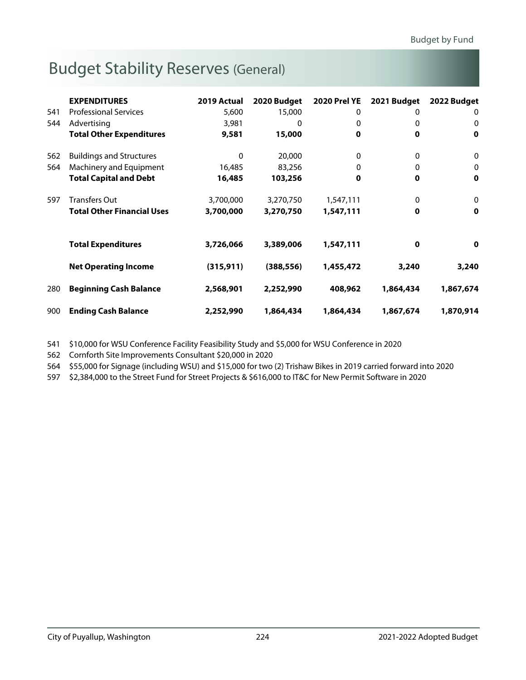# Budget Stability Reserves (General)

|     | <b>EXPENDITURES</b>               | 2019 Actual | 2020 Budget | <b>2020 Prel YE</b> | 2021 Budget | 2022 Budget |
|-----|-----------------------------------|-------------|-------------|---------------------|-------------|-------------|
| 541 | <b>Professional Services</b>      | 5,600       | 15,000      | 0                   | 0           | 0           |
| 544 | Advertising                       | 3,981       | 0           | 0                   | 0           | 0           |
|     | <b>Total Other Expenditures</b>   | 9,581       | 15,000      | $\mathbf 0$         | 0           | 0           |
| 562 | <b>Buildings and Structures</b>   | $\Omega$    | 20,000      | 0                   | 0           | 0           |
| 564 | Machinery and Equipment           | 16,485      | 83,256      | $\Omega$            | 0           | $\mathbf 0$ |
|     | <b>Total Capital and Debt</b>     | 16,485      | 103,256     | 0                   | 0           | 0           |
| 597 | <b>Transfers Out</b>              | 3,700,000   | 3,270,750   | 1,547,111           | 0           | $\mathbf 0$ |
|     | <b>Total Other Financial Uses</b> | 3,700,000   | 3,270,750   | 1,547,111           | 0           | 0           |
|     | <b>Total Expenditures</b>         | 3,726,066   | 3,389,006   | 1,547,111           | 0           | 0           |
|     |                                   |             |             |                     |             |             |
|     | <b>Net Operating Income</b>       | (315, 911)  | (388, 556)  | 1,455,472           | 3,240       | 3,240       |
| 280 | <b>Beginning Cash Balance</b>     | 2,568,901   | 2,252,990   | 408,962             | 1,864,434   | 1,867,674   |
| 900 | <b>Ending Cash Balance</b>        | 2,252,990   | 1,864,434   | 1,864,434           | 1,867,674   | 1,870,914   |

541 \$10,000 for WSU Conference Facility Feasibility Study and \$5,000 for WSU Conference in 2020

562 Cornforth Site Improvements Consultant \$20,000 in 2020

564 \$55,000 for Signage (including WSU) and \$15,000 for two (2) Trishaw Bikes in 2019 carried forward into 2020

597 \$2,384,000 to the Street Fund for Street Projects & \$616,000 to IT&C for New Permit Software in 2020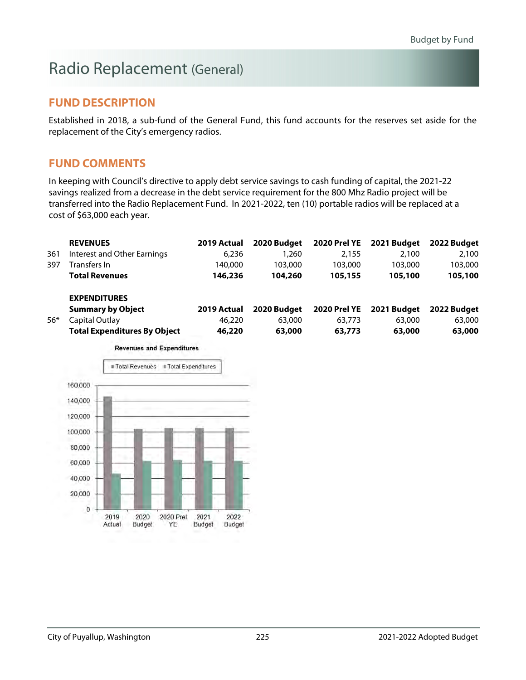# Radio Replacement (General)

### **FUND DESCRIPTION**

Established in 2018, a sub-fund of the General Fund, this fund accounts for the reserves set aside for the replacement of the City's emergency radios.

#### **FUND COMMENTS**

In keeping with Council's directive to apply debt service savings to cash funding of capital, the 2021-22 savings realized from a decrease in the debt service requirement for the 800 Mhz Radio project will be transferred into the Radio Replacement Fund. In 2021-2022, ten (10) portable radios will be replaced at a cost of \$63,000 each year.

|       | <b>REVENUES</b>                     | 2019 Actual | 2020 Budget | 2020 Prel YE        | 2021 Budget | 2022 Budget |
|-------|-------------------------------------|-------------|-------------|---------------------|-------------|-------------|
| 361   | Interest and Other Earnings         | 6,236       | 1,260       | 2.155               | 2.100       | 2,100       |
| 397   | Transfers In                        | 140.000     | 103,000     | 103,000             | 103,000     | 103,000     |
|       | <b>Total Revenues</b>               | 146,236     | 104,260     | 105,155             | 105,100     | 105,100     |
|       | <b>EXPENDITURES</b>                 |             |             |                     |             |             |
|       | <b>Summary by Object</b>            | 2019 Actual | 2020 Budget | <b>2020 Prel YE</b> | 2021 Budget | 2022 Budget |
| $56*$ | Capital Outlay                      | 46,220      | 63,000      | 63,773              | 63,000      | 63,000      |
|       | <b>Total Expenditures By Object</b> | 46,220      | 63,000      | 63,773              | 63,000      | 63,000      |

**Revenues and Expenditures** 

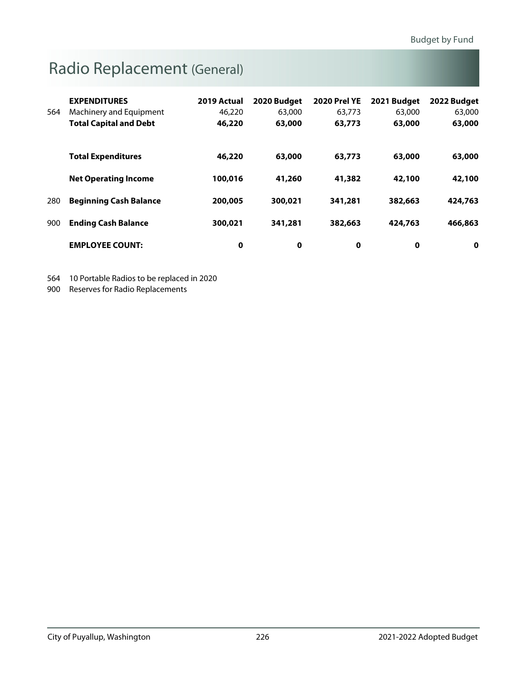# Radio Replacement (General)

|     | <b>EXPENDITURES</b>           | 2019 Actual | 2020 Budget | <b>2020 Prel YE</b> | 2021 Budget | 2022 Budget |
|-----|-------------------------------|-------------|-------------|---------------------|-------------|-------------|
| 564 | Machinery and Equipment       | 46,220      | 63,000      | 63.773              | 63,000      | 63,000      |
|     | <b>Total Capital and Debt</b> | 46,220      | 63,000      | 63,773              | 63,000      | 63,000      |
|     |                               |             |             |                     |             |             |
|     | <b>Total Expenditures</b>     | 46,220      | 63,000      | 63,773              | 63,000      | 63,000      |
|     |                               |             |             |                     |             |             |
|     | <b>Net Operating Income</b>   | 100,016     | 41,260      | 41,382              | 42,100      | 42,100      |
| 280 | <b>Beginning Cash Balance</b> | 200,005     | 300,021     | 341,281             | 382,663     | 424,763     |
|     |                               |             |             |                     |             |             |
| 900 | <b>Ending Cash Balance</b>    | 300,021     | 341,281     | 382,663             | 424,763     | 466,863     |
|     |                               |             |             |                     |             |             |
|     | <b>EMPLOYEE COUNT:</b>        | 0           | 0           | 0                   | 0           | 0           |

564 10 Portable Radios to be replaced in 2020

900 Reserves for Radio Replacements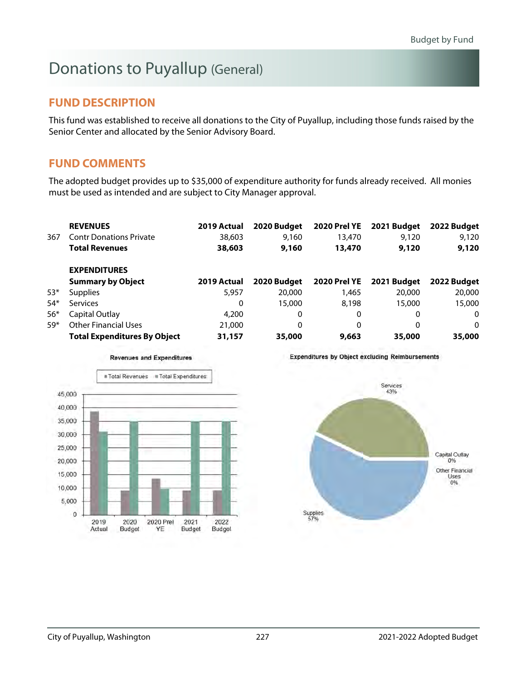# Donations to Puyallup (General)

### **FUND DESCRIPTION**

This fund was established to receive all donations to the City of Puyallup, including those funds raised by the Senior Center and allocated by the Senior Advisory Board.

### **FUND COMMENTS**

The adopted budget provides up to \$35,000 of expenditure authority for funds already received. All monies must be used as intended and are subject to City Manager approval.

|       | <b>REVENUES</b>                     | 2019 Actual | 2020 Budget | <b>2020 Prel YE</b> | 2021 Budget | 2022 Budget |
|-------|-------------------------------------|-------------|-------------|---------------------|-------------|-------------|
| 367   | <b>Contr Donations Private</b>      | 38,603      | 9,160       | 13,470              | 9,120       | 9,120       |
|       | <b>Total Revenues</b>               | 38,603      | 9,160       | 13,470              | 9,120       | 9,120       |
|       | <b>EXPENDITURES</b>                 |             |             |                     |             |             |
|       | <b>Summary by Object</b>            | 2019 Actual | 2020 Budget | <b>2020 Prel YE</b> | 2021 Budget | 2022 Budget |
| $53*$ | <b>Supplies</b>                     | 5,957       | 20,000      | 1,465               | 20,000      | 20,000      |
| $54*$ | <b>Services</b>                     | 0           | 15,000      | 8.198               | 15,000      | 15,000      |
| $56*$ | Capital Outlay                      | 4,200       | 0           | 0                   | 0           | 0           |
| $59*$ | <b>Other Financial Uses</b>         | 21,000      | 0           | 0                   | 0           | 0           |
|       | <b>Total Expenditures By Object</b> | 31,157      | 35,000      | 9,663               | 35,000      | 35,000      |



**Revenues and Expenditures** 

**Expenditures by Object excluding Reimbursements** 

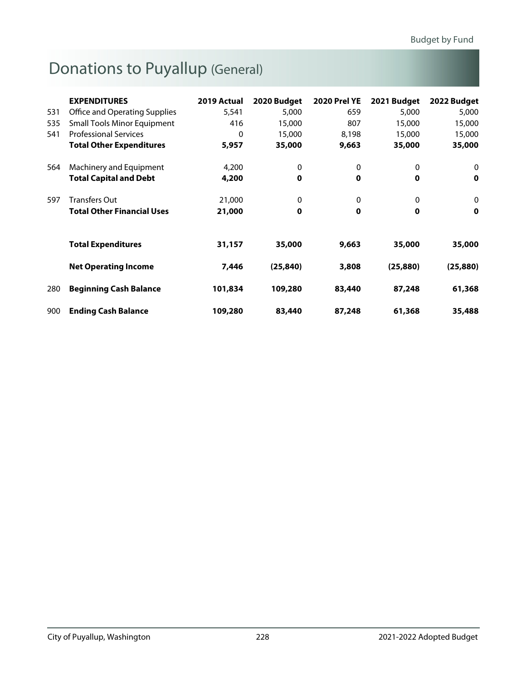# Donations to Puyallup (General)

|     | <b>EXPENDITURES</b>                | 2019 Actual | 2020 Budget | <b>2020 Prel YE</b> | 2021 Budget | 2022 Budget |
|-----|------------------------------------|-------------|-------------|---------------------|-------------|-------------|
| 531 | Office and Operating Supplies      | 5,541       | 5,000       | 659                 | 5,000       | 5,000       |
| 535 | <b>Small Tools Minor Equipment</b> | 416         | 15,000      | 807                 | 15,000      | 15,000      |
| 541 | <b>Professional Services</b>       | 0           | 15,000      | 8,198               | 15,000      | 15,000      |
|     | <b>Total Other Expenditures</b>    | 5,957       | 35,000      | 9,663               | 35,000      | 35,000      |
| 564 | Machinery and Equipment            | 4,200       | 0           | 0                   | 0           | 0           |
|     | <b>Total Capital and Debt</b>      | 4,200       | 0           | $\mathbf 0$         | $\mathbf 0$ | $\mathbf 0$ |
| 597 | <b>Transfers Out</b>               | 21,000      | 0           | 0                   | 0           | $\mathbf 0$ |
|     | <b>Total Other Financial Uses</b>  | 21,000      | $\mathbf 0$ | $\mathbf 0$         | $\mathbf 0$ | $\mathbf 0$ |
|     | <b>Total Expenditures</b>          | 31,157      | 35,000      | 9,663               | 35,000      | 35,000      |
|     | <b>Net Operating Income</b>        | 7,446       | (25, 840)   | 3,808               | (25, 880)   | (25, 880)   |
| 280 | <b>Beginning Cash Balance</b>      | 101,834     | 109,280     | 83,440              | 87,248      | 61,368      |
| 900 | <b>Ending Cash Balance</b>         | 109,280     | 83,440      | 87,248              | 61,368      | 35,488      |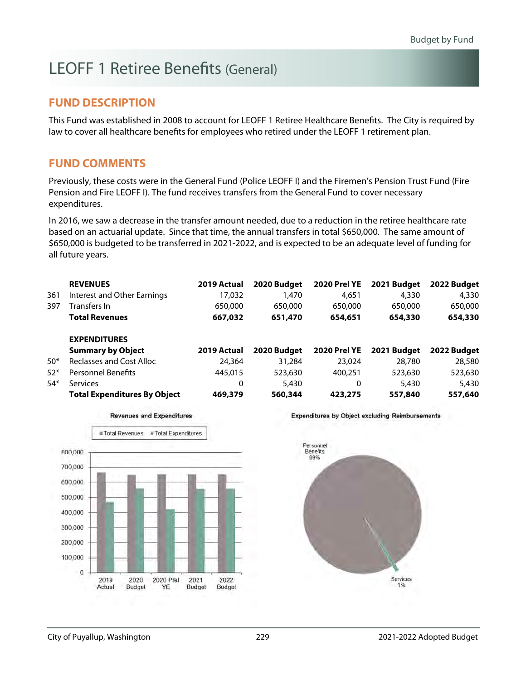# LEOFF 1 Retiree Benefits (General)

### **FUND DESCRIPTION**

This Fund was established in 2008 to account for LEOFF 1 Retiree Healthcare Benefits. The City is required by law to cover all healthcare benefits for employees who retired under the LEOFF 1 retirement plan.

#### **FUND COMMENTS**

Previously, these costs were in the General Fund (Police LEOFF I) and the Firemen's Pension Trust Fund (Fire Pension and Fire LEOFF I). The fund receives transfers from the General Fund to cover necessary expenditures.

In 2016, we saw a decrease in the transfer amount needed, due to a reduction in the retiree healthcare rate based on an actuarial update. Since that time, the annual transfers in total \$650,000. The same amount of \$650,000 is budgeted to be transferred in 2021-2022, and is expected to be an adequate level of funding for all future years.

|       | <b>REVENUES</b>                     | 2019 Actual | 2020 Budget | <b>2020 Prel YE</b> | 2021 Budget | 2022 Budget |
|-------|-------------------------------------|-------------|-------------|---------------------|-------------|-------------|
| 361   | Interest and Other Earnings         | 17.032      | 1,470       | 4,651               | 4,330       | 4,330       |
| 397   | Transfers In                        | 650,000     | 650,000     | 650,000             | 650,000     | 650,000     |
|       | <b>Total Revenues</b>               | 667,032     | 651,470     | 654,651             | 654,330     | 654,330     |
|       | <b>EXPENDITURES</b>                 |             |             |                     |             |             |
|       | <b>Summary by Object</b>            | 2019 Actual | 2020 Budget | <b>2020 Prel YE</b> | 2021 Budget | 2022 Budget |
| $50*$ | Reclasses and Cost Alloc            | 24,364      | 31,284      | 23,024              | 28,780      | 28,580      |
| $52*$ | <b>Personnel Benefits</b>           | 445,015     | 523,630     | 400.251             | 523,630     | 523,630     |
| $54*$ | Services                            | 0           | 5,430       | 0                   | 5,430       | 5,430       |
|       | <b>Total Expenditures By Object</b> | 469,379     | 560,344     | 423,275             | 557,840     | 557,640     |



**Revenues and Expenditures** 

**Expenditures by Object excluding Reimbursements** 

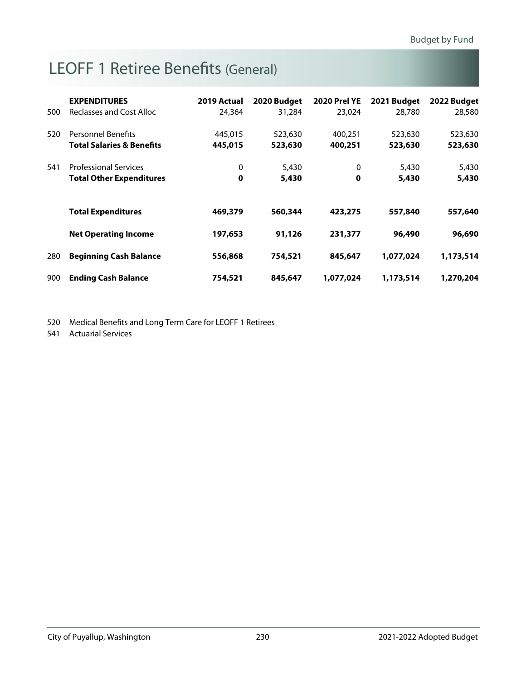# LEOFF 1 Retiree Benefits (General)

| 500 | <b>EXPENDITURES</b><br>Reclasses and Cost Alloc                   | 2019 Actual<br>24,364 | 2020 Budget<br>31,284 | <b>2020 Prel YE</b><br>23.024 | 2021 Budget<br>28,780 | 2022 Budget<br>28,580 |
|-----|-------------------------------------------------------------------|-----------------------|-----------------------|-------------------------------|-----------------------|-----------------------|
| 520 | <b>Personnel Benefits</b><br><b>Total Salaries &amp; Benefits</b> | 445,015<br>445,015    | 523,630<br>523,630    | 400,251<br>400,251            | 523,630<br>523,630    | 523,630<br>523,630    |
| 541 | <b>Professional Services</b><br><b>Total Other Expenditures</b>   | 0<br>0                | 5,430<br>5,430        | 0<br>0                        | 5,430<br>5,430        | 5,430<br>5,430        |
|     | <b>Total Expenditures</b>                                         | 469,379               | 560,344               | 423,275                       | 557,840               | 557,640               |
|     | <b>Net Operating Income</b>                                       | 197,653               | 91,126                | 231,377                       | 96,490                | 96,690                |
| 280 | <b>Beginning Cash Balance</b>                                     | 556,868               | 754,521               | 845,647                       | 1,077,024             | 1,173,514             |
| 900 | <b>Ending Cash Balance</b>                                        | 754,521               | 845,647               | 1,077,024                     | 1,173,514             | 1,270,204             |

520 Medical Benefits and Long Term Care for LEOFF 1 Retirees

541 Actuarial Services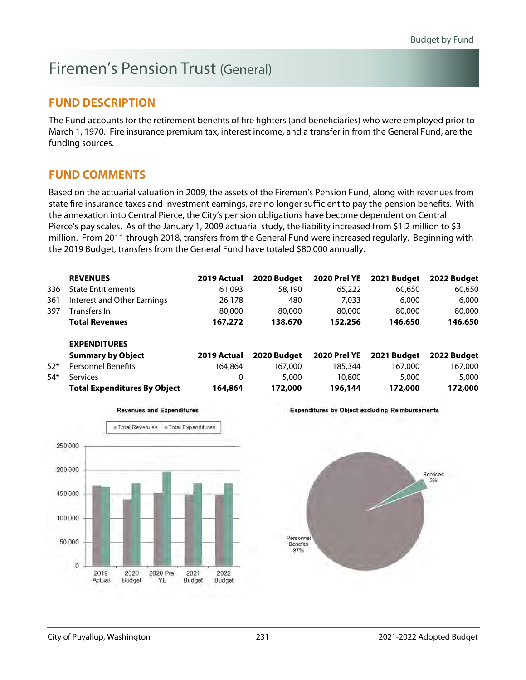# Firemen's Pension Trust (General)

### **FUND DESCRIPTION**

The Fund accounts for the retirement benefits of fire fighters (and beneficiaries) who were employed prior to March 1, 1970. Fire insurance premium tax, interest income, and a transfer in from the General Fund, are the funding sources.

### **FUND COMMENTS**

Based on the actuarial valuation in 2009, the assets of the Firemen's Pension Fund, along with revenues from state fire insurance taxes and investment earnings, are no longer sufficient to pay the pension benefits. With the annexation into Central Pierce, the City's pension obligations have become dependent on Central Pierce's pay scales. As of the January 1, 2009 actuarial study, the liability increased from \$1.2 million to \$3 million. From 2011 through 2018, transfers from the General Fund were increased regularly. Beginning with the 2019 Budget, transfers from the General Fund have totaled \$80,000 annually.

|       | <b>REVENUES</b>                     | 2019 Actual | 2020 Budget | <b>2020 Prel YE</b> | 2021 Budget | 2022 Budget |
|-------|-------------------------------------|-------------|-------------|---------------------|-------------|-------------|
| 336   | <b>State Entitlements</b>           | 61.093      | 58,190      | 65,222              | 60,650      | 60,650      |
| 361   | Interest and Other Earnings         | 26,178      | 480         | 7.033               | 6,000       | 6,000       |
| 397   | Transfers In                        | 80,000      | 80,000      | 80,000              | 80,000      | 80,000      |
|       | <b>Total Revenues</b>               | 167,272     | 138,670     | 152,256             | 146,650     | 146,650     |
|       | <b>EXPENDITURES</b>                 |             |             |                     |             |             |
|       | <b>Summary by Object</b>            | 2019 Actual | 2020 Budget | <b>2020 Prel YE</b> | 2021 Budget | 2022 Budget |
| $52*$ | <b>Personnel Benefits</b>           | 164.864     | 167.000     | 185,344             | 167,000     | 167,000     |
| $54*$ | <b>Services</b>                     | 0           | 5,000       | 10,800              | 5,000       | 5,000       |
|       | <b>Total Expenditures By Object</b> | 164,864     | 172,000     | 196,144             | 172,000     | 172,000     |



**Revenues and Expenditures** 

**Expenditures by Object excluding Reimbursements** 

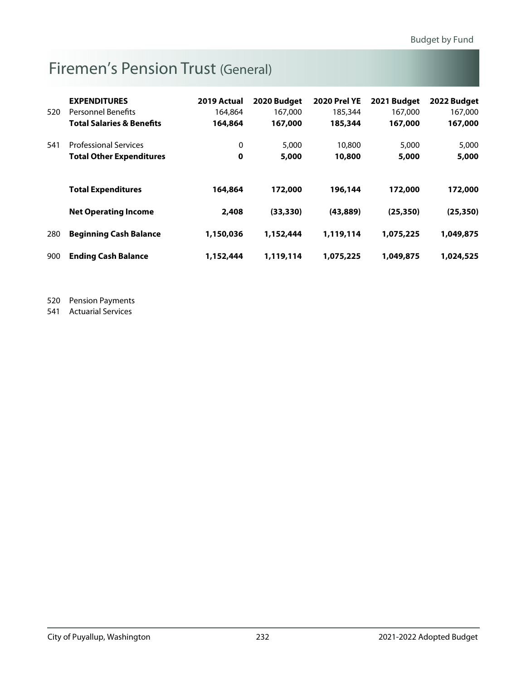# Firemen's Pension Trust (General)

|     | <b>EXPENDITURES</b>                  | 2019 Actual | 2020 Budget | <b>2020 Prel YE</b> | 2021 Budget | 2022 Budget |
|-----|--------------------------------------|-------------|-------------|---------------------|-------------|-------------|
| 520 | <b>Personnel Benefits</b>            | 164,864     | 167,000     | 185,344             | 167,000     | 167,000     |
|     | <b>Total Salaries &amp; Benefits</b> | 164,864     | 167,000     | 185,344             | 167,000     | 167,000     |
| 541 | <b>Professional Services</b>         | 0           | 5,000       | 10,800              | 5,000       | 5,000       |
|     | <b>Total Other Expenditures</b>      | 0           | 5,000       | 10,800              | 5,000       | 5,000       |
|     |                                      |             |             |                     |             |             |
|     | <b>Total Expenditures</b>            | 164,864     | 172,000     | 196,144             | 172,000     | 172,000     |
|     | <b>Net Operating Income</b>          | 2,408       | (33, 330)   | (43,889)            | (25, 350)   | (25, 350)   |
| 280 | <b>Beginning Cash Balance</b>        | 1,150,036   | 1,152,444   | 1,119,114           | 1,075,225   | 1,049,875   |
| 900 | <b>Ending Cash Balance</b>           | 1,152,444   | 1,119,114   | 1,075,225           | 1,049,875   | 1,024,525   |

520 Pension Payments

541 Actuarial Services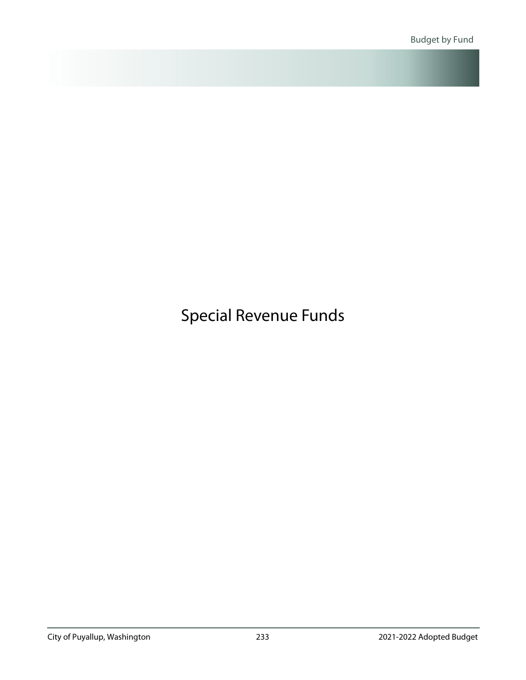<span id="page-19-0"></span>Special Revenue Funds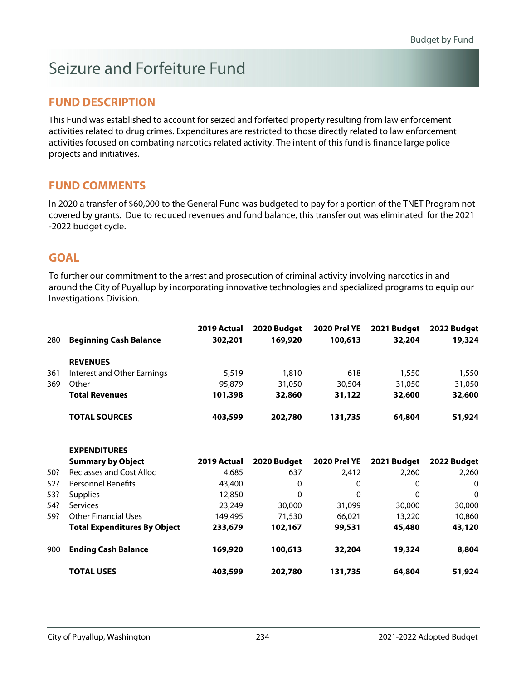# Seizure and Forfeiture Fund

### **FUND DESCRIPTION**

This Fund was established to account for seized and forfeited property resulting from law enforcement activities related to drug crimes. Expenditures are restricted to those directly related to law enforcement activities focused on combating narcotics related activity. The intent of this fund is finance large police projects and initiatives.

### **FUND COMMENTS**

In 2020 a transfer of \$60,000 to the General Fund was budgeted to pay for a portion of the TNET Program not covered by grants. Due to reduced revenues and fund balance, this transfer out was eliminated for the 2021 -2022 budget cycle.

### **GOAL**

To further our commitment to the arrest and prosecution of criminal activity involving narcotics in and around the City of Puyallup by incorporating innovative technologies and specialized programs to equip our Investigations Division.

| 280 | <b>Beginning Cash Balance</b> | 2019 Actual<br>302,201 | 2020 Budget<br>169,920 | 2020 Prel YE<br>100,613 | 2021 Budget<br>32,204 | 2022 Budget<br>19,324 |
|-----|-------------------------------|------------------------|------------------------|-------------------------|-----------------------|-----------------------|
|     | <b>REVENUES</b>               |                        |                        |                         |                       |                       |
| 361 | Interest and Other Earnings   | 5,519                  | 1,810                  | 618                     | 1,550                 | 1,550                 |
| 369 | Other                         | 95,879                 | 31,050                 | 30,504                  | 31,050                | 31,050                |
|     | <b>Total Revenues</b>         | 101,398                | 32,860                 | 31,122                  | 32,600                | 32,600                |
|     | <b>TOTAL SOURCES</b>          | 403,599                | 202,780                | 131,735                 | 64,804                | 51,924                |

|     | <b>EXPENDITURES</b>                 |             |             |                     |             |             |
|-----|-------------------------------------|-------------|-------------|---------------------|-------------|-------------|
|     | <b>Summary by Object</b>            | 2019 Actual | 2020 Budget | <b>2020 Prel YE</b> | 2021 Budget | 2022 Budget |
| 50? | Reclasses and Cost Alloc            | 4,685       | 637         | 2.412               | 2.260       | 2.260       |
| 52? | <b>Personnel Benefits</b>           | 43,400      | 0           | 0                   | 0           | $\mathbf 0$ |
| 53? | <b>Supplies</b>                     | 12,850      | 0           | 0                   | 0           | $\mathbf 0$ |
| 54? | Services                            | 23,249      | 30,000      | 31,099              | 30,000      | 30,000      |
| 59? | Other Financial Uses                | 149,495     | 71,530      | 66,021              | 13,220      | 10,860      |
|     | <b>Total Expenditures By Object</b> | 233,679     | 102,167     | 99,531              | 45,480      | 43,120      |
| 900 | <b>Ending Cash Balance</b>          | 169,920     | 100,613     | 32,204              | 19,324      | 8,804       |
|     | <b>TOTAL USES</b>                   | 403,599     | 202,780     | 131,735             | 64,804      | 51,924      |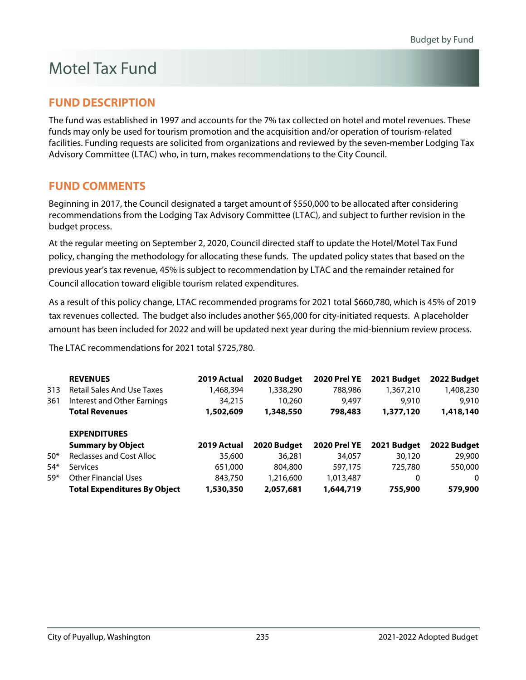# Motel Tax Fund

### **FUND DESCRIPTION**

The fund was established in 1997 and accounts for the 7% tax collected on hotel and motel revenues. These funds may only be used for tourism promotion and the acquisition and/or operation of tourism-related facilities. Funding requests are solicited from organizations and reviewed by the seven-member Lodging Tax Advisory Committee (LTAC) who, in turn, makes recommendations to the City Council.

### **FUND COMMENTS**

Beginning in 2017, the Council designated a target amount of \$550,000 to be allocated after considering recommendations from the Lodging Tax Advisory Committee (LTAC), and subject to further revision in the budget process.

At the regular meeting on September 2, 2020, Council directed staff to update the Hotel/Motel Tax Fund policy, changing the methodology for allocating these funds. The updated policy states that based on the previous year's tax revenue, 45% is subject to recommendation by LTAC and the remainder retained for Council allocation toward eligible tourism related expenditures.

As a result of this policy change, LTAC recommended programs for 2021 total \$660,780, which is 45% of 2019 tax revenues collected. The budget also includes another \$65,000 for city-initiated requests. A placeholder amount has been included for 2022 and will be updated next year during the mid-biennium review process.

The LTAC recommendations for 2021 total \$725,780.

|       | <b>REVENUES</b>                     | 2019 Actual | 2020 Budget | <b>2020 Prel YE</b> | 2021 Budget | 2022 Budget |
|-------|-------------------------------------|-------------|-------------|---------------------|-------------|-------------|
| 313   | <b>Retail Sales And Use Taxes</b>   | 1,468,394   | 1,338,290   | 788,986             | 1,367,210   | 1,408,230   |
| 361   | Interest and Other Earnings         | 34,215      | 10,260      | 9,497               | 9,910       | 9,910       |
|       | <b>Total Revenues</b>               | 1,502,609   | 1,348,550   | 798,483             | 1,377,120   | 1,418,140   |
|       | <b>EXPENDITURES</b>                 |             |             |                     |             |             |
|       | <b>Summary by Object</b>            | 2019 Actual | 2020 Budget | <b>2020 Prel YE</b> | 2021 Budget | 2022 Budget |
| $50*$ | <b>Reclasses and Cost Alloc</b>     | 35,600      | 36,281      | 34,057              | 30,120      | 29,900      |
| $54*$ | <b>Services</b>                     | 651,000     | 804,800     | 597.175             | 725,780     | 550,000     |
| $59*$ | <b>Other Financial Uses</b>         | 843,750     | 1,216,600   | 1,013,487           | 0           | 0           |
|       | <b>Total Expenditures By Object</b> | 1,530,350   | 2,057,681   | 1,644,719           | 755,900     | 579,900     |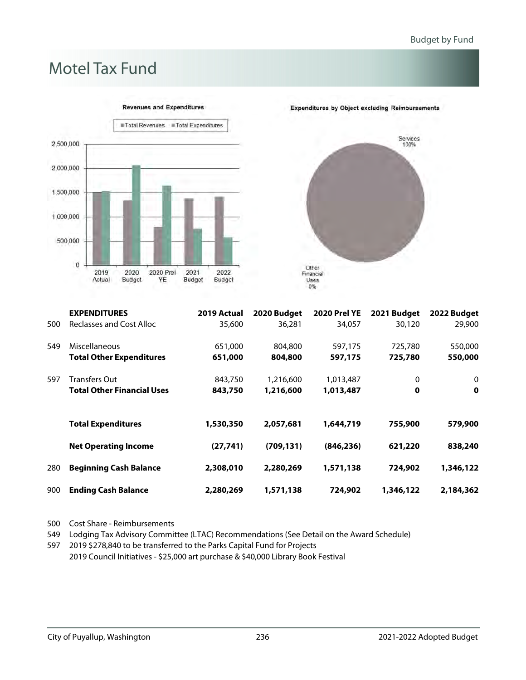# Motel Tax Fund



Services<br>100% Other<br>Financial<br>Uses  $0%$ 

**Expenditures by Object excluding Reimbursements** 

|     | <b>EXPENDITURES</b>               | 2019 Actual | 2020 Budget | <b>2020 Prel YE</b> | 2021 Budget | 2022 Budget |
|-----|-----------------------------------|-------------|-------------|---------------------|-------------|-------------|
| 500 | Reclasses and Cost Alloc          | 35,600      | 36.281      | 34,057              | 30,120      | 29,900      |
| 549 | Miscellaneous                     | 651,000     | 804,800     | 597,175             | 725,780     | 550,000     |
|     | <b>Total Other Expenditures</b>   | 651,000     | 804,800     | 597,175             | 725,780     | 550,000     |
| 597 | Transfers Out                     | 843,750     | 1,216,600   | 1,013,487           | 0           | 0           |
|     | <b>Total Other Financial Uses</b> | 843,750     | 1,216,600   | 1,013,487           | $\mathbf 0$ | $\mathbf 0$ |
|     | <b>Total Expenditures</b>         | 1,530,350   | 2,057,681   | 1,644,719           | 755,900     | 579,900     |
|     | <b>Net Operating Income</b>       | (27, 741)   | (709, 131)  | (846, 236)          | 621,220     | 838,240     |
| 280 | <b>Beginning Cash Balance</b>     | 2,308,010   | 2,280,269   | 1,571,138           | 724,902     | 1,346,122   |
| 900 | <b>Ending Cash Balance</b>        | 2,280,269   | 1,571,138   | 724,902             | 1,346,122   | 2,184,362   |

500 Cost Share - Reimbursements

549 Lodging Tax Advisory Committee (LTAC) Recommendations (See Detail on the Award Schedule)

597 2019 \$278,840 to be transferred to the Parks Capital Fund for Projects 2019 Council Initiatives - \$25,000 art purchase & \$40,000 Library Book Festival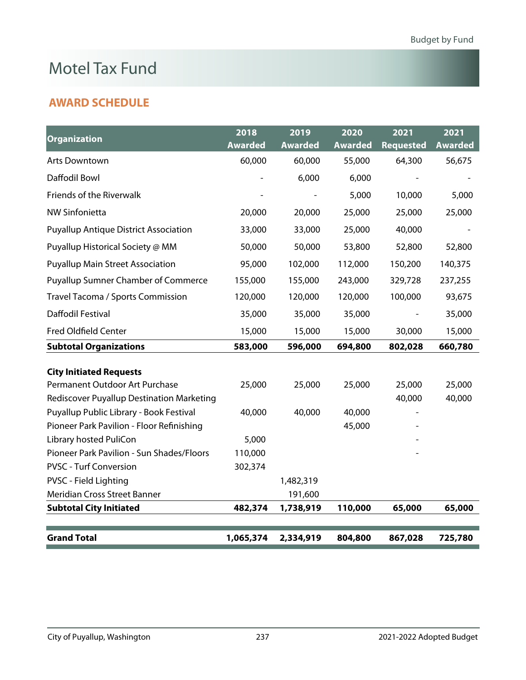# Motel Tax Fund

### **AWARD SCHEDULE**

| <b>Organization</b>                          | 2018           | 2019           | 2020           | 2021             | 2021           |
|----------------------------------------------|----------------|----------------|----------------|------------------|----------------|
|                                              | <b>Awarded</b> | <b>Awarded</b> | <b>Awarded</b> | <b>Requested</b> | <b>Awarded</b> |
| <b>Arts Downtown</b>                         | 60,000         | 60,000         | 55,000         | 64,300           | 56,675         |
| Daffodil Bowl                                |                | 6,000          | 6,000          |                  |                |
| Friends of the Riverwalk                     |                |                | 5,000          | 10,000           | 5,000          |
| <b>NW Sinfonietta</b>                        | 20,000         | 20,000         | 25,000         | 25,000           | 25,000         |
| <b>Puyallup Antique District Association</b> | 33,000         | 33,000         | 25,000         | 40,000           |                |
| Puyallup Historical Society @ MM             | 50,000         | 50,000         | 53,800         | 52,800           | 52,800         |
| <b>Puyallup Main Street Association</b>      | 95,000         | 102,000        | 112,000        | 150,200          | 140,375        |
| <b>Puyallup Sumner Chamber of Commerce</b>   | 155,000        | 155,000        | 243,000        | 329,728          | 237,255        |
| Travel Tacoma / Sports Commission            | 120,000        | 120,000        | 120,000        | 100,000          | 93,675         |
| Daffodil Festival                            | 35,000         | 35,000         | 35,000         |                  | 35,000         |
| <b>Fred Oldfield Center</b>                  | 15,000         | 15,000         | 15,000         | 30,000           | 15,000         |
| <b>Subtotal Organizations</b>                | 583,000        | 596,000        | 694,800        | 802,028          | 660,780        |
| <b>City Initiated Requests</b>               |                |                |                |                  |                |
| Permanent Outdoor Art Purchase               | 25,000         | 25,000         | 25,000         | 25,000           | 25,000         |
| Rediscover Puyallup Destination Marketing    |                |                |                | 40,000           | 40,000         |
| Puyallup Public Library - Book Festival      | 40,000         | 40,000         | 40,000         |                  |                |
| Pioneer Park Pavilion - Floor Refinishing    |                |                | 45,000         |                  |                |
| Library hosted PuliCon                       | 5,000          |                |                |                  |                |
| Pioneer Park Pavilion - Sun Shades/Floors    | 110,000        |                |                |                  |                |
| <b>PVSC - Turf Conversion</b>                | 302,374        |                |                |                  |                |
| PVSC - Field Lighting                        |                | 1,482,319      |                |                  |                |
| Meridian Cross Street Banner                 |                | 191,600        |                |                  |                |
| <b>Subtotal City Initiated</b>               | 482,374        | 1,738,919      | 110,000        | 65,000           | 65,000         |
|                                              |                |                |                |                  |                |
| <b>Grand Total</b>                           | 1,065,374      | 2,334,919      | 804,800        | 867,028          | 725,780        |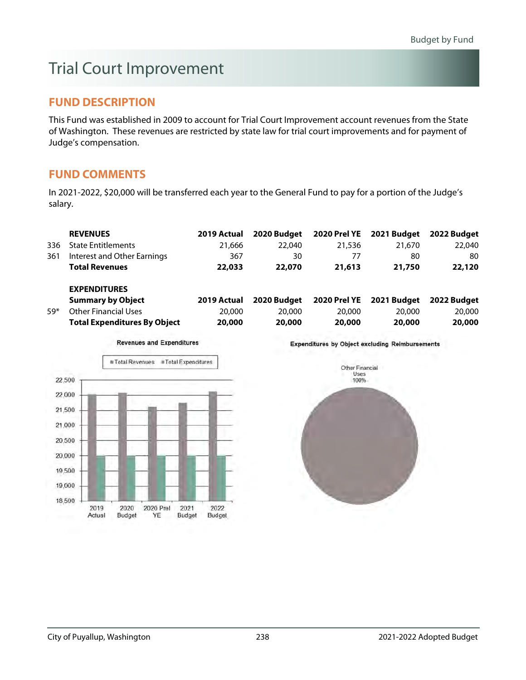# Trial Court Improvement

### **FUND DESCRIPTION**

This Fund was established in 2009 to account for Trial Court Improvement account revenues from the State of Washington. These revenues are restricted by state law for trial court improvements and for payment of Judge's compensation.

### **FUND COMMENTS**

In 2021-2022, \$20,000 will be transferred each year to the General Fund to pay for a portion of the Judge's salary.

|       | <b>REVENUES</b>                     | 2019 Actual | 2020 Budget | 2020 Prel YE        | 2021 Budget | 2022 Budget |
|-------|-------------------------------------|-------------|-------------|---------------------|-------------|-------------|
| 336   | <b>State Entitlements</b>           | 21.666      | 22,040      | 21,536              | 21,670      | 22,040      |
| 361   | Interest and Other Earnings         | 367         | 30          | 77                  | 80          | 80          |
|       | <b>Total Revenues</b>               | 22,033      | 22,070      | 21,613              | 21,750      | 22,120      |
|       | <b>EXPENDITURES</b>                 |             |             |                     |             |             |
|       | <b>Summary by Object</b>            | 2019 Actual | 2020 Budget | <b>2020 Prel YE</b> | 2021 Budget | 2022 Budget |
| $59*$ | Other Financial Uses                | 20,000      | 20,000      | 20,000              | 20,000      | 20,000      |
|       | <b>Total Expenditures By Object</b> | 20,000      | 20,000      | 20,000              | 20,000      | 20,000      |

Total Revenues Total Expenditures 22,500 22,000 21,500 21,000 20,500 20,000 19,500 19,000 18,500 2019 2020 2020 Prel 2021 2022 Actual Budget YE Budget Budget

**Revenues and Expenditures** 

**Expenditures by Object excluding Reimbursements** 

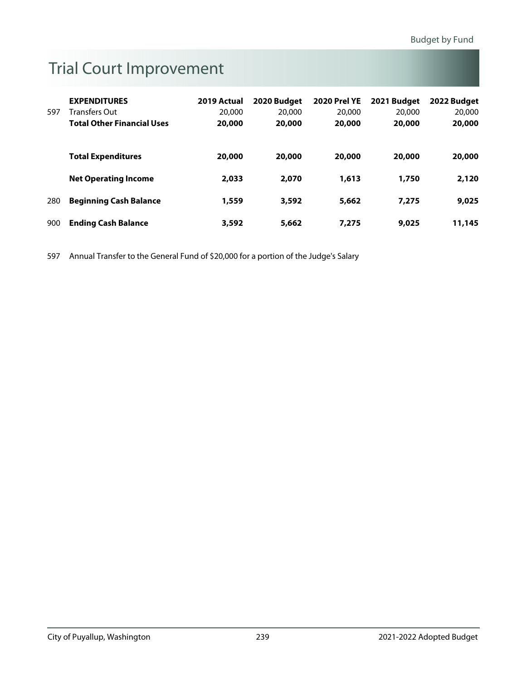# Trial Court Improvement

|     | <b>EXPENDITURES</b>               | 2019 Actual | 2020 Budget | <b>2020 Prel YE</b> | 2021 Budget | 2022 Budget |
|-----|-----------------------------------|-------------|-------------|---------------------|-------------|-------------|
| 597 | Transfers Out                     | 20,000      | 20,000      | 20,000              | 20,000      | 20,000      |
|     | <b>Total Other Financial Uses</b> | 20,000      | 20,000      | 20,000              | 20,000      | 20,000      |
|     |                                   |             |             |                     |             |             |
|     | <b>Total Expenditures</b>         | 20,000      | 20,000      | 20,000              | 20,000      | 20,000      |
|     | <b>Net Operating Income</b>       | 2,033       | 2,070       | 1,613               | 1,750       | 2,120       |
| 280 | <b>Beginning Cash Balance</b>     | 1,559       | 3,592       | 5,662               | 7,275       | 9,025       |
| 900 | <b>Ending Cash Balance</b>        | 3,592       | 5,662       | 7,275               | 9,025       | 11,145      |

597 Annual Transfer to the General Fund of \$20,000 for a portion of the Judge's Salary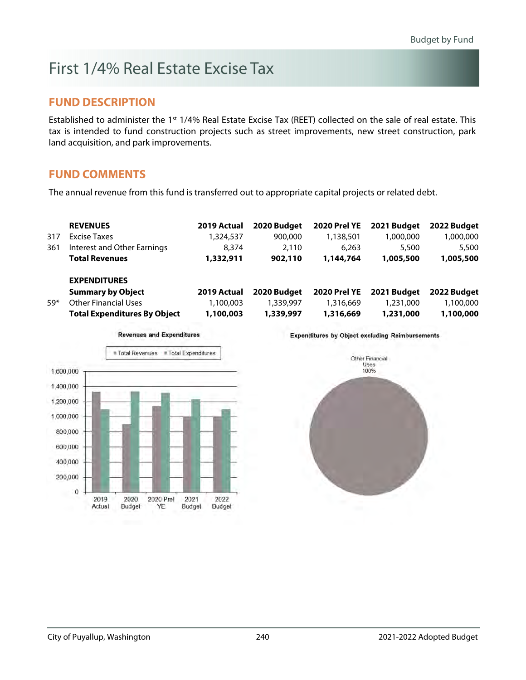# First 1/4% Real Estate Excise Tax

#### **FUND DESCRIPTION**

Established to administer the 1<sup>st</sup> 1/4% Real Estate Excise Tax (REET) collected on the sale of real estate. This tax is intended to fund construction projects such as street improvements, new street construction, park land acquisition, and park improvements.

### **FUND COMMENTS**

The annual revenue from this fund is transferred out to appropriate capital projects or related debt.

|       | <b>REVENUES</b>                     | 2019 Actual | 2020 Budget | <b>2020 Prel YE</b> | 2021 Budget | 2022 Budget |
|-------|-------------------------------------|-------------|-------------|---------------------|-------------|-------------|
| 317   | Excise Taxes                        | 1,324,537   | 900,000     | 1,138,501           | 1,000,000   | 1,000,000   |
| 361   | Interest and Other Earnings         | 8.374       | 2.110       | 6.263               | 5,500       | 5,500       |
|       | <b>Total Revenues</b>               | 1,332,911   | 902,110     | 1,144,764           | 1,005,500   | 1,005,500   |
|       | <b>EXPENDITURES</b>                 |             |             |                     |             |             |
|       | <b>Summary by Object</b>            | 2019 Actual | 2020 Budget | <b>2020 Prel YE</b> | 2021 Budget | 2022 Budget |
| $59*$ | <b>Other Financial Uses</b>         | 1,100,003   | 1,339,997   | 1,316,669           | 1,231,000   | 1,100,000   |
|       | <b>Total Expenditures By Object</b> | 1,100,003   | 1,339,997   | 1,316,669           | 1,231,000   | 1,100,000   |
|       |                                     |             |             |                     |             |             |



**Revenues and Expenditures** 

**Expenditures by Object excluding Reimbursements** 

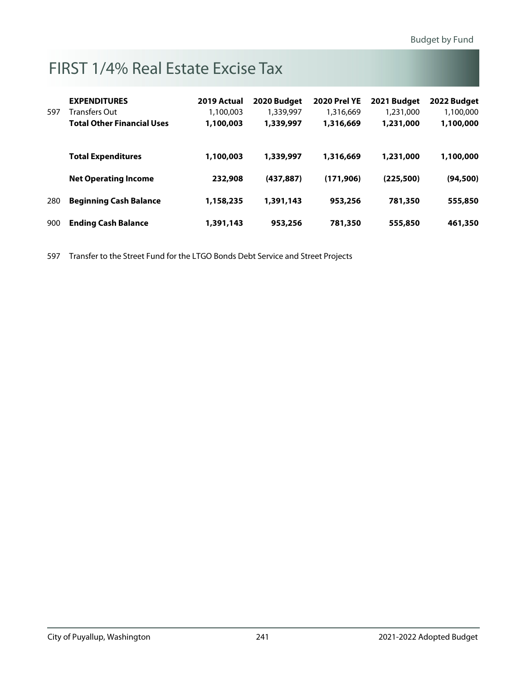# FIRST 1/4% Real Estate Excise Tax

|     | <b>EXPENDITURES</b>               | 2019 Actual | 2020 Budget | <b>2020 Prel YE</b> | 2021 Budget | 2022 Budget |
|-----|-----------------------------------|-------------|-------------|---------------------|-------------|-------------|
| 597 | Transfers Out                     | 1,100,003   | 1,339,997   | 1,316,669           | 1,231,000   | 1,100,000   |
|     | <b>Total Other Financial Uses</b> | 1,100,003   | 1,339,997   | 1,316,669           | 1,231,000   | 1,100,000   |
|     | <b>Total Expenditures</b>         | 1,100,003   | 1,339,997   | 1,316,669           | 1,231,000   | 1,100,000   |
|     | <b>Net Operating Income</b>       | 232,908     | (437, 887)  | (171, 906)          | (225, 500)  | (94, 500)   |
| 280 | <b>Beginning Cash Balance</b>     | 1,158,235   | 1,391,143   | 953,256             | 781,350     | 555,850     |
| 900 | <b>Ending Cash Balance</b>        | 1,391,143   | 953,256     | 781,350             | 555,850     | 461,350     |

597 Transfer to the Street Fund for the LTGO Bonds Debt Service and Street Projects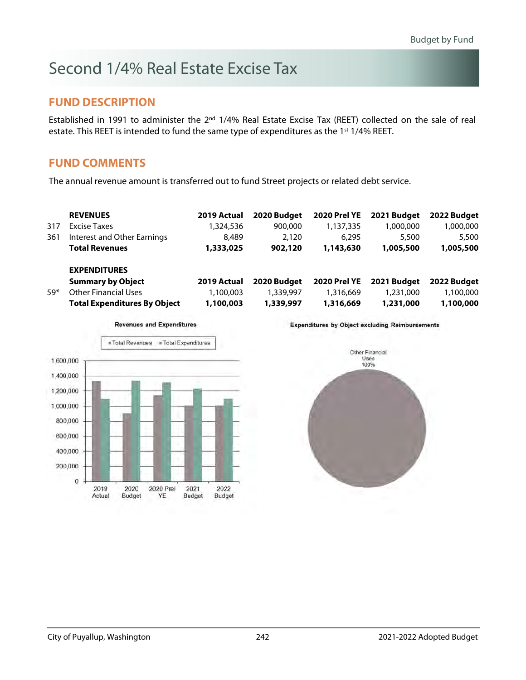# Second 1/4% Real Estate Excise Tax

#### **FUND DESCRIPTION**

Established in 1991 to administer the 2<sup>nd</sup> 1/4% Real Estate Excise Tax (REET) collected on the sale of real estate. This REET is intended to fund the same type of expenditures as the 1<sup>st</sup> 1/4% REET.

#### **FUND COMMENTS**

The annual revenue amount is transferred out to fund Street projects or related debt service.

|       | <b>REVENUES</b>                     | 2019 Actual | 2020 Budget | <b>2020 Prel YE</b> | 2021 Budget | 2022 Budget |
|-------|-------------------------------------|-------------|-------------|---------------------|-------------|-------------|
| 317   | Excise Taxes                        | 1,324,536   | 900,000     | 1,137,335           | 1,000,000   | 1,000,000   |
| 361   | Interest and Other Earnings         | 8,489       | 2,120       | 6.295               | 5,500       | 5,500       |
|       | <b>Total Revenues</b>               | 1,333,025   | 902,120     | 1,143,630           | 1,005,500   | 1,005,500   |
|       | <b>EXPENDITURES</b>                 |             |             |                     |             |             |
|       | <b>Summary by Object</b>            | 2019 Actual | 2020 Budget | <b>2020 Prel YE</b> | 2021 Budget | 2022 Budget |
| $59*$ | <b>Other Financial Uses</b>         | 1,100,003   | 1,339,997   | 1,316,669           | 1,231,000   | 1,100,000   |
|       | <b>Total Expenditures By Object</b> | 1,100,003   | 1,339,997   | 1,316,669           | 1,231,000   | 1,100,000   |



**Expenditures by Object excluding Reimbursements** 

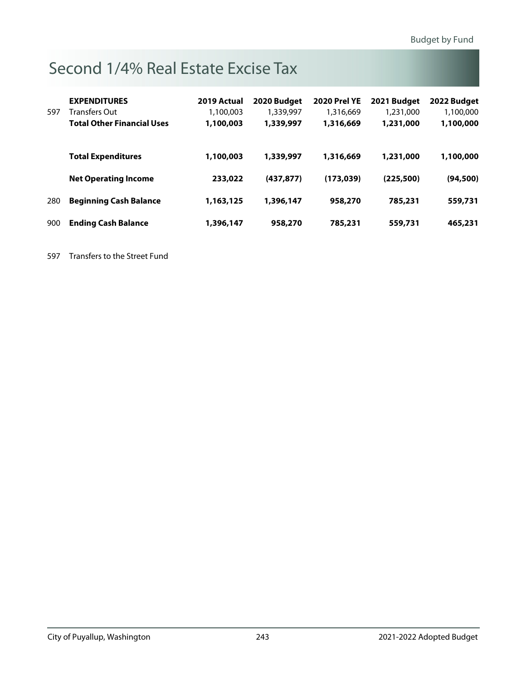# Second 1/4% Real Estate Excise Tax

|     | <b>EXPENDITURES</b>               | 2019 Actual | 2020 Budget | <b>2020 Prel YE</b> | 2021 Budget | 2022 Budget |
|-----|-----------------------------------|-------------|-------------|---------------------|-------------|-------------|
| 597 | Transfers Out                     | 1,100,003   | 1,339,997   | 1,316,669           | 1,231,000   | 1,100,000   |
|     | <b>Total Other Financial Uses</b> | 1,100,003   | 1,339,997   | 1,316,669           | 1,231,000   | 1,100,000   |
|     | <b>Total Expenditures</b>         | 1,100,003   | 1,339,997   | 1,316,669           | 1,231,000   | 1,100,000   |
|     | <b>Net Operating Income</b>       | 233,022     | (437.877)   | (173, 039)          | (225, 500)  | (94, 500)   |
| 280 | <b>Beginning Cash Balance</b>     | 1,163,125   | 1,396,147   | 958,270             | 785,231     | 559,731     |
| 900 | <b>Ending Cash Balance</b>        | 1,396,147   | 958,270     | 785,231             | 559,731     | 465,231     |

597 Transfers to the Street Fund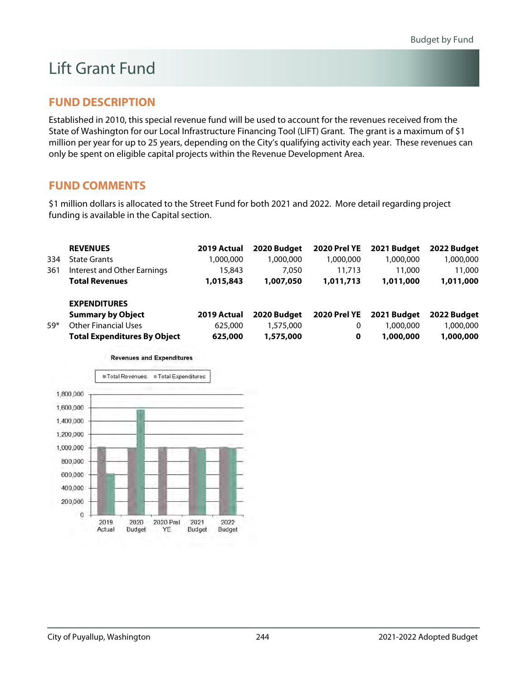# Lift Grant Fund

### **FUND DESCRIPTION**

Established in 2010, this special revenue fund will be used to account for the revenues received from the State of Washington for our Local Infrastructure Financing Tool (LIFT) Grant. The grant is a maximum of \$1 million per year for up to 25 years, depending on the City's qualifying activity each year. These revenues can only be spent on eligible capital projects within the Revenue Development Area.

### **FUND COMMENTS**

\$1 million dollars is allocated to the Street Fund for both 2021 and 2022. More detail regarding project funding is available in the Capital section.

|       | <b>REVENUES</b>                     | 2019 Actual | 2020 Budget | <b>2020 Prel YE</b> | 2021 Budget | 2022 Budget |
|-------|-------------------------------------|-------------|-------------|---------------------|-------------|-------------|
| 334   | <b>State Grants</b>                 | 1,000,000   | 1,000,000   | 1,000,000           | 1,000,000   | 1,000,000   |
| 361   | Interest and Other Earnings         | 15,843      | 7.050       | 11,713              | 11,000      | 11,000      |
|       | <b>Total Revenues</b>               | 1,015,843   | 1,007,050   | 1,011,713           | 1,011,000   | 1,011,000   |
|       | <b>EXPENDITURES</b>                 |             |             |                     |             |             |
|       | <b>Summary by Object</b>            | 2019 Actual | 2020 Budget | <b>2020 Prel YE</b> | 2021 Budget | 2022 Budget |
| $59*$ | Other Financial Uses                | 625,000     | 1,575,000   | 0                   | 1.000.000   | 1,000,000   |
|       | <b>Total Expenditures By Object</b> | 625,000     | 1,575,000   | 0                   | 1,000,000   | 1,000,000   |



**Revenues and Expenditures**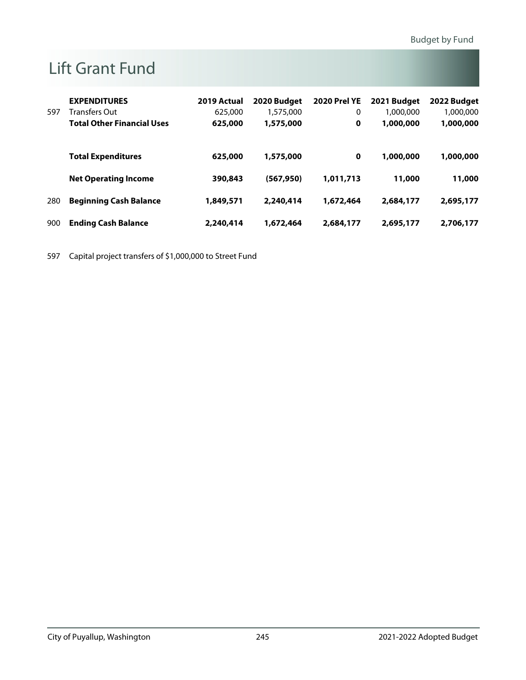# Lift Grant Fund

|     | <b>EXPENDITURES</b>               | 2019 Actual | 2020 Budget | <b>2020 Prel YE</b> | 2021 Budget | 2022 Budget |
|-----|-----------------------------------|-------------|-------------|---------------------|-------------|-------------|
| 597 | Transfers Out                     | 625,000     | 1,575,000   | 0                   | 1,000,000   | 1,000,000   |
|     | <b>Total Other Financial Uses</b> | 625,000     | 1,575,000   | 0                   | 1,000,000   | 1,000,000   |
|     |                                   |             |             |                     |             |             |
|     | <b>Total Expenditures</b>         | 625,000     | 1,575,000   | 0                   | 1,000,000   | 1,000,000   |
|     | <b>Net Operating Income</b>       | 390,843     | (567, 950)  | 1,011,713           | 11,000      | 11,000      |
|     |                                   |             |             |                     |             |             |
| 280 | <b>Beginning Cash Balance</b>     | 1,849,571   | 2,240,414   | 1,672,464           | 2,684,177   | 2,695,177   |
| 900 | <b>Ending Cash Balance</b>        | 2,240,414   | 1,672,464   | 2,684,177           | 2,695,177   | 2,706,177   |

597 Capital project transfers of \$1,000,000 to Street Fund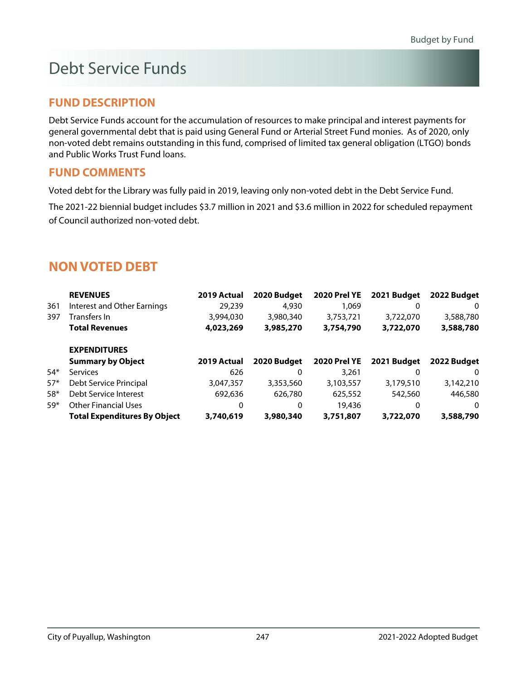### **FUND DESCRIPTION**

Debt Service Funds account for the accumulation of resources to make principal and interest payments for general governmental debt that is paid using General Fund or Arterial Street Fund monies. As of 2020, only non-voted debt remains outstanding in this fund, comprised of limited tax general obligation (LTGO) bonds and Public Works Trust Fund loans.

### **FUND COMMENTS**

Voted debt for the Library was fully paid in 2019, leaving only non-voted debt in the Debt Service Fund.

The 2021-22 biennial budget includes \$3.7 million in 2021 and \$3.6 million in 2022 for scheduled repayment of Council authorized non-voted debt.

### **NON VOTED DEBT**

|       | <b>REVENUES</b>                     | 2019 Actual | 2020 Budget | <b>2020 Prel YE</b> | 2021 Budget | 2022 Budget |
|-------|-------------------------------------|-------------|-------------|---------------------|-------------|-------------|
| 361   | Interest and Other Earnings         | 29,239      | 4,930       | 1.069               | 0           | 0           |
| 397   | Transfers In                        | 3,994,030   | 3,980,340   | 3,753,721           | 3,722,070   | 3,588,780   |
|       | <b>Total Revenues</b>               | 4,023,269   | 3,985,270   | 3,754,790           | 3,722,070   | 3,588,780   |
|       | <b>EXPENDITURES</b>                 |             |             |                     |             |             |
|       | <b>Summary by Object</b>            | 2019 Actual | 2020 Budget | <b>2020 Prel YE</b> | 2021 Budget | 2022 Budget |
| $54*$ | Services                            | 626         | 0           | 3,261               |             | 0           |
| $57*$ | Debt Service Principal              | 3,047,357   | 3,353,560   | 3,103,557           | 3,179,510   | 3,142,210   |
| $58*$ | Debt Service Interest               | 692,636     | 626,780     | 625,552             | 542,560     | 446,580     |
| $59*$ | <b>Other Financial Uses</b>         | 0           | 0           | 19,436              | 0           | 0           |
|       | <b>Total Expenditures By Object</b> | 3,740,619   | 3,980,340   | 3,751,807           | 3,722,070   | 3,588,790   |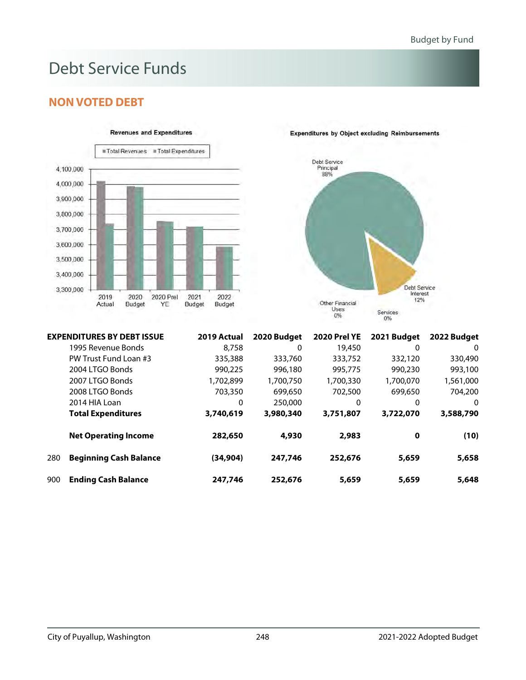### **NON VOTED DEBT**

**EXPENDITURES BY DEBT ISSUE** 





|     | <b>EXPENDITURES BY DEBT ISSUE</b> | 2019 Actual | 2020 Budget | <b>2020 Prel YE</b> | 2021 Budget | 2022 Budget |
|-----|-----------------------------------|-------------|-------------|---------------------|-------------|-------------|
|     | 1995 Revenue Bonds                | 8.758       | 0           | 19,450              | 0           | 0           |
|     | PW Trust Fund Loan #3             | 335,388     | 333,760     | 333,752             | 332,120     | 330,490     |
|     | 2004 LTGO Bonds                   | 990,225     | 996,180     | 995,775             | 990,230     | 993,100     |
|     | 2007 LTGO Bonds                   | 1.702.899   | 1,700,750   | 1,700,330           | 1,700,070   | 1,561,000   |
|     | 2008 LTGO Bonds                   | 703,350     | 699,650     | 702,500             | 699,650     | 704,200     |
|     | 2014 HIA Loan                     | 0           | 250,000     | 0                   | 0           | 0           |
|     | <b>Total Expenditures</b>         | 3,740,619   | 3,980,340   | 3,751,807           | 3,722,070   | 3,588,790   |
|     | <b>Net Operating Income</b>       | 282,650     | 4,930       | 2,983               | $\mathbf 0$ | (10)        |
| 280 | <b>Beginning Cash Balance</b>     | (34, 904)   | 247,746     | 252,676             | 5,659       | 5,658       |
| 900 | <b>Ending Cash Balance</b>        | 247,746     | 252,676     | 5,659               | 5,659       | 5,648       |

#### **Expenditures by Object excluding Reimbursements**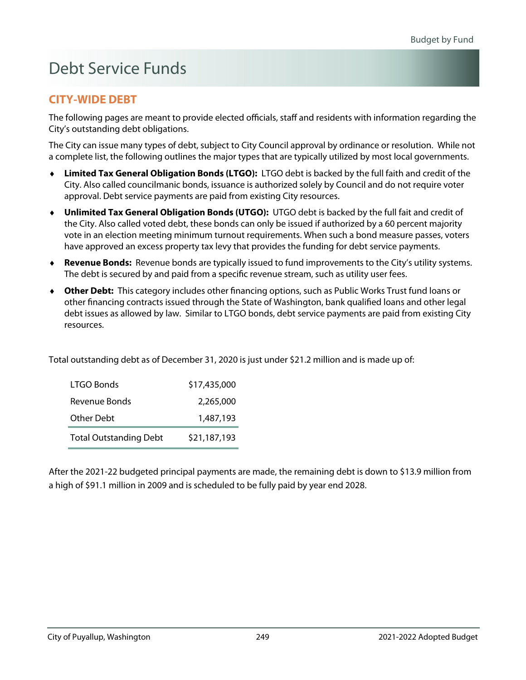### **CITY-WIDE DEBT**

The following pages are meant to provide elected officials, staff and residents with information regarding the City's outstanding debt obligations.

The City can issue many types of debt, subject to City Council approval by ordinance or resolution. While not a complete list, the following outlines the major types that are typically utilized by most local governments.

- **Limited Tax General Obligation Bonds (LTGO):** LTGO debt is backed by the full faith and credit of the City. Also called councilmanic bonds, issuance is authorized solely by Council and do not require voter approval. Debt service payments are paid from existing City resources.
- **Unlimited Tax General Obligation Bonds (UTGO):** UTGO debt is backed by the full fait and credit of the City. Also called voted debt, these bonds can only be issued if authorized by a 60 percent majority vote in an election meeting minimum turnout requirements. When such a bond measure passes, voters have approved an excess property tax levy that provides the funding for debt service payments.
- **Revenue Bonds:** Revenue bonds are typically issued to fund improvements to the City's utility systems. The debt is secured by and paid from a specific revenue stream, such as utility user fees.
- **Other Debt:** This category includes other financing options, such as Public Works Trust fund loans or other financing contracts issued through the State of Washington, bank qualified loans and other legal debt issues as allowed by law. Similar to LTGO bonds, debt service payments are paid from existing City resources.

| LTGO Bonds                    | \$17,435,000 |
|-------------------------------|--------------|
| Revenue Bonds                 | 2,265,000    |
| <b>Other Debt</b>             | 1,487,193    |
| <b>Total Outstanding Debt</b> | \$21,187,193 |

After the 2021-22 budgeted principal payments are made, the remaining debt is down to \$13.9 million from a high of \$91.1 million in 2009 and is scheduled to be fully paid by year end 2028.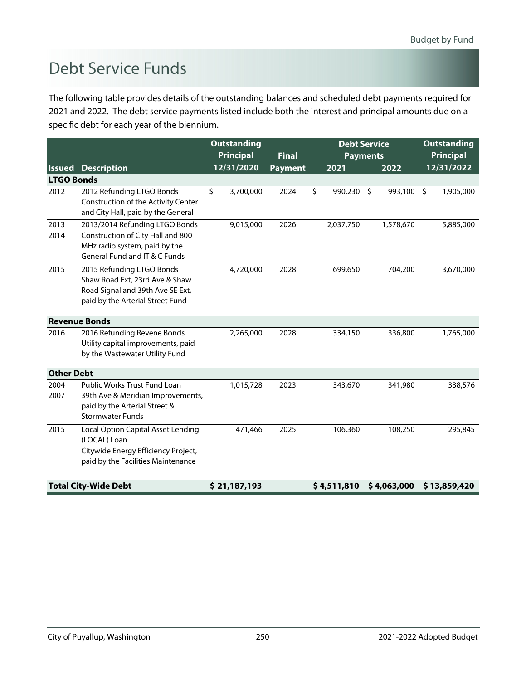The following table provides details of the outstanding balances and scheduled debt payments required for 2021 and 2022. The debt service payments listed include both the interest and principal amounts due on a specific debt for each year of the biennium.

|                   |                                                                                                                                       | <b>Outstanding</b> |                |    | <b>Debt Service</b> | <b>Outstanding</b> |                      |  |
|-------------------|---------------------------------------------------------------------------------------------------------------------------------------|--------------------|----------------|----|---------------------|--------------------|----------------------|--|
|                   |                                                                                                                                       | <b>Principal</b>   | <b>Final</b>   |    | <b>Payments</b>     | <b>Principal</b>   |                      |  |
| <b>Issued</b>     | <b>Description</b>                                                                                                                    | 12/31/2020         | <b>Payment</b> |    | 2021                | 2022               | 12/31/2022           |  |
| <b>LTGO Bonds</b> |                                                                                                                                       |                    |                |    |                     |                    |                      |  |
| 2012              | 2012 Refunding LTGO Bonds<br>Construction of the Activity Center<br>and City Hall, paid by the General                                | \$<br>3,700,000    | 2024           | \$ | 990,230 \$          | 993,100            | $\zeta$<br>1,905,000 |  |
| 2013<br>2014      | 2013/2014 Refunding LTGO Bonds<br>Construction of City Hall and 800<br>MHz radio system, paid by the<br>General Fund and IT & C Funds | 9,015,000          | 2026           |    | 2,037,750           | 1,578,670          | 5,885,000            |  |
| 2015              | 2015 Refunding LTGO Bonds<br>Shaw Road Ext, 23rd Ave & Shaw<br>Road Signal and 39th Ave SE Ext,<br>paid by the Arterial Street Fund   | 4,720,000          | 2028           |    | 699,650             | 704,200            | 3,670,000            |  |
|                   | <b>Revenue Bonds</b>                                                                                                                  |                    |                |    |                     |                    |                      |  |
| 2016              | 2016 Refunding Revene Bonds<br>Utility capital improvements, paid<br>by the Wastewater Utility Fund                                   | 2,265,000          | 2028           |    | 334,150             | 336,800            | 1,765,000            |  |
| <b>Other Debt</b> |                                                                                                                                       |                    |                |    |                     |                    |                      |  |
| 2004<br>2007      | Public Works Trust Fund Loan<br>39th Ave & Meridian Improvements,<br>paid by the Arterial Street &<br><b>Stormwater Funds</b>         | 1,015,728          | 2023           |    | 343,670             | 341,980            | 338,576              |  |
| 2015              | Local Option Capital Asset Lending<br>(LOCAL) Loan<br>Citywide Energy Efficiency Project,<br>paid by the Facilities Maintenance       | 471,466            | 2025           |    | 106,360             | 108,250            | 295,845              |  |
|                   | <b>Total City-Wide Debt</b>                                                                                                           | \$21,187,193       |                |    | \$4,511,810         | \$4,063,000        | \$13,859,420         |  |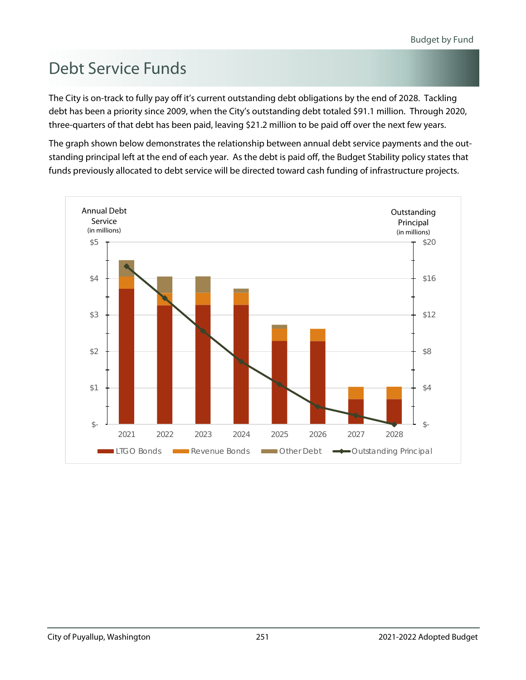The City is on-track to fully pay off it's current outstanding debt obligations by the end of 2028. Tackling debt has been a priority since 2009, when the City's outstanding debt totaled \$91.1 million. Through 2020, three-quarters of that debt has been paid, leaving \$21.2 million to be paid off over the next few years.

The graph shown below demonstrates the relationship between annual debt service payments and the outstanding principal left at the end of each year. As the debt is paid off, the Budget Stability policy states that funds previously allocated to debt service will be directed toward cash funding of infrastructure projects.

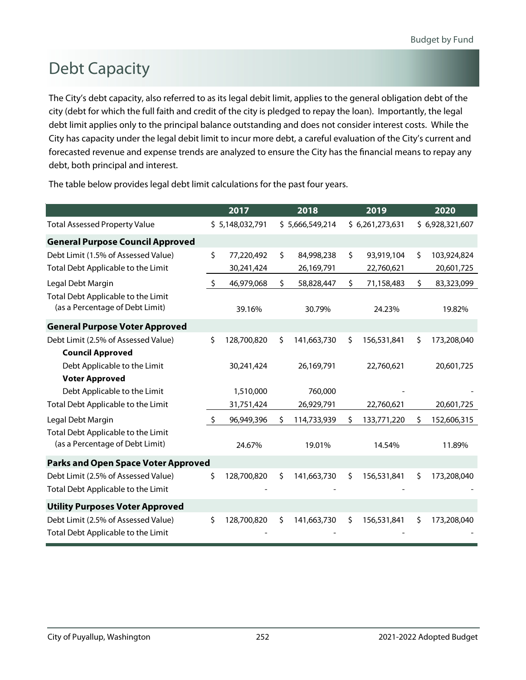# Debt Capacity

The City's debt capacity, also referred to as its legal debit limit, applies to the general obligation debt of the city (debt for which the full faith and credit of the city is pledged to repay the loan). Importantly, the legal debt limit applies only to the principal balance outstanding and does not consider interest costs. While the City has capacity under the legal debit limit to incur more debt, a careful evaluation of the City's current and forecasted revenue and expense trends are analyzed to ensure the City has the financial means to repay any debt, both principal and interest.

|                                                                       |    | 2017            |    | 2018            |    | 2019            |     | 2020            |
|-----------------------------------------------------------------------|----|-----------------|----|-----------------|----|-----------------|-----|-----------------|
| <b>Total Assessed Property Value</b>                                  |    | \$5,148,032,791 |    | \$5,666,549,214 |    | \$6,261,273,631 |     | \$6,928,321,607 |
| <b>General Purpose Council Approved</b>                               |    |                 |    |                 |    |                 |     |                 |
| Debt Limit (1.5% of Assessed Value)                                   | \$ | 77,220,492      | Ś. | 84,998,238      | \$ | 93,919,104      | \$  | 103,924,824     |
| Total Debt Applicable to the Limit                                    |    | 30,241,424      |    | 26,169,791      |    | 22,760,621      |     | 20,601,725      |
| Legal Debt Margin                                                     | \$ | 46,979,068      | \$ | 58,828,447      | \$ | 71,158,483      | \$  | 83,323,099      |
| Total Debt Applicable to the Limit<br>(as a Percentage of Debt Limit) |    | 39.16%          |    | 30.79%          |    | 24.23%          |     | 19.82%          |
| <b>General Purpose Voter Approved</b>                                 |    |                 |    |                 |    |                 |     |                 |
| Debt Limit (2.5% of Assessed Value)                                   | \$ | 128,700,820     | \$ | 141,663,730     | \$ | 156,531,841     | \$  | 173,208,040     |
| <b>Council Approved</b>                                               |    |                 |    |                 |    |                 |     |                 |
| Debt Applicable to the Limit                                          |    | 30,241,424      |    | 26,169,791      |    | 22,760,621      |     | 20,601,725      |
| <b>Voter Approved</b>                                                 |    |                 |    |                 |    |                 |     |                 |
| Debt Applicable to the Limit                                          |    | 1,510,000       |    | 760,000         |    |                 |     |                 |
| Total Debt Applicable to the Limit                                    |    | 31,751,424      |    | 26,929,791      |    | 22,760,621      |     | 20,601,725      |
| Legal Debt Margin                                                     | Ŝ. | 96,949,396      | Ŝ. | 114,733,939     | Ŝ. | 133,771,220     | Ŝ.  | 152,606,315     |
| Total Debt Applicable to the Limit<br>(as a Percentage of Debt Limit) |    | 24.67%          |    | 19.01%          |    | 14.54%          |     | 11.89%          |
| <b>Parks and Open Space Voter Approved</b>                            |    |                 |    |                 |    |                 |     |                 |
| Debt Limit (2.5% of Assessed Value)                                   | \$ | 128,700,820     | \$ | 141,663,730     | \$ | 156,531,841     | \$  | 173,208,040     |
| Total Debt Applicable to the Limit                                    |    |                 |    |                 |    |                 |     |                 |
| <b>Utility Purposes Voter Approved</b>                                |    |                 |    |                 |    |                 |     |                 |
| Debt Limit (2.5% of Assessed Value)                                   | Ŝ. | 128,700,820     | \$ | 141,663,730     | \$ | 156,531,841     | \$. | 173,208,040     |
| Total Debt Applicable to the Limit                                    |    |                 |    |                 |    |                 |     |                 |

The table below provides legal debt limit calculations for the past four years.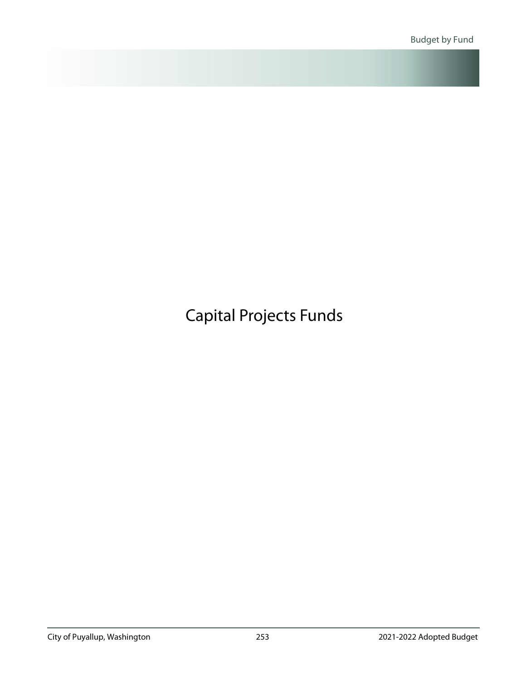# <span id="page-39-0"></span>Capital Projects Funds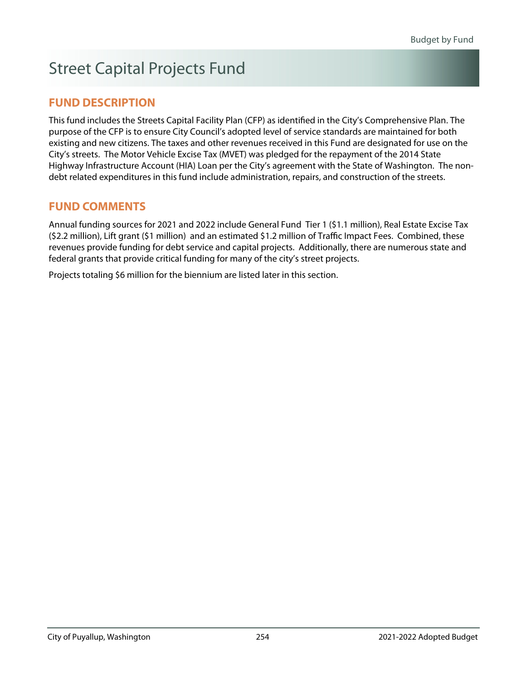# Street Capital Projects Fund

### **FUND DESCRIPTION**

This fund includes the Streets Capital Facility Plan (CFP) as identified in the City's Comprehensive Plan. The purpose of the CFP is to ensure City Council's adopted level of service standards are maintained for both existing and new citizens. The taxes and other revenues received in this Fund are designated for use on the City's streets. The Motor Vehicle Excise Tax (MVET) was pledged for the repayment of the 2014 State Highway Infrastructure Account (HIA) Loan per the City's agreement with the State of Washington. The nondebt related expenditures in this fund include administration, repairs, and construction of the streets.

### **FUND COMMENTS**

Annual funding sources for 2021 and 2022 include General Fund Tier 1 (\$1.1 million), Real Estate Excise Tax (\$2.2 million), Lift grant (\$1 million) and an estimated \$1.2 million of Traffic Impact Fees. Combined, these revenues provide funding for debt service and capital projects. Additionally, there are numerous state and federal grants that provide critical funding for many of the city's street projects.

Projects totaling \$6 million for the biennium are listed later in this section.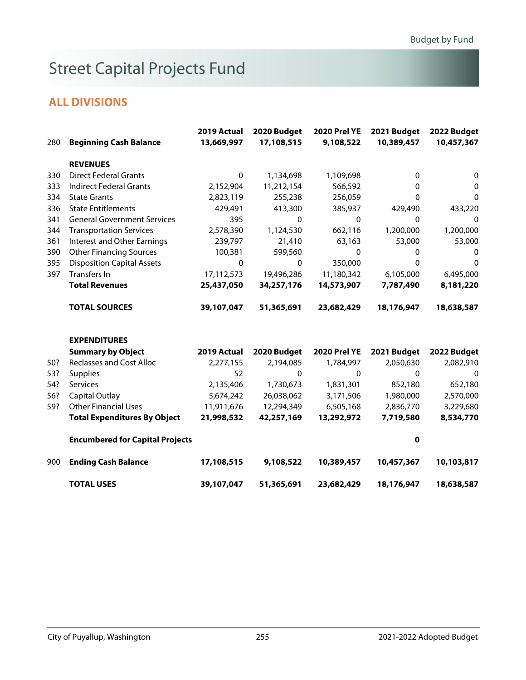# Street Capital Projects Fund

| 280 | <b>Beginning Cash Balance</b>          | 2019 Actual<br>13,669,997 | 2020 Budget<br>17,108,515 | <b>2020 Prel YE</b><br>9,108,522 | 2021 Budget<br>10,389,457 | 2022 Budget<br>10,457,367 |
|-----|----------------------------------------|---------------------------|---------------------------|----------------------------------|---------------------------|---------------------------|
|     | <b>REVENUES</b>                        |                           |                           |                                  |                           |                           |
| 330 | <b>Direct Federal Grants</b>           | $\mathbf{0}$              | 1,134,698                 | 1,109,698                        | $\mathbf{0}$              | 0                         |
| 333 | <b>Indirect Federal Grants</b>         | 2,152,904                 | 11,212,154                | 566,592                          | $\mathbf{0}$              | 0                         |
| 334 | <b>State Grants</b>                    | 2,823,119                 | 255,238                   | 256,059                          | 0                         | 0                         |
| 336 | <b>State Entitlements</b>              | 429,491                   | 413,300                   | 385,937                          | 429,490                   | 433,220                   |
| 341 | <b>General Government Services</b>     | 395                       | $\Omega$                  | $\Omega$                         | $\Omega$                  | $\Omega$                  |
| 344 | <b>Transportation Services</b>         | 2,578,390                 | 1,124,530                 | 662,116                          | 1,200,000                 | 1,200,000                 |
| 361 | <b>Interest and Other Earnings</b>     | 239,797                   | 21,410                    | 63,163                           | 53,000                    | 53,000                    |
| 390 | <b>Other Financing Sources</b>         | 100,381                   | 599,560                   | $\Omega$                         | 0                         | 0                         |
| 395 | <b>Disposition Capital Assets</b>      | $\mathbf{0}$              | 0                         | 350,000                          | 0                         | $\Omega$                  |
| 397 | Transfers In                           | 17,112,573                | 19,496,286                | 11,180,342                       | 6,105,000                 | 6,495,000                 |
|     | <b>Total Revenues</b>                  | 25,437,050                | 34,257,176                | 14,573,907                       | 7,787,490                 | 8,181,220                 |
|     | <b>TOTAL SOURCES</b>                   | 39,107,047                | 51,365,691                | 23,682,429                       | 18,176,947                | 18,638,587                |
|     | <b>EXPENDITURES</b>                    |                           |                           |                                  |                           |                           |
|     | <b>Summary by Object</b>               | 2019 Actual               | 2020 Budget               | <b>2020 Prel YE</b>              | 2021 Budget               | 2022 Budget               |
| 50? | <b>Reclasses and Cost Alloc</b>        | 2,277,155                 | 2,194,085                 | 1,784,997                        | 2,050,630                 | 2,082,910                 |
| 53? | <b>Supplies</b>                        | 52                        | $\mathbf{0}$              | $\mathbf{0}$                     | $\mathbf{0}$              | $\mathbf{0}$              |
| 54? | Services                               | 2,135,406                 | 1,730,673                 | 1,831,301                        | 852,180                   | 652,180                   |
| 56? | Capital Outlay                         | 5,674,242                 | 26,038,062                | 3,171,506                        | 1,980,000                 | 2,570,000                 |
| 59? | <b>Other Financial Uses</b>            | 11,911,676                | 12,294,349                | 6,505,168                        | 2,836,770                 | 3,229,680                 |
|     | <b>Total Expenditures By Object</b>    | 21,998,532                | 42,257,169                | 13,292,972                       | 7,719,580                 | 8,534,770                 |
|     | <b>Encumbered for Capital Projects</b> |                           |                           |                                  | 0                         |                           |
| 900 | <b>Ending Cash Balance</b>             | 17,108,515                | 9,108,522                 | 10,389,457                       | 10,457,367                | 10,103,817                |
|     | <b>TOTAL USES</b>                      | 39,107,047                | 51,365,691                | 23,682,429                       | 18,176,947                | 18,638,587                |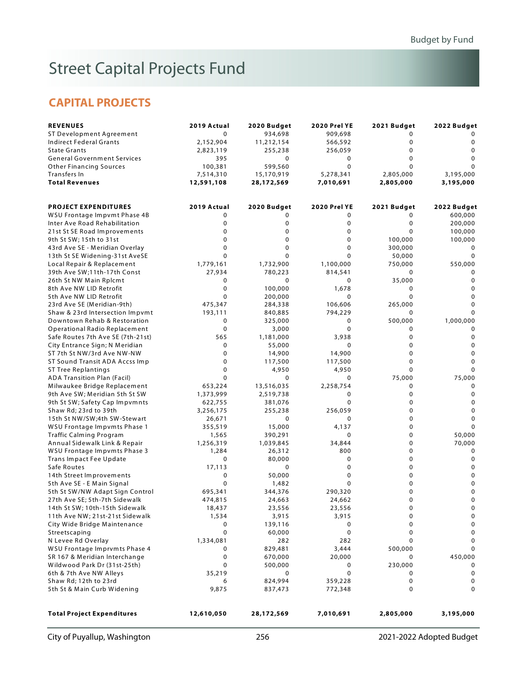# Street Capital Projects Fund

### **CAPITAL PROJECTS**

| 934,698<br>11,212,154<br>255,238<br>0<br>599,560<br>15,170,919<br>28,172,569<br>2020 Budget<br>0<br>0<br>$\Omega$<br>$\mathbf 0$<br>$\Omega$<br>$\Omega$<br>1,732,900<br>780,223<br>$\mathbf 0$<br>100,000<br>200,000<br>284,338<br>840,885<br>325,000<br>3,000<br>1,181,000<br>55,000<br>14,900<br>117,500<br>4,950<br>$\mathbf 0$<br>13,516,035<br>2,519,738<br>381,076 | 909,698<br>566,592<br>256,059<br>0<br>$\mathbf 0$<br>5,278,341<br>7,010,691<br><b>2020 Prel YE</b><br>0<br>0<br>$\mathbf 0$<br>0<br>$\mathbf 0$<br>$\mathbf 0$<br>1,100,000<br>814,541<br>0<br>1,678<br>$\mathbf 0$<br>106,606<br>794,229<br>0<br>$\mathbf 0$<br>3,938<br>$\mathbf 0$<br>14,900<br>117,500<br>4,950<br>$\mathbf 0$<br>2,258,754<br>0 | 0<br>0<br>$\mathbf 0$<br>$\mathbf 0$<br>$\Omega$<br>2,805,000<br>2,805,000<br>2021 Budget<br>0<br>0<br>$\Omega$<br>100,000<br>300,000<br>50,000<br>750,000<br>0<br>35,000<br>0<br>$\Omega$<br>265,000<br>0<br>500,000<br>0<br>$\mathbf 0$<br>$\mathbf 0$<br>0<br>$\mathbf 0$<br>$\Omega$<br>75,000<br>0 | 0<br>$\mathbf 0$<br>$\Omega$<br>$\Omega$<br>3,195,000<br>3,195,000<br>2022 Budget<br>600,000<br>200,000<br>100,000<br>100,000<br>0<br>$\Omega$<br>550,000<br>0<br>$\mathbf 0$<br>0<br>$\mathbf 0$<br>$\Omega$<br>1,000,000<br>$\mathbf 0$<br>$\mathbf 0$<br>$\mathbf 0$<br>$\mathbf 0$<br>$\Omega$<br>75,000 |
|---------------------------------------------------------------------------------------------------------------------------------------------------------------------------------------------------------------------------------------------------------------------------------------------------------------------------------------------------------------------------|------------------------------------------------------------------------------------------------------------------------------------------------------------------------------------------------------------------------------------------------------------------------------------------------------------------------------------------------------|---------------------------------------------------------------------------------------------------------------------------------------------------------------------------------------------------------------------------------------------------------------------------------------------------------|--------------------------------------------------------------------------------------------------------------------------------------------------------------------------------------------------------------------------------------------------------------------------------------------------------------|
|                                                                                                                                                                                                                                                                                                                                                                           |                                                                                                                                                                                                                                                                                                                                                      |                                                                                                                                                                                                                                                                                                         |                                                                                                                                                                                                                                                                                                              |
|                                                                                                                                                                                                                                                                                                                                                                           |                                                                                                                                                                                                                                                                                                                                                      |                                                                                                                                                                                                                                                                                                         |                                                                                                                                                                                                                                                                                                              |
|                                                                                                                                                                                                                                                                                                                                                                           |                                                                                                                                                                                                                                                                                                                                                      |                                                                                                                                                                                                                                                                                                         |                                                                                                                                                                                                                                                                                                              |
|                                                                                                                                                                                                                                                                                                                                                                           |                                                                                                                                                                                                                                                                                                                                                      |                                                                                                                                                                                                                                                                                                         |                                                                                                                                                                                                                                                                                                              |
|                                                                                                                                                                                                                                                                                                                                                                           |                                                                                                                                                                                                                                                                                                                                                      |                                                                                                                                                                                                                                                                                                         |                                                                                                                                                                                                                                                                                                              |
|                                                                                                                                                                                                                                                                                                                                                                           |                                                                                                                                                                                                                                                                                                                                                      |                                                                                                                                                                                                                                                                                                         |                                                                                                                                                                                                                                                                                                              |
|                                                                                                                                                                                                                                                                                                                                                                           |                                                                                                                                                                                                                                                                                                                                                      |                                                                                                                                                                                                                                                                                                         |                                                                                                                                                                                                                                                                                                              |
|                                                                                                                                                                                                                                                                                                                                                                           |                                                                                                                                                                                                                                                                                                                                                      |                                                                                                                                                                                                                                                                                                         |                                                                                                                                                                                                                                                                                                              |
|                                                                                                                                                                                                                                                                                                                                                                           |                                                                                                                                                                                                                                                                                                                                                      |                                                                                                                                                                                                                                                                                                         |                                                                                                                                                                                                                                                                                                              |
|                                                                                                                                                                                                                                                                                                                                                                           |                                                                                                                                                                                                                                                                                                                                                      |                                                                                                                                                                                                                                                                                                         |                                                                                                                                                                                                                                                                                                              |
|                                                                                                                                                                                                                                                                                                                                                                           |                                                                                                                                                                                                                                                                                                                                                      |                                                                                                                                                                                                                                                                                                         |                                                                                                                                                                                                                                                                                                              |
|                                                                                                                                                                                                                                                                                                                                                                           |                                                                                                                                                                                                                                                                                                                                                      |                                                                                                                                                                                                                                                                                                         |                                                                                                                                                                                                                                                                                                              |
|                                                                                                                                                                                                                                                                                                                                                                           |                                                                                                                                                                                                                                                                                                                                                      |                                                                                                                                                                                                                                                                                                         |                                                                                                                                                                                                                                                                                                              |
|                                                                                                                                                                                                                                                                                                                                                                           |                                                                                                                                                                                                                                                                                                                                                      |                                                                                                                                                                                                                                                                                                         |                                                                                                                                                                                                                                                                                                              |
|                                                                                                                                                                                                                                                                                                                                                                           |                                                                                                                                                                                                                                                                                                                                                      |                                                                                                                                                                                                                                                                                                         |                                                                                                                                                                                                                                                                                                              |
|                                                                                                                                                                                                                                                                                                                                                                           |                                                                                                                                                                                                                                                                                                                                                      |                                                                                                                                                                                                                                                                                                         |                                                                                                                                                                                                                                                                                                              |
|                                                                                                                                                                                                                                                                                                                                                                           |                                                                                                                                                                                                                                                                                                                                                      |                                                                                                                                                                                                                                                                                                         |                                                                                                                                                                                                                                                                                                              |
|                                                                                                                                                                                                                                                                                                                                                                           |                                                                                                                                                                                                                                                                                                                                                      |                                                                                                                                                                                                                                                                                                         |                                                                                                                                                                                                                                                                                                              |
|                                                                                                                                                                                                                                                                                                                                                                           |                                                                                                                                                                                                                                                                                                                                                      |                                                                                                                                                                                                                                                                                                         |                                                                                                                                                                                                                                                                                                              |
|                                                                                                                                                                                                                                                                                                                                                                           |                                                                                                                                                                                                                                                                                                                                                      |                                                                                                                                                                                                                                                                                                         |                                                                                                                                                                                                                                                                                                              |
|                                                                                                                                                                                                                                                                                                                                                                           |                                                                                                                                                                                                                                                                                                                                                      |                                                                                                                                                                                                                                                                                                         |                                                                                                                                                                                                                                                                                                              |
|                                                                                                                                                                                                                                                                                                                                                                           |                                                                                                                                                                                                                                                                                                                                                      |                                                                                                                                                                                                                                                                                                         |                                                                                                                                                                                                                                                                                                              |
|                                                                                                                                                                                                                                                                                                                                                                           |                                                                                                                                                                                                                                                                                                                                                      |                                                                                                                                                                                                                                                                                                         |                                                                                                                                                                                                                                                                                                              |
|                                                                                                                                                                                                                                                                                                                                                                           |                                                                                                                                                                                                                                                                                                                                                      |                                                                                                                                                                                                                                                                                                         |                                                                                                                                                                                                                                                                                                              |
|                                                                                                                                                                                                                                                                                                                                                                           |                                                                                                                                                                                                                                                                                                                                                      |                                                                                                                                                                                                                                                                                                         |                                                                                                                                                                                                                                                                                                              |
|                                                                                                                                                                                                                                                                                                                                                                           |                                                                                                                                                                                                                                                                                                                                                      |                                                                                                                                                                                                                                                                                                         |                                                                                                                                                                                                                                                                                                              |
|                                                                                                                                                                                                                                                                                                                                                                           |                                                                                                                                                                                                                                                                                                                                                      |                                                                                                                                                                                                                                                                                                         |                                                                                                                                                                                                                                                                                                              |
|                                                                                                                                                                                                                                                                                                                                                                           |                                                                                                                                                                                                                                                                                                                                                      |                                                                                                                                                                                                                                                                                                         |                                                                                                                                                                                                                                                                                                              |
|                                                                                                                                                                                                                                                                                                                                                                           |                                                                                                                                                                                                                                                                                                                                                      |                                                                                                                                                                                                                                                                                                         |                                                                                                                                                                                                                                                                                                              |
|                                                                                                                                                                                                                                                                                                                                                                           |                                                                                                                                                                                                                                                                                                                                                      |                                                                                                                                                                                                                                                                                                         |                                                                                                                                                                                                                                                                                                              |
|                                                                                                                                                                                                                                                                                                                                                                           |                                                                                                                                                                                                                                                                                                                                                      |                                                                                                                                                                                                                                                                                                         |                                                                                                                                                                                                                                                                                                              |
|                                                                                                                                                                                                                                                                                                                                                                           |                                                                                                                                                                                                                                                                                                                                                      | 0                                                                                                                                                                                                                                                                                                       | 0                                                                                                                                                                                                                                                                                                            |
|                                                                                                                                                                                                                                                                                                                                                                           | 0                                                                                                                                                                                                                                                                                                                                                    | $\mathbf 0$                                                                                                                                                                                                                                                                                             | 0                                                                                                                                                                                                                                                                                                            |
| 255,238                                                                                                                                                                                                                                                                                                                                                                   | 256,059                                                                                                                                                                                                                                                                                                                                              | 0                                                                                                                                                                                                                                                                                                       | $\mathbf 0$                                                                                                                                                                                                                                                                                                  |
| $\mathbf 0$                                                                                                                                                                                                                                                                                                                                                               | 0                                                                                                                                                                                                                                                                                                                                                    | $\mathbf 0$                                                                                                                                                                                                                                                                                             | $\mathbf 0$                                                                                                                                                                                                                                                                                                  |
| 15,000                                                                                                                                                                                                                                                                                                                                                                    | 4,137                                                                                                                                                                                                                                                                                                                                                | $\mathbf 0$                                                                                                                                                                                                                                                                                             |                                                                                                                                                                                                                                                                                                              |
| 390,291                                                                                                                                                                                                                                                                                                                                                                   | 0                                                                                                                                                                                                                                                                                                                                                    | $\mathbf 0$                                                                                                                                                                                                                                                                                             | 50,000                                                                                                                                                                                                                                                                                                       |
| 1,039,845                                                                                                                                                                                                                                                                                                                                                                 | 34,844                                                                                                                                                                                                                                                                                                                                               | $\mathbf 0$                                                                                                                                                                                                                                                                                             | 70,000                                                                                                                                                                                                                                                                                                       |
| 26,312                                                                                                                                                                                                                                                                                                                                                                    | 800                                                                                                                                                                                                                                                                                                                                                  | 0                                                                                                                                                                                                                                                                                                       | $\mathbf 0$                                                                                                                                                                                                                                                                                                  |
| 80,000                                                                                                                                                                                                                                                                                                                                                                    | 0                                                                                                                                                                                                                                                                                                                                                    | $\mathbf 0$                                                                                                                                                                                                                                                                                             | $\mathbf 0$                                                                                                                                                                                                                                                                                                  |
| 0                                                                                                                                                                                                                                                                                                                                                                         | 0                                                                                                                                                                                                                                                                                                                                                    | 0                                                                                                                                                                                                                                                                                                       | 0                                                                                                                                                                                                                                                                                                            |
| 50,000                                                                                                                                                                                                                                                                                                                                                                    | 0                                                                                                                                                                                                                                                                                                                                                    | $\mathbf 0$                                                                                                                                                                                                                                                                                             | 0                                                                                                                                                                                                                                                                                                            |
| 1,482                                                                                                                                                                                                                                                                                                                                                                     | $\mathbf 0$                                                                                                                                                                                                                                                                                                                                          | $\mathbf 0$                                                                                                                                                                                                                                                                                             | $\mathbf 0$                                                                                                                                                                                                                                                                                                  |
|                                                                                                                                                                                                                                                                                                                                                                           |                                                                                                                                                                                                                                                                                                                                                      |                                                                                                                                                                                                                                                                                                         | 0                                                                                                                                                                                                                                                                                                            |
|                                                                                                                                                                                                                                                                                                                                                                           |                                                                                                                                                                                                                                                                                                                                                      |                                                                                                                                                                                                                                                                                                         | 0                                                                                                                                                                                                                                                                                                            |
|                                                                                                                                                                                                                                                                                                                                                                           |                                                                                                                                                                                                                                                                                                                                                      |                                                                                                                                                                                                                                                                                                         | 0                                                                                                                                                                                                                                                                                                            |
|                                                                                                                                                                                                                                                                                                                                                                           |                                                                                                                                                                                                                                                                                                                                                      |                                                                                                                                                                                                                                                                                                         | 0                                                                                                                                                                                                                                                                                                            |
|                                                                                                                                                                                                                                                                                                                                                                           |                                                                                                                                                                                                                                                                                                                                                      |                                                                                                                                                                                                                                                                                                         | 0                                                                                                                                                                                                                                                                                                            |
|                                                                                                                                                                                                                                                                                                                                                                           |                                                                                                                                                                                                                                                                                                                                                      |                                                                                                                                                                                                                                                                                                         | 0                                                                                                                                                                                                                                                                                                            |
|                                                                                                                                                                                                                                                                                                                                                                           |                                                                                                                                                                                                                                                                                                                                                      |                                                                                                                                                                                                                                                                                                         | 0                                                                                                                                                                                                                                                                                                            |
|                                                                                                                                                                                                                                                                                                                                                                           |                                                                                                                                                                                                                                                                                                                                                      |                                                                                                                                                                                                                                                                                                         | $\mathbf 0$                                                                                                                                                                                                                                                                                                  |
|                                                                                                                                                                                                                                                                                                                                                                           |                                                                                                                                                                                                                                                                                                                                                      |                                                                                                                                                                                                                                                                                                         |                                                                                                                                                                                                                                                                                                              |
|                                                                                                                                                                                                                                                                                                                                                                           |                                                                                                                                                                                                                                                                                                                                                      |                                                                                                                                                                                                                                                                                                         | 450,000                                                                                                                                                                                                                                                                                                      |
|                                                                                                                                                                                                                                                                                                                                                                           |                                                                                                                                                                                                                                                                                                                                                      |                                                                                                                                                                                                                                                                                                         | 0                                                                                                                                                                                                                                                                                                            |
|                                                                                                                                                                                                                                                                                                                                                                           |                                                                                                                                                                                                                                                                                                                                                      |                                                                                                                                                                                                                                                                                                         | $\pmb{0}$                                                                                                                                                                                                                                                                                                    |
|                                                                                                                                                                                                                                                                                                                                                                           |                                                                                                                                                                                                                                                                                                                                                      |                                                                                                                                                                                                                                                                                                         | 0                                                                                                                                                                                                                                                                                                            |
|                                                                                                                                                                                                                                                                                                                                                                           |                                                                                                                                                                                                                                                                                                                                                      |                                                                                                                                                                                                                                                                                                         | 0                                                                                                                                                                                                                                                                                                            |
| 28,172,569                                                                                                                                                                                                                                                                                                                                                                | 7,010,691                                                                                                                                                                                                                                                                                                                                            | 2,805,000                                                                                                                                                                                                                                                                                               | 3,195,000                                                                                                                                                                                                                                                                                                    |
|                                                                                                                                                                                                                                                                                                                                                                           | 344,376<br>24,663<br>23,556<br>3,915<br>139,116<br>60,000<br>282<br>829,481<br>670,000<br>500,000<br>0<br>824,994<br>837,473                                                                                                                                                                                                                         | 290,320<br>24,662<br>23,556<br>3,915<br>0<br>0<br>282<br>3,444<br>20,000<br>0<br>0<br>359,228<br>772,348                                                                                                                                                                                                | 0<br>$\mathbf 0$<br>0<br>0<br>0<br>0<br>0<br>500,000<br>0<br>230,000<br>0<br>0<br>0                                                                                                                                                                                                                          |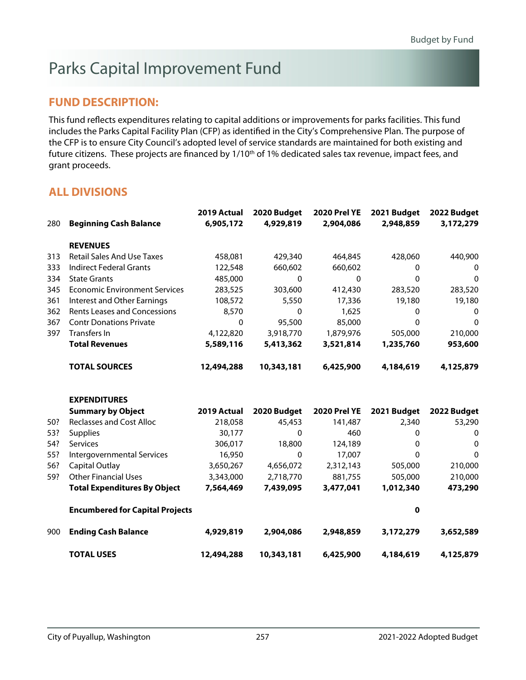# Parks Capital Improvement Fund

### **FUND DESCRIPTION:**

This fund reflects expenditures relating to capital additions or improvements for parks facilities. This fund includes the Parks Capital Facility Plan (CFP) as identified in the City's Comprehensive Plan. The purpose of the CFP is to ensure City Council's adopted level of service standards are maintained for both existing and future citizens. These projects are financed by 1/10<sup>th</sup> of 1% dedicated sales tax revenue, impact fees, and grant proceeds.

|     |                                        | 2019 Actual | 2020 Budget  | <b>2020 Prel YE</b> | 2021 Budget  | 2022 Budget  |
|-----|----------------------------------------|-------------|--------------|---------------------|--------------|--------------|
| 280 | <b>Beginning Cash Balance</b>          | 6,905,172   | 4,929,819    | 2,904,086           | 2,948,859    | 3,172,279    |
|     | <b>REVENUES</b>                        |             |              |                     |              |              |
| 313 | <b>Retail Sales And Use Taxes</b>      | 458,081     | 429,340      | 464,845             | 428,060      | 440,900      |
| 333 | <b>Indirect Federal Grants</b>         | 122,548     | 660,602      | 660,602             | $\mathbf{0}$ | 0            |
| 334 | <b>State Grants</b>                    | 485,000     | $\mathbf{0}$ | $\mathbf{0}$        | 0            | $\mathbf{0}$ |
| 345 | <b>Economic Environment Services</b>   | 283,525     | 303,600      | 412,430             | 283,520      | 283,520      |
| 361 | <b>Interest and Other Earnings</b>     | 108,572     | 5,550        | 17,336              | 19,180       | 19,180       |
| 362 | <b>Rents Leases and Concessions</b>    | 8,570       | 0            | 1,625               | 0            | 0            |
| 367 | <b>Contr Donations Private</b>         | 0           | 95,500       | 85,000              | $\Omega$     | $\mathbf 0$  |
| 397 | Transfers In                           | 4,122,820   | 3,918,770    | 1,879,976           | 505,000      | 210,000      |
|     | <b>Total Revenues</b>                  | 5,589,116   | 5,413,362    | 3,521,814           | 1,235,760    | 953,600      |
|     | <b>TOTAL SOURCES</b>                   | 12,494,288  | 10,343,181   | 6,425,900           | 4,184,619    | 4,125,879    |
|     | <b>EXPENDITURES</b>                    |             |              |                     |              |              |
|     | <b>Summary by Object</b>               | 2019 Actual | 2020 Budget  | <b>2020 Prel YE</b> | 2021 Budget  | 2022 Budget  |
| 50? | <b>Reclasses and Cost Alloc</b>        | 218,058     | 45,453       | 141,487             | 2,340        | 53,290       |
| 53? | <b>Supplies</b>                        | 30,177      | $\mathbf 0$  | 460                 | 0            | 0            |
| 54? | Services                               | 306,017     | 18,800       | 124,189             | 0            | $\mathbf 0$  |
| 55? | Intergovernmental Services             | 16,950      | $\mathbf{0}$ | 17,007              | 0            | 0            |
| 56? | <b>Capital Outlay</b>                  | 3,650,267   | 4,656,072    | 2,312,143           | 505,000      | 210,000      |
| 59? | <b>Other Financial Uses</b>            | 3,343,000   | 2,718,770    | 881,755             | 505,000      | 210,000      |
|     | <b>Total Expenditures By Object</b>    | 7,564,469   | 7,439,095    | 3,477,041           | 1,012,340    | 473,290      |
|     | <b>Encumbered for Capital Projects</b> |             |              |                     | 0            |              |
| 900 | <b>Ending Cash Balance</b>             | 4,929,819   | 2,904,086    | 2,948,859           | 3,172,279    | 3,652,589    |
|     | <b>TOTAL USES</b>                      | 12,494,288  | 10,343,181   | 6,425,900           | 4,184,619    | 4,125,879    |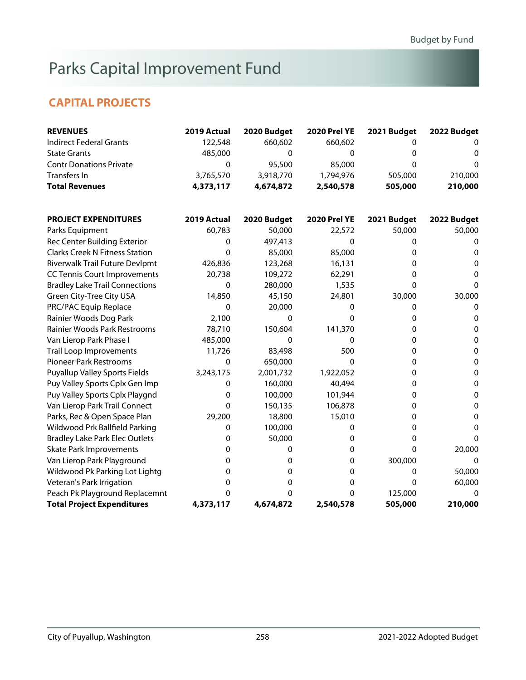# Parks Capital Improvement Fund

### **CAPITAL PROJECTS**

| <b>REVENUES</b>                       | 2019 Actual | 2020 Budget | <b>2020 Prel YE</b> | 2021 Budget | 2022 Budget  |
|---------------------------------------|-------------|-------------|---------------------|-------------|--------------|
| <b>Indirect Federal Grants</b>        | 122,548     | 660,602     | 660,602             | 0           |              |
| <b>State Grants</b>                   | 485,000     | 0           | 0                   | 0           | 0            |
| <b>Contr Donations Private</b>        | 0           | 95,500      | 85,000              | $\Omega$    | 0            |
| Transfers In                          | 3,765,570   | 3,918,770   | 1,794,976           | 505,000     | 210,000      |
| <b>Total Revenues</b>                 | 4,373,117   | 4,674,872   | 2,540,578           | 505,000     | 210,000      |
| <b>PROJECT EXPENDITURES</b>           | 2019 Actual | 2020 Budget | <b>2020 Prel YE</b> | 2021 Budget | 2022 Budget  |
| Parks Equipment                       | 60,783      | 50,000      | 22,572              | 50,000      | 50,000       |
| Rec Center Building Exterior          | 0           | 497,413     | 0                   | 0           | 0            |
| <b>Clarks Creek N Fitness Station</b> | 0           | 85,000      | 85,000              | 0           | 0            |
| Riverwalk Trail Future Devlpmt        | 426,836     | 123,268     | 16,131              | 0           | 0            |
| <b>CC Tennis Court Improvements</b>   | 20,738      | 109,272     | 62,291              | 0           | $\Omega$     |
| <b>Bradley Lake Trail Connections</b> | 0           | 280,000     | 1,535               | $\Omega$    | $\Omega$     |
| <b>Green City-Tree City USA</b>       | 14,850      | 45,150      | 24,801              | 30,000      | 30,000       |
| PRC/PAC Equip Replace                 | 0           | 20,000      | 0                   | 0           | 0            |
| Rainier Woods Dog Park                | 2,100       | 0           | 0                   | 0           | 0            |
| Rainier Woods Park Restrooms          | 78,710      | 150,604     | 141,370             | 0           | 0            |
| Van Lierop Park Phase I               | 485,000     | 0           | 0                   | 0           | 0            |
| <b>Trail Loop Improvements</b>        | 11,726      | 83,498      | 500                 | 0           | $\pmb{0}$    |
| <b>Pioneer Park Restrooms</b>         | 0           | 650,000     | 0                   | $\mathbf 0$ | $\mathbf 0$  |
| <b>Puyallup Valley Sports Fields</b>  | 3,243,175   | 2,001,732   | 1,922,052           | 0           | $\mathbf{0}$ |
| Puy Valley Sports Cplx Gen Imp        | 0           | 160,000     | 40,494              | 0           | 0            |
| Puy Valley Sports Cplx Playgnd        | 0           | 100,000     | 101,944             | 0           | $\mathbf 0$  |
| Van Lierop Park Trail Connect         | 0           | 150,135     | 106,878             | 0           | 0            |
| Parks, Rec & Open Space Plan          | 29,200      | 18,800      | 15,010              | 0           | 0            |
| Wildwood Prk Ballfield Parking        | 0           | 100,000     | 0                   | 0           | 0            |
| <b>Bradley Lake Park Elec Outlets</b> | 0           | 50,000      | 0                   | $\mathbf 0$ | $\Omega$     |
| <b>Skate Park Improvements</b>        | 0           | 0           | 0                   | $\Omega$    | 20,000       |
| Van Lierop Park Playground            | 0           | 0           | 0                   | 300,000     | $\Omega$     |
| Wildwood Pk Parking Lot Lightg        | 0           | 0           | 0                   | 0           | 50,000       |
| Veteran's Park Irrigation             | 0           | 0           | 0                   | $\mathbf 0$ | 60,000       |
| Peach Pk Playground Replacemnt        | 0           | 0           | 0                   | 125,000     | 0            |
| <b>Total Project Expenditures</b>     | 4,373,117   | 4,674,872   | 2,540,578           | 505,000     | 210,000      |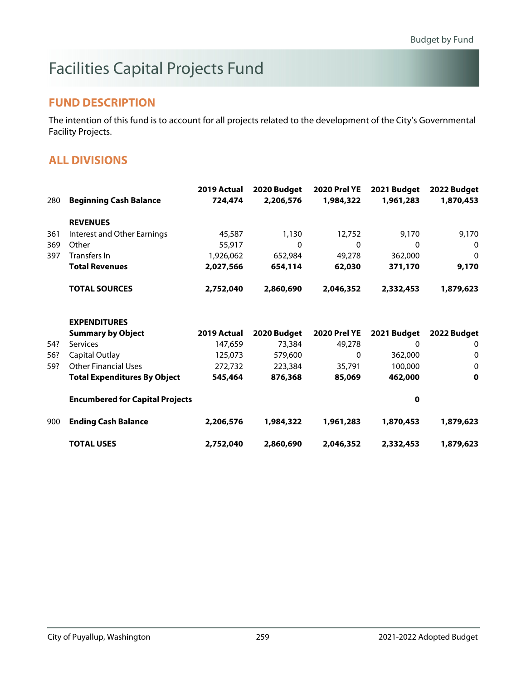# Facilities Capital Projects Fund

### **FUND DESCRIPTION**

The intention of this fund is to account for all projects related to the development of the City's Governmental Facility Projects.

|     |                                        | 2019 Actual | 2020 Budget | <b>2020 Prel YE</b> | 2021 Budget | 2022 Budget  |
|-----|----------------------------------------|-------------|-------------|---------------------|-------------|--------------|
| 280 | <b>Beginning Cash Balance</b>          | 724,474     | 2,206,576   | 1,984,322           | 1,961,283   | 1,870,453    |
|     | <b>REVENUES</b>                        |             |             |                     |             |              |
| 361 | Interest and Other Earnings            | 45,587      | 1,130       | 12,752              | 9,170       | 9,170        |
| 369 | Other                                  | 55,917      | $\Omega$    | $\Omega$            | $\Omega$    | 0            |
| 397 | Transfers In                           | 1,926,062   | 652,984     | 49,278              | 362,000     | $\mathbf{0}$ |
|     | <b>Total Revenues</b>                  | 2,027,566   | 654,114     | 62,030              | 371,170     | 9,170        |
|     | <b>TOTAL SOURCES</b>                   | 2,752,040   | 2,860,690   | 2,046,352           | 2,332,453   | 1,879,623    |
|     | <b>EXPENDITURES</b>                    |             |             |                     |             |              |
|     | <b>Summary by Object</b>               | 2019 Actual | 2020 Budget | <b>2020 Prel YE</b> | 2021 Budget | 2022 Budget  |
| 54? | Services                               | 147,659     | 73,384      | 49,278              | 0           | 0            |
| 56? | Capital Outlay                         | 125,073     | 579,600     | $\mathbf{0}$        | 362,000     | 0            |
| 59? | <b>Other Financial Uses</b>            | 272,732     | 223,384     | 35,791              | 100,000     | 0            |
|     | <b>Total Expenditures By Object</b>    | 545,464     | 876,368     | 85,069              | 462,000     | 0            |
|     | <b>Encumbered for Capital Projects</b> |             |             |                     | 0           |              |
| 900 | <b>Ending Cash Balance</b>             | 2,206,576   | 1,984,322   | 1,961,283           | 1,870,453   | 1,879,623    |
|     | <b>TOTAL USES</b>                      | 2,752,040   | 2,860,690   | 2,046,352           | 2,332,453   | 1,879,623    |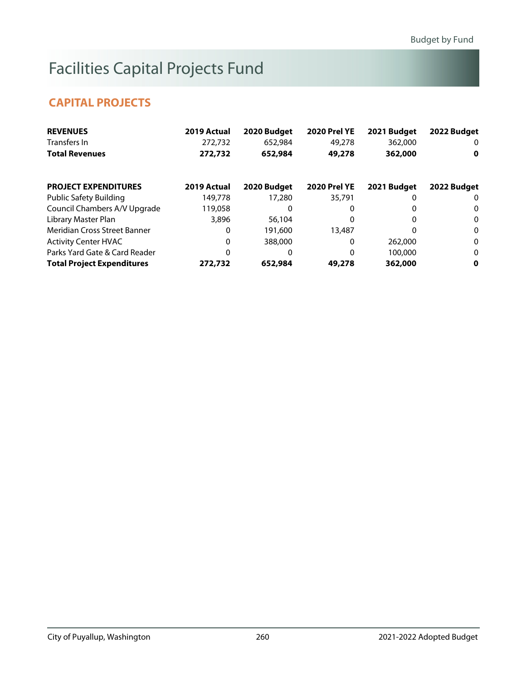# Facilities Capital Projects Fund

### **CAPITAL PROJECTS**

| <b>REVENUES</b>                   | 2019 Actual | 2020 Budget | <b>2020 Prel YE</b> | 2021 Budget | 2022 Budget  |
|-----------------------------------|-------------|-------------|---------------------|-------------|--------------|
| Transfers In                      | 272,732     | 652,984     | 49,278              | 362,000     | 0            |
| <b>Total Revenues</b>             | 272,732     | 652,984     | 49,278              | 362,000     | 0            |
| <b>PROJECT EXPENDITURES</b>       | 2019 Actual | 2020 Budget | <b>2020 Prel YE</b> | 2021 Budget | 2022 Budget  |
| <b>Public Safety Building</b>     | 149,778     | 17,280      | 35,791              |             | 0            |
| Council Chambers A/V Upgrade      | 119,058     | O           | 0                   |             | 0            |
| Library Master Plan               | 3,896       | 56,104      | 0                   | 0           | $\mathbf{0}$ |
| Meridian Cross Street Banner      | 0           | 191,600     | 13,487              | 0           | $\bf{0}$     |
| <b>Activity Center HVAC</b>       | 0           | 388,000     | 0                   | 262,000     | $\mathbf{0}$ |
| Parks Yard Gate & Card Reader     | 0           | 0           | 0                   | 100,000     | $\bf{0}$     |
| <b>Total Project Expenditures</b> | 272,732     | 652,984     | 49,278              | 362,000     | 0            |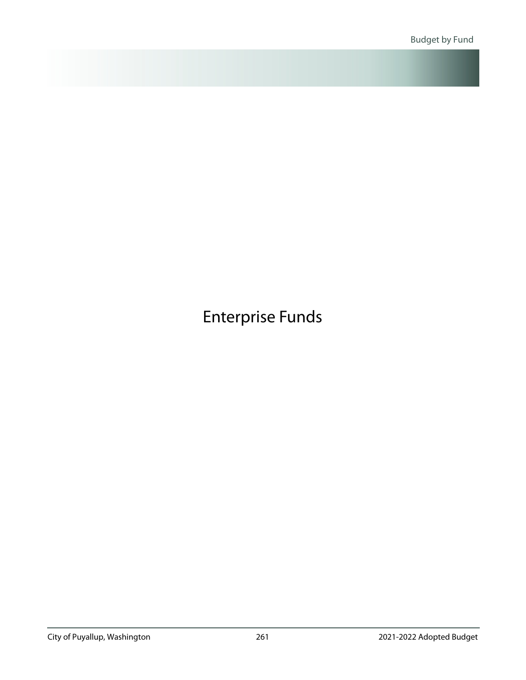<span id="page-47-0"></span>Enterprise Funds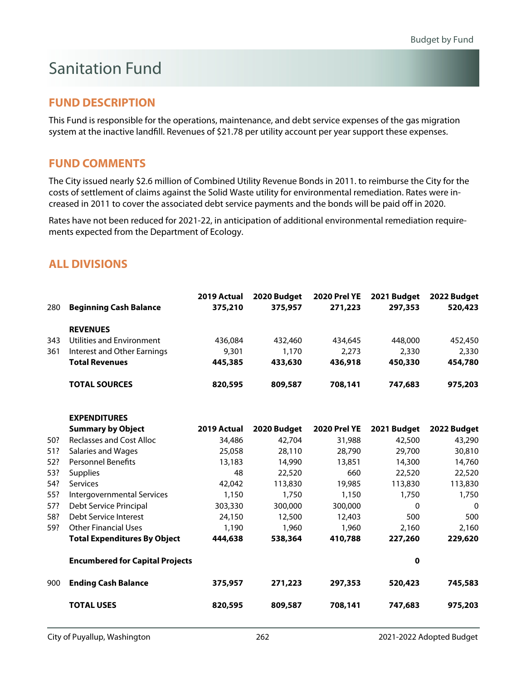# Sanitation Fund

### **FUND DESCRIPTION**

This Fund is responsible for the operations, maintenance, and debt service expenses of the gas migration system at the inactive landfill. Revenues of \$21.78 per utility account per year support these expenses.

### **FUND COMMENTS**

The City issued nearly \$2.6 million of Combined Utility Revenue Bonds in 2011. to reimburse the City for the costs of settlement of claims against the Solid Waste utility for environmental remediation. Rates were increased in 2011 to cover the associated debt service payments and the bonds will be paid off in 2020.

Rates have not been reduced for 2021-22, in anticipation of additional environmental remediation requirements expected from the Department of Ecology.

|     |                                        | 2019 Actual | 2020 Budget | <b>2020 Prel YE</b> | 2021 Budget  | 2022 Budget |
|-----|----------------------------------------|-------------|-------------|---------------------|--------------|-------------|
| 280 | <b>Beginning Cash Balance</b>          | 375,210     | 375,957     | 271,223             | 297,353      | 520,423     |
|     | <b>REVENUES</b>                        |             |             |                     |              |             |
| 343 | Utilities and Environment              | 436,084     | 432,460     | 434,645             | 448,000      | 452,450     |
| 361 | Interest and Other Earnings            | 9,301       | 1,170       | 2,273               | 2,330        | 2,330       |
|     | <b>Total Revenues</b>                  | 445,385     | 433,630     | 436,918             | 450,330      | 454,780     |
|     | <b>TOTAL SOURCES</b>                   | 820,595     | 809,587     | 708,141             | 747,683      | 975,203     |
|     | <b>EXPENDITURES</b>                    |             |             |                     |              |             |
|     | <b>Summary by Object</b>               | 2019 Actual | 2020 Budget | <b>2020 Prel YE</b> | 2021 Budget  | 2022 Budget |
| 50? | <b>Reclasses and Cost Alloc</b>        | 34,486      | 42,704      | 31,988              | 42,500       | 43,290      |
| 51? | <b>Salaries and Wages</b>              | 25,058      | 28,110      | 28,790              | 29,700       | 30,810      |
| 52? | <b>Personnel Benefits</b>              | 13,183      | 14,990      | 13,851              | 14,300       | 14,760      |
| 53? | <b>Supplies</b>                        | 48          | 22,520      | 660                 | 22,520       | 22,520      |
| 54? | <b>Services</b>                        | 42,042      | 113,830     | 19,985              | 113,830      | 113,830     |
| 55? | Intergovernmental Services             | 1,150       | 1,750       | 1,150               | 1,750        | 1,750       |
| 57? | Debt Service Principal                 | 303,330     | 300,000     | 300,000             | $\mathbf{0}$ | 0           |
| 58? | Debt Service Interest                  | 24,150      | 12,500      | 12,403              | 500          | 500         |
| 59? | <b>Other Financial Uses</b>            | 1,190       | 1,960       | 1,960               | 2,160        | 2,160       |
|     | <b>Total Expenditures By Object</b>    | 444,638     | 538,364     | 410,788             | 227,260      | 229,620     |
|     | <b>Encumbered for Capital Projects</b> |             |             |                     | 0            |             |
| 900 | <b>Ending Cash Balance</b>             | 375,957     | 271,223     | 297,353             | 520,423      | 745,583     |
|     | <b>TOTAL USES</b>                      | 820,595     | 809,587     | 708,141             | 747,683      | 975,203     |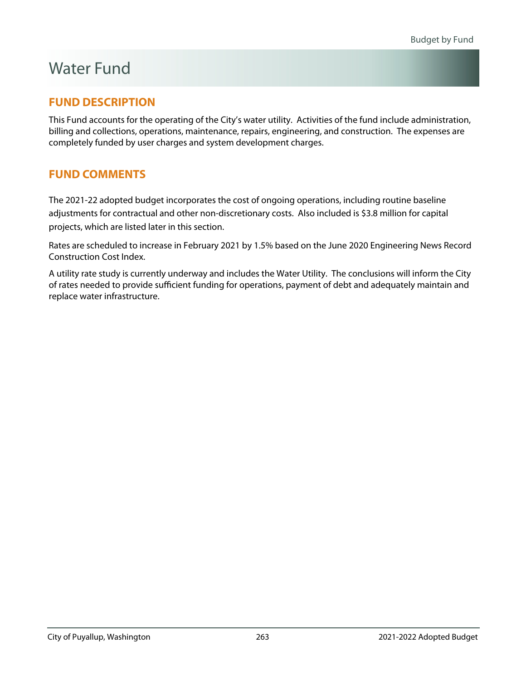### Water Fund

### **FUND DESCRIPTION**

This Fund accounts for the operating of the City's water utility. Activities of the fund include administration, billing and collections, operations, maintenance, repairs, engineering, and construction. The expenses are completely funded by user charges and system development charges.

### **FUND COMMENTS**

The 2021-22 adopted budget incorporates the cost of ongoing operations, including routine baseline adjustments for contractual and other non-discretionary costs. Also included is \$3.8 million for capital projects, which are listed later in this section.

Rates are scheduled to increase in February 2021 by 1.5% based on the June 2020 Engineering News Record Construction Cost Index.

A utility rate study is currently underway and includes the Water Utility. The conclusions will inform the City of rates needed to provide sufficient funding for operations, payment of debt and adequately maintain and replace water infrastructure.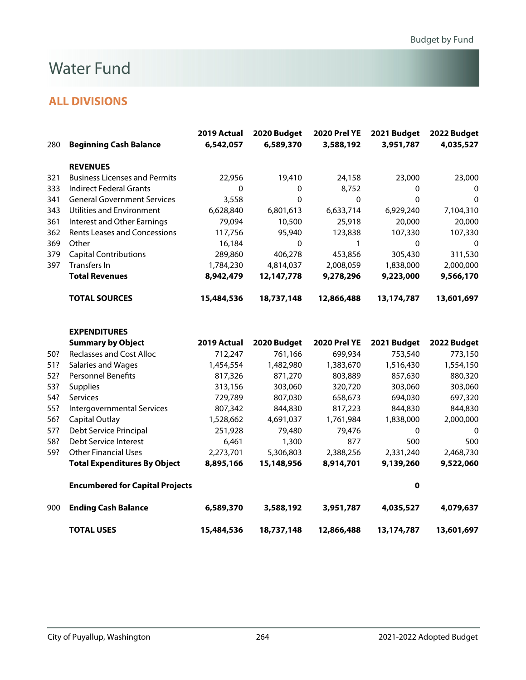### Water Fund

| 280 | <b>Beginning Cash Balance</b>          | 2019 Actual<br>6,542,057 | 2020 Budget<br>6,589,370 | <b>2020 Prel YE</b><br>3,588,192 | 2021 Budget<br>3,951,787 | 2022 Budget<br>4,035,527 |
|-----|----------------------------------------|--------------------------|--------------------------|----------------------------------|--------------------------|--------------------------|
|     | <b>REVENUES</b>                        |                          |                          |                                  |                          |                          |
| 321 | <b>Business Licenses and Permits</b>   | 22,956                   | 19,410                   | 24,158                           | 23,000                   | 23,000                   |
| 333 | <b>Indirect Federal Grants</b>         | 0                        | 0                        | 8,752                            | 0                        | 0                        |
| 341 | <b>General Government Services</b>     | 3,558                    | 0                        | $\Omega$                         | $\Omega$                 | $\mathbf 0$              |
| 343 | Utilities and Environment              | 6,628,840                | 6,801,613                | 6,633,714                        | 6,929,240                | 7,104,310                |
| 361 | <b>Interest and Other Earnings</b>     | 79,094                   | 10,500                   | 25,918                           | 20,000                   | 20,000                   |
| 362 | <b>Rents Leases and Concessions</b>    | 117,756                  | 95,940                   | 123,838                          | 107,330                  | 107,330                  |
| 369 | Other                                  | 16,184                   | 0                        | 1                                | 0                        | $\mathbf{0}$             |
| 379 | <b>Capital Contributions</b>           | 289,860                  | 406,278                  | 453,856                          | 305,430                  | 311,530                  |
| 397 | Transfers In                           | 1,784,230                | 4,814,037                | 2,008,059                        | 1,838,000                | 2,000,000                |
|     | <b>Total Revenues</b>                  | 8,942,479                | 12,147,778               | 9,278,296                        | 9,223,000                | 9,566,170                |
|     | <b>TOTAL SOURCES</b>                   | 15,484,536               | 18,737,148               | 12,866,488                       | 13,174,787               | 13,601,697               |
|     | <b>EXPENDITURES</b>                    |                          |                          |                                  |                          |                          |
|     | <b>Summary by Object</b>               | 2019 Actual              | 2020 Budget              | <b>2020 Prel YE</b>              | 2021 Budget              | 2022 Budget              |
| 50? | <b>Reclasses and Cost Alloc</b>        | 712,247                  | 761,166                  | 699,934                          | 753,540                  | 773,150                  |
| 51? | Salaries and Wages                     | 1,454,554                | 1,482,980                | 1,383,670                        | 1,516,430                | 1,554,150                |
| 52? | <b>Personnel Benefits</b>              | 817,326                  | 871,270                  | 803,889                          | 857,630                  | 880,320                  |
| 53? | <b>Supplies</b>                        | 313,156                  | 303,060                  | 320,720                          | 303,060                  | 303,060                  |
| 54? | Services                               | 729,789                  | 807,030                  | 658,673                          | 694,030                  | 697,320                  |
| 55? | Intergovernmental Services             | 807,342                  | 844,830                  | 817,223                          | 844,830                  | 844,830                  |
| 56? | <b>Capital Outlay</b>                  | 1,528,662                | 4,691,037                | 1,761,984                        | 1,838,000                | 2,000,000                |
| 57? | Debt Service Principal                 | 251,928                  | 79,480                   | 79,476                           | $\pmb{0}$                | $\mathbf 0$              |
| 58? | Debt Service Interest                  | 6,461                    | 1,300                    | 877                              | 500                      | 500                      |
| 59? | <b>Other Financial Uses</b>            | 2,273,701                | 5,306,803                | 2,388,256                        | 2,331,240                | 2,468,730                |
|     | <b>Total Expenditures By Object</b>    | 8,895,166                | 15,148,956               | 8,914,701                        | 9,139,260                | 9,522,060                |
|     | <b>Encumbered for Capital Projects</b> |                          |                          |                                  | $\pmb{0}$                |                          |
| 900 | <b>Ending Cash Balance</b>             | 6,589,370                | 3,588,192                | 3,951,787                        | 4,035,527                | 4,079,637                |
|     | <b>TOTAL USES</b>                      | 15,484,536               | 18,737,148               | 12,866,488                       | 13,174,787               | 13,601,697               |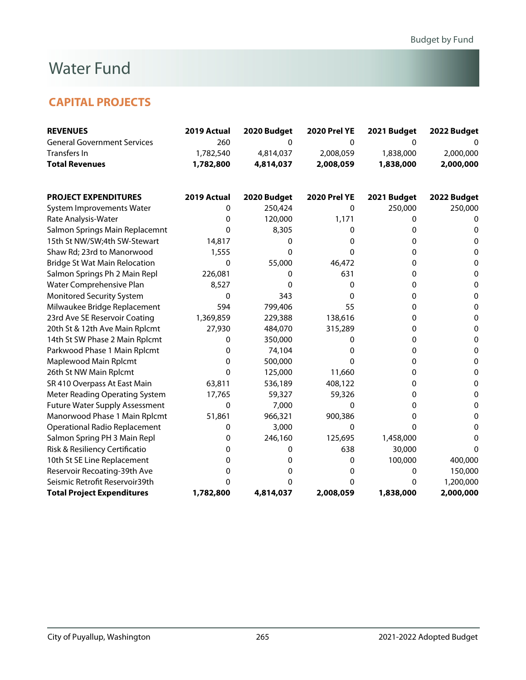### Water Fund

### **CAPITAL PROJECTS**

| <b>REVENUES</b>                       | 2019 Actual | 2020 Budget | <b>2020 Prel YE</b> | 2021 Budget | 2022 Budget |
|---------------------------------------|-------------|-------------|---------------------|-------------|-------------|
| <b>General Government Services</b>    | 260         | 0           | 0                   | 0           |             |
| Transfers In                          | 1,782,540   | 4,814,037   | 2,008,059           | 1,838,000   | 2,000,000   |
| <b>Total Revenues</b>                 | 1,782,800   | 4,814,037   | 2,008,059           | 1,838,000   | 2,000,000   |
|                                       |             |             |                     |             |             |
| <b>PROJECT EXPENDITURES</b>           | 2019 Actual | 2020 Budget | <b>2020 Prel YE</b> | 2021 Budget | 2022 Budget |
| System Improvements Water             | 0           | 250,424     | $\Omega$            | 250,000     | 250,000     |
| Rate Analysis-Water                   | 0           | 120,000     | 1,171               | 0           | 0           |
| Salmon Springs Main Replacemnt        | 0           | 8,305       | 0                   | 0           | 0           |
| 15th St NW/SW;4th SW-Stewart          | 14,817      | 0           | 0                   | 0           | 0           |
| Shaw Rd; 23rd to Manorwood            | 1,555       | 0           | 0                   | 0           | 0           |
| <b>Bridge St Wat Main Relocation</b>  | 0           | 55,000      | 46,472              | 0           | 0           |
| Salmon Springs Ph 2 Main Repl         | 226,081     | 0           | 631                 | 0           | 0           |
| Water Comprehensive Plan              | 8,527       | 0           | $\Omega$            | 0           | 0           |
| <b>Monitored Security System</b>      | 0           | 343         | 0                   | 0           | 0           |
| Milwaukee Bridge Replacement          | 594         | 799,406     | 55                  | 0           | 0           |
| 23rd Ave SE Reservoir Coating         | 1,369,859   | 229,388     | 138,616             | 0           | 0           |
| 20th St & 12th Ave Main Rplcmt        | 27,930      | 484,070     | 315,289             | 0           | $\mathbf 0$ |
| 14th St SW Phase 2 Main Rplcmt        | 0           | 350,000     | 0                   | 0           | 0           |
| Parkwood Phase 1 Main Rplcmt          | 0           | 74,104      | 0                   | 0           | 0           |
| Maplewood Main Rplcmt                 | 0           | 500,000     | 0                   | 0           | 0           |
| 26th St NW Main Rplcmt                | $\mathbf 0$ | 125,000     | 11,660              | 0           | 0           |
| SR 410 Overpass At East Main          | 63,811      | 536,189     | 408,122             | 0           | 0           |
| Meter Reading Operating System        | 17,765      | 59,327      | 59,326              | 0           | $\mathbf 0$ |
| <b>Future Water Supply Assessment</b> | 0           | 7,000       | $\mathbf 0$         | 0           | 0           |
| Manorwood Phase 1 Main Rplcmt         | 51,861      | 966,321     | 900,386             | 0           | 0           |
| <b>Operational Radio Replacement</b>  | 0           | 3,000       | 0                   | 0           | 0           |
| Salmon Spring PH 3 Main Repl          | 0           | 246,160     | 125,695             | 1,458,000   | 0           |
| Risk & Resiliency Certificatio        | 0           | 0           | 638                 | 30,000      | $\Omega$    |
| 10th St SE Line Replacement           | 0           | 0           | 0                   | 100,000     | 400,000     |
| Reservoir Recoating-39th Ave          | 0           | 0           | 0                   | 0           | 150,000     |
| Seismic Retrofit Reservoir39th        | 0           | 0           | 0                   | 0           | 1,200,000   |
| <b>Total Project Expenditures</b>     | 1,782,800   | 4,814,037   | 2,008,059           | 1,838,000   | 2,000,000   |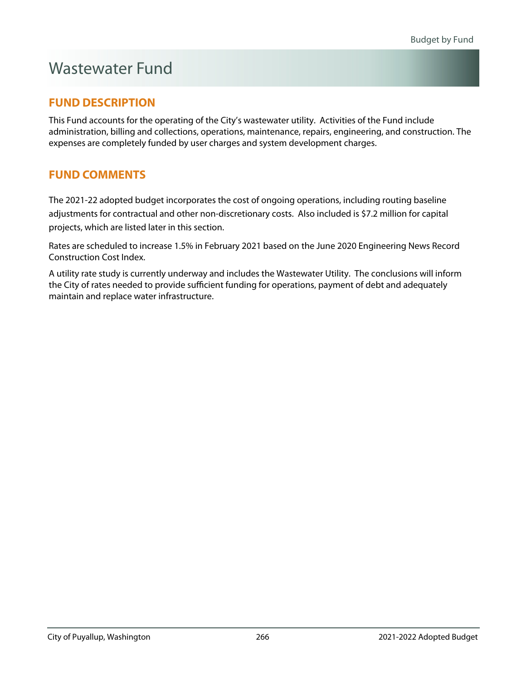# Wastewater Fund

### **FUND DESCRIPTION**

This Fund accounts for the operating of the City's wastewater utility. Activities of the Fund include administration, billing and collections, operations, maintenance, repairs, engineering, and construction. The expenses are completely funded by user charges and system development charges.

### **FUND COMMENTS**

The 2021-22 adopted budget incorporates the cost of ongoing operations, including routing baseline adjustments for contractual and other non-discretionary costs. Also included is \$7.2 million for capital projects, which are listed later in this section.

Rates are scheduled to increase 1.5% in February 2021 based on the June 2020 Engineering News Record Construction Cost Index.

A utility rate study is currently underway and includes the Wastewater Utility. The conclusions will inform the City of rates needed to provide sufficient funding for operations, payment of debt and adequately maintain and replace water infrastructure.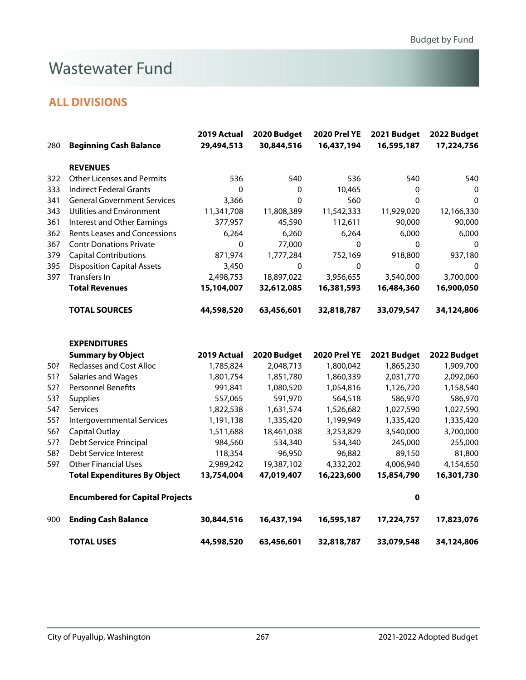### Wastewater Fund

### **ALL DIVISIONS**

| 280 | <b>Beginning Cash Balance</b>          | 2019 Actual<br>29,494,513 | 2020 Budget<br>30,844,516 | <b>2020 Prel YE</b><br>16,437,194 | 2021 Budget<br>16,595,187 | 2022 Budget<br>17,224,756 |
|-----|----------------------------------------|---------------------------|---------------------------|-----------------------------------|---------------------------|---------------------------|
|     | <b>REVENUES</b>                        |                           |                           |                                   |                           |                           |
| 322 | <b>Other Licenses and Permits</b>      | 536                       | 540                       | 536                               | 540                       | 540                       |
| 333 | <b>Indirect Federal Grants</b>         | $\Omega$                  | 0                         | 10,465                            | 0                         | 0                         |
| 341 | <b>General Government Services</b>     | 3,366                     | $\Omega$                  | 560                               | $\Omega$                  | $\Omega$                  |
| 343 | Utilities and Environment              | 11,341,708                | 11,808,389                | 11,542,333                        | 11,929,020                | 12,166,330                |
| 361 | <b>Interest and Other Earnings</b>     | 377,957                   | 45,590                    | 112,611                           | 90,000                    | 90,000                    |
| 362 | <b>Rents Leases and Concessions</b>    | 6,264                     | 6,260                     | 6,264                             | 6,000                     | 6,000                     |
| 367 | <b>Contr Donations Private</b>         | $\mathbf 0$               | 77,000                    | $\mathbf 0$                       | $\mathbf 0$               | 0                         |
| 379 | <b>Capital Contributions</b>           | 871,974                   | 1,777,284                 | 752,169                           | 918,800                   | 937,180                   |
| 395 | <b>Disposition Capital Assets</b>      | 3,450                     | $\mathbf 0$               | $\mathbf 0$                       | $\mathbf 0$               | 0                         |
| 397 | Transfers In                           | 2,498,753                 | 18,897,022                | 3,956,655                         | 3,540,000                 | 3,700,000                 |
|     | <b>Total Revenues</b>                  | 15,104,007                | 32,612,085                | 16,381,593                        | 16,484,360                | 16,900,050                |
|     | <b>TOTAL SOURCES</b>                   | 44,598,520                | 63,456,601                | 32,818,787                        | 33,079,547                | 34,124,806                |
|     | <b>EXPENDITURES</b>                    |                           |                           |                                   |                           |                           |
|     | <b>Summary by Object</b>               | 2019 Actual               | 2020 Budget               | <b>2020 Prel YE</b>               | 2021 Budget               | 2022 Budget               |
| 50? | <b>Reclasses and Cost Alloc</b>        | 1,785,824                 | 2,048,713                 | 1,800,042                         | 1,865,230                 | 1,909,700                 |
| 51? | Salaries and Wages                     | 1,801,754                 | 1,851,780                 | 1,860,339                         | 2,031,770                 | 2,092,060                 |
| 52? | Personnel Benefits                     | 991,841                   | 1,080,520                 | 1,054,816                         | 1,126,720                 | 1,158,540                 |
| 53? | Supplies                               | 557,065                   | 591,970                   | 564,518                           | 586,970                   | 586,970                   |
| 54? | Services                               | 1,822,538                 | 1,631,574                 | 1,526,682                         | 1,027,590                 | 1,027,590                 |
| 55? | Intergovernmental Services             | 1,191,138                 | 1,335,420                 | 1,199,949                         | 1,335,420                 | 1,335,420                 |
| 56? | Capital Outlay                         | 1,511,688                 | 18,461,038                | 3,253,829                         | 3,540,000                 | 3,700,000                 |
| 57? | Debt Service Principal                 | 984,560                   | 534,340                   | 534,340                           | 245,000                   | 255,000                   |
| 58? | Debt Service Interest                  | 118,354                   | 96,950                    | 96,882                            | 89,150                    | 81,800                    |
| 59? | <b>Other Financial Uses</b>            | 2,989,242                 | 19,387,102                | 4,332,202                         | 4,006,940                 | 4,154,650                 |
|     | <b>Total Expenditures By Object</b>    | 13,754,004                | 47,019,407                | 16,223,600                        | 15,854,790                | 16,301,730                |
|     | <b>Encumbered for Capital Projects</b> |                           |                           |                                   | 0                         |                           |
| 900 | <b>Ending Cash Balance</b>             | 30,844,516                | 16,437,194                | 16,595,187                        | 17,224,757                | 17,823,076                |

**TOTAL USES 44,598,520 63,456,601 32,818,787 33,079,548 34,124,806**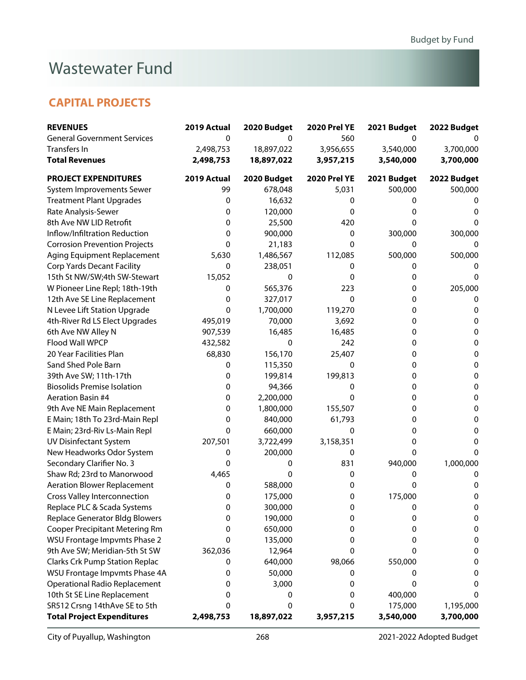# Wastewater Fund

### **CAPITAL PROJECTS**

| <b>REVENUES</b>                       | 2019 Actual | 2020 Budget | <b>2020 Prel YE</b> | 2021 Budget | 2022 Budget |
|---------------------------------------|-------------|-------------|---------------------|-------------|-------------|
| <b>General Government Services</b>    | 0           | 0           | 560                 | 0           |             |
| Transfers In                          | 2,498,753   | 18,897,022  | 3,956,655           | 3,540,000   | 3,700,000   |
| <b>Total Revenues</b>                 | 2,498,753   | 18,897,022  | 3,957,215           | 3,540,000   | 3,700,000   |
| <b>PROJECT EXPENDITURES</b>           | 2019 Actual | 2020 Budget | <b>2020 Prel YE</b> | 2021 Budget | 2022 Budget |
| System Improvements Sewer             | 99          | 678,048     | 5,031               | 500,000     | 500,000     |
| <b>Treatment Plant Upgrades</b>       | 0           | 16,632      | 0                   | 0           | O           |
| Rate Analysis-Sewer                   | 0           | 120,000     | 0                   | 0           | 0           |
| 8th Ave NW LID Retrofit               | 0           | 25,500      | 420                 | 0           | O           |
| Inflow/Infiltration Reduction         | 0           | 900,000     | 0                   | 300,000     | 300,000     |
| <b>Corrosion Prevention Projects</b>  | 0           | 21,183      | 0                   | 0           | $\Omega$    |
| Aging Equipment Replacement           | 5,630       | 1,486,567   | 112,085             | 500,000     | 500,000     |
| <b>Corp Yards Decant Facility</b>     | 0           | 238,051     | 0                   | 0           | 0           |
| 15th St NW/SW;4th SW-Stewart          | 15,052      | 0           | 0                   | 0           | 0           |
| W Pioneer Line Repl; 18th-19th        | 0           | 565,376     | 223                 | 0           | 205,000     |
| 12th Ave SE Line Replacement          | 0           | 327,017     | 0                   | 0           | 0           |
| N Levee Lift Station Upgrade          | 0           | 1,700,000   | 119,270             | 0           | 0           |
| 4th-River Rd LS Elect Upgrades        | 495,019     | 70,000      | 3,692               | 0           | 0           |
| 6th Ave NW Alley N                    | 907,539     | 16,485      | 16,485              | 0           | 0           |
| Flood Wall WPCP                       | 432,582     | 0           | 242                 | 0           | 0           |
| 20 Year Facilities Plan               | 68,830      | 156,170     | 25,407              | 0           | 0           |
| Sand Shed Pole Barn                   | 0           | 115,350     | 0                   | 0           | 0           |
| 39th Ave SW; 11th-17th                | 0           | 199,814     | 199,813             | 0           | 0           |
| <b>Biosolids Premise Isolation</b>    | 0           | 94,366      | 0                   | 0           | 0           |
| <b>Aeration Basin #4</b>              | 0           | 2,200,000   | 0                   | 0           | 0           |
| 9th Ave NE Main Replacement           | 0           | 1,800,000   | 155,507             | 0           | 0           |
| E Main; 18th To 23rd-Main Repl        | 0           | 840,000     | 61,793              | 0           | 0           |
| E Main; 23rd-Riv Ls-Main Repl         | 0           | 660,000     | 0                   | 0           | 0           |
| <b>UV Disinfectant System</b>         | 207,501     | 3,722,499   | 3,158,351           | 0           | 0           |
| New Headworks Odor System             | 0           | 200,000     | 0                   | 0           | 0           |
| Secondary Clarifier No. 3             | 0           | 0           | 831                 | 940,000     | 1,000,000   |
| Shaw Rd; 23rd to Manorwood            | 4,465       | 0           | 0                   | 0           | 0           |
| <b>Aeration Blower Replacement</b>    | 0           | 588,000     | 0                   | 0           | 0           |
| <b>Cross Valley Interconnection</b>   | 0           | 175,000     | 0                   | 175,000     | 0           |
| Replace PLC & Scada Systems           | $\pmb{0}$   | 300,000     | 0                   | 0           | U           |
| <b>Replace Generator Bldg Blowers</b> | 0           | 190,000     | 0                   | 0           | 0           |
| <b>Cooper Precipitant Metering Rm</b> | 0           | 650,000     | 0                   | 0           | 0           |
| <b>WSU Frontage Impvmts Phase 2</b>   | 0           | 135,000     | 0                   | 0           | 0           |
| 9th Ave SW; Meridian-5th St SW        | 362,036     | 12,964      | 0                   | 0           | 0           |
| <b>Clarks Crk Pump Station Replac</b> | 0           | 640,000     | 98,066              | 550,000     | 0           |
| WSU Frontage Impvmts Phase 4A         | 0           | 50,000      | 0                   | 0           | 0           |
| <b>Operational Radio Replacement</b>  | 0           | 3,000       | 0                   | 0           | 0           |
| 10th St SE Line Replacement           | 0           | 0           | 0                   | 400,000     | 0           |
| SR512 Crsng 14thAve SE to 5th         | 0           | 0           | 0                   | 175,000     | 1,195,000   |
| <b>Total Project Expenditures</b>     | 2,498,753   | 18,897,022  | 3,957,215           | 3,540,000   | 3,700,000   |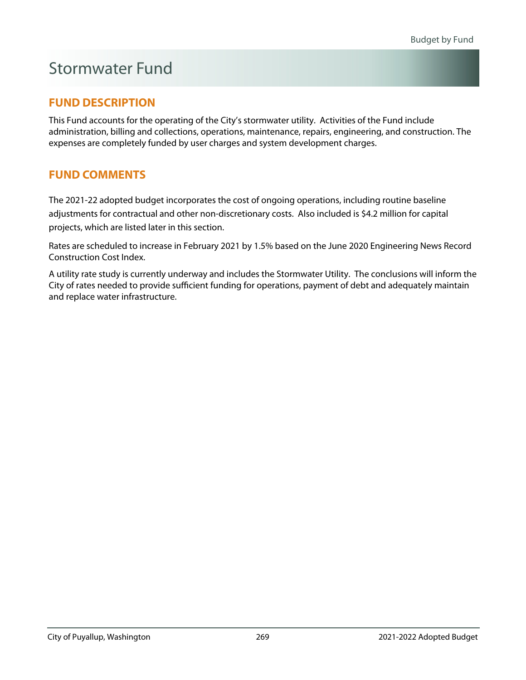# Stormwater Fund

### **FUND DESCRIPTION**

This Fund accounts for the operating of the City's stormwater utility. Activities of the Fund include administration, billing and collections, operations, maintenance, repairs, engineering, and construction. The expenses are completely funded by user charges and system development charges.

### **FUND COMMENTS**

The 2021-22 adopted budget incorporates the cost of ongoing operations, including routine baseline adjustments for contractual and other non-discretionary costs. Also included is \$4.2 million for capital projects, which are listed later in this section.

Rates are scheduled to increase in February 2021 by 1.5% based on the June 2020 Engineering News Record Construction Cost Index.

A utility rate study is currently underway and includes the Stormwater Utility. The conclusions will inform the City of rates needed to provide sufficient funding for operations, payment of debt and adequately maintain and replace water infrastructure.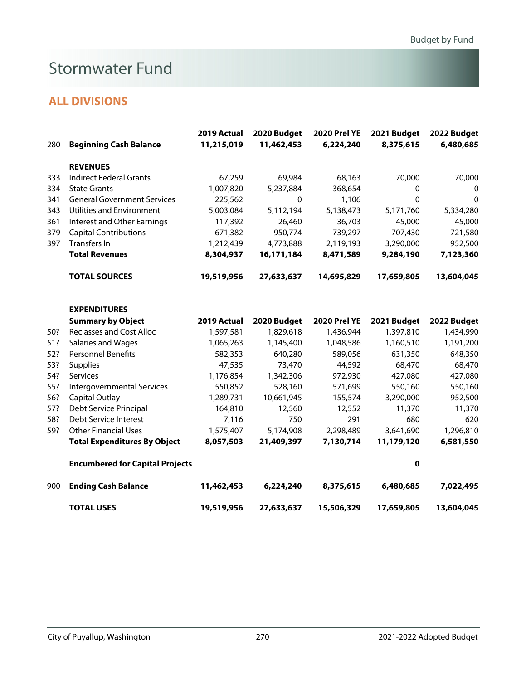# Stormwater Fund

|     |                                        | 2019 Actual | 2020 Budget  | <b>2020 Prel YE</b> | 2021 Budget | 2022 Budget |
|-----|----------------------------------------|-------------|--------------|---------------------|-------------|-------------|
| 280 | <b>Beginning Cash Balance</b>          | 11,215,019  | 11,462,453   | 6,224,240           | 8,375,615   | 6,480,685   |
|     | <b>REVENUES</b>                        |             |              |                     |             |             |
| 333 | <b>Indirect Federal Grants</b>         | 67,259      | 69,984       | 68,163              | 70,000      | 70,000      |
| 334 | <b>State Grants</b>                    | 1,007,820   | 5,237,884    | 368,654             | 0           | 0           |
| 341 | <b>General Government Services</b>     | 225,562     | $\mathbf{0}$ | 1,106               | 0           | $\mathbf 0$ |
| 343 | <b>Utilities and Environment</b>       | 5,003,084   | 5,112,194    | 5,138,473           | 5,171,760   | 5,334,280   |
| 361 | Interest and Other Earnings            | 117,392     | 26,460       | 36,703              | 45,000      | 45,000      |
| 379 | <b>Capital Contributions</b>           | 671,382     | 950,774      | 739,297             | 707,430     | 721,580     |
| 397 | Transfers In                           | 1,212,439   | 4,773,888    | 2,119,193           | 3,290,000   | 952,500     |
|     | <b>Total Revenues</b>                  | 8,304,937   | 16,171,184   | 8,471,589           | 9,284,190   | 7,123,360   |
|     | <b>TOTAL SOURCES</b>                   | 19,519,956  | 27,633,637   | 14,695,829          | 17,659,805  | 13,604,045  |
|     | <b>EXPENDITURES</b>                    |             |              |                     |             |             |
|     | <b>Summary by Object</b>               | 2019 Actual | 2020 Budget  | <b>2020 Prel YE</b> | 2021 Budget | 2022 Budget |
| 50? | <b>Reclasses and Cost Alloc</b>        | 1,597,581   | 1,829,618    | 1,436,944           | 1,397,810   | 1,434,990   |
| 51? | Salaries and Wages                     | 1,065,263   | 1,145,400    | 1,048,586           | 1,160,510   | 1,191,200   |
| 52? | <b>Personnel Benefits</b>              | 582,353     | 640,280      | 589,056             | 631,350     | 648,350     |
| 53? | <b>Supplies</b>                        | 47,535      | 73,470       | 44,592              | 68,470      | 68,470      |
| 54? | Services                               | 1,176,854   | 1,342,306    | 972,930             | 427,080     | 427,080     |
| 55? | Intergovernmental Services             | 550,852     | 528,160      | 571,699             | 550,160     | 550,160     |
| 56? | Capital Outlay                         | 1,289,731   | 10,661,945   | 155,574             | 3,290,000   | 952,500     |
| 57? | Debt Service Principal                 | 164,810     | 12,560       | 12,552              | 11,370      | 11,370      |
| 58? | Debt Service Interest                  | 7,116       | 750          | 291                 | 680         | 620         |
| 59? | <b>Other Financial Uses</b>            | 1,575,407   | 5,174,908    | 2,298,489           | 3,641,690   | 1,296,810   |
|     | <b>Total Expenditures By Object</b>    | 8,057,503   | 21,409,397   | 7,130,714           | 11,179,120  | 6,581,550   |
|     | <b>Encumbered for Capital Projects</b> |             |              |                     | 0           |             |
| 900 | <b>Ending Cash Balance</b>             | 11,462,453  | 6,224,240    | 8,375,615           | 6,480,685   | 7,022,495   |
|     | <b>TOTAL USES</b>                      | 19,519,956  | 27,633,637   | 15,506,329          | 17,659,805  | 13,604,045  |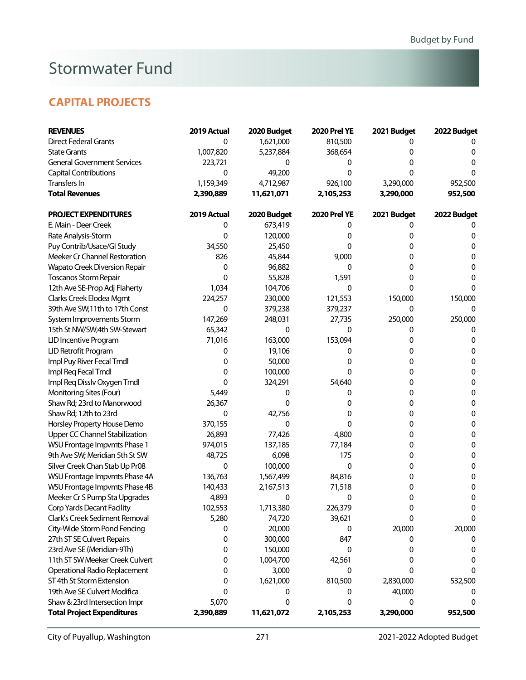# Stormwater Fund

### **CAPITAL PROJECTS**

| <b>REVENUES</b>                      | 2019 Actual | 2020 Budget | <b>2020 Prel YE</b> | 2021 Budget | 2022 Budget |
|--------------------------------------|-------------|-------------|---------------------|-------------|-------------|
| <b>Direct Federal Grants</b>         | 0           | 1,621,000   | 810,500             | 0           |             |
| <b>State Grants</b>                  | 1,007,820   | 5,237,884   | 368,654             | 0           | 0           |
| <b>General Government Services</b>   | 223,721     | 0           | 0                   | 0           | 0           |
| <b>Capital Contributions</b>         | 0           | 49,200      | 0                   | 0           | 0           |
| Transfers In                         | 1,159,349   | 4,712,987   | 926,100             | 3,290,000   | 952,500     |
| <b>Total Revenues</b>                | 2,390,889   | 11,621,071  | 2,105,253           | 3,290,000   | 952,500     |
| <b>PROJECT EXPENDITURES</b>          | 2019 Actual | 2020 Budget | <b>2020 Prel YE</b> | 2021 Budget | 2022 Budget |
| E. Main - Deer Creek                 | 0           | 673,419     | 0                   | 0           |             |
| Rate Analysis-Storm                  | 0           | 120,000     | 0                   | 0           | 0           |
| Puy Contrib/Usace/Gl Study           | 34,550      | 25,450      | 0                   | 0           | 0           |
| Meeker Cr Channel Restoration        | 826         | 45,844      | 9,000               | 0           | 0           |
| <b>Wapato Creek Diversion Repair</b> | 0           | 96,882      | 0                   | 0           | 0           |
| <b>Toscanos Storm Repair</b>         | 0           | 55,828      | 1,591               | 0           | 0           |
| 12th Ave SE-Prop Adj Flaherty        | 1,034       | 104,706     | 0                   | 0           | 0           |
| Clarks Creek Elodea Mgmt             | 224,257     | 230,000     | 121,553             | 150,000     | 150,000     |
| 39th Ave SW;11th to 17th Const       | 0           | 379,238     | 379,237             | 0           | 0           |
| System Improvements Storm            | 147,269     | 248,031     | 27,735              | 250,000     | 250,000     |
| 15th St NW/SW;4th SW-Stewart         | 65,342      | 0           | 0                   | 0           | 0           |
| LID Incentive Program                | 71,016      | 163,000     | 153,094             | 0           | 0           |
| LID Retrofit Program                 | 0           | 19,106      | 0                   | 0           | 0           |
| Impl Puy River Fecal Tmdl            | 0           | 50,000      | 0                   | 0           | 0           |
| Impl Req Fecal Tmdl                  | 0           | 100,000     | 0                   | 0           | 0           |
| Impl Req Disslv Oxygen Tmdl          | 0           | 324,291     | 54,640              | 0           | 0           |
| Monitoring Sites (Four)              | 5,449       | 0           | 0                   | 0           | 0           |
| Shaw Rd; 23rd to Manorwood           | 26,367      | 0           | 0                   | 0           | 0           |
| Shaw Rd; 12th to 23rd                | 0           | 42,756      | 0                   | 0           | 0           |
| Horsley Property House Demo          | 370,155     | 0           | 0                   | 0           | $\pmb{0}$   |
| Upper CC Channel Stabilization       | 26,893      | 77,426      | 4,800               | 0           | $\pmb{0}$   |
| WSU Frontage Impvmts Phase 1         | 974,015     | 137,185     | 77,184              | 0           | $\pmb{0}$   |
| 9th Ave SW; Meridian 5th St SW       | 48,725      | 6,098       | 175                 | 0           | $\pmb{0}$   |
| Silver Creek Chan Stab Up Pr08       | 0           | 100,000     | 0                   | 0           | 0           |
| WSU Frontage Impvmts Phase 4A        | 136,763     | 1,567,499   | 84,816              | 0           | 0           |
| WSU Frontage Impvmts Phase 4B        | 140,433     | 2,167,513   | 71,518              | 0           | 0           |
| Meeker Cr S Pump Sta Upgrades        | 4,893       | 0           | 0                   | 0           | 0           |
| <b>Corp Yards Decant Facility</b>    | 102,553     | 1,713,380   | 226,379             | 0           | 0           |
| Clark's Creek Sediment Removal       | 5,280       | 74,720      | 39,621              | 0           | 0           |
| City-Wide Storm Pond Fencing         | 0           | 20,000      | 0                   | 20,000      | 20,000      |
| 27th ST SE Culvert Repairs           | 0           | 300,000     | 847                 | 0           | 0           |
| 23rd Ave SE (Meridian-9Th)           | 0           | 150,000     | 0                   | 0           | 0           |
| 11th ST SW Meeker Creek Culvert      | 0           | 1,004,700   | 42,561              | 0           | 0           |
| Operational Radio Replacement        | 0           | 3,000       | 0                   | 0           | 0           |
| ST 4th St Storm Extension            | 0           | 1,621,000   | 810,500             | 2,830,000   | 532,500     |
| 19th Ave SE Culvert Modifica         | 0           | 0           | 0                   | 40,000      | O           |
| Shaw & 23rd Intersection Impr        | 5,070       | 0           | 0                   | 0           | 0           |
| <b>Total Project Expenditures</b>    | 2,390,889   | 11,621,072  | 2,105,253           | 3,290,000   | 952,500     |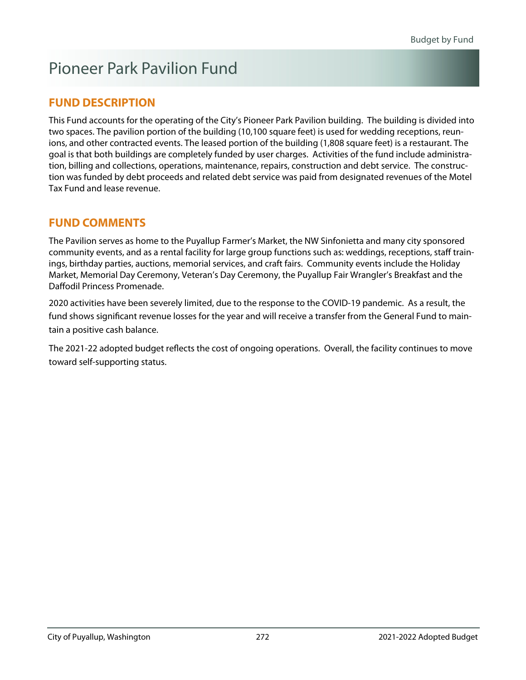# Pioneer Park Pavilion Fund

### **FUND DESCRIPTION**

This Fund accounts for the operating of the City's Pioneer Park Pavilion building. The building is divided into two spaces. The pavilion portion of the building (10,100 square feet) is used for wedding receptions, reunions, and other contracted events. The leased portion of the building (1,808 square feet) is a restaurant. The goal is that both buildings are completely funded by user charges. Activities of the fund include administration, billing and collections, operations, maintenance, repairs, construction and debt service. The construction was funded by debt proceeds and related debt service was paid from designated revenues of the Motel Tax Fund and lease revenue.

### **FUND COMMENTS**

The Pavilion serves as home to the Puyallup Farmer's Market, the NW Sinfonietta and many city sponsored community events, and as a rental facility for large group functions such as: weddings, receptions, staff trainings, birthday parties, auctions, memorial services, and craft fairs. Community events include the Holiday Market, Memorial Day Ceremony, Veteran's Day Ceremony, the Puyallup Fair Wrangler's Breakfast and the Daffodil Princess Promenade.

2020 activities have been severely limited, due to the response to the COVID-19 pandemic. As a result, the fund shows significant revenue losses for the year and will receive a transfer from the General Fund to maintain a positive cash balance.

The 2021-22 adopted budget reflects the cost of ongoing operations. Overall, the facility continues to move toward self-supporting status.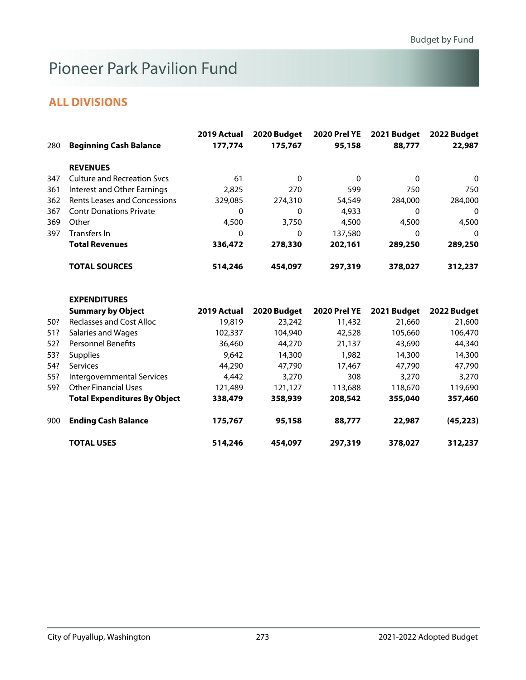# Pioneer Park Pavilion Fund

| 280 | <b>Beginning Cash Balance</b>       | 2019 Actual<br>177,774 | 2020 Budget<br>175,767 | <b>2020 Prel YE</b><br>95,158 | 2021 Budget<br>88,777 | 2022 Budget<br>22,987 |
|-----|-------------------------------------|------------------------|------------------------|-------------------------------|-----------------------|-----------------------|
|     | <b>REVENUES</b>                     |                        |                        |                               |                       |                       |
| 347 | <b>Culture and Recreation Svcs</b>  | 61                     | $\Omega$               | $\mathbf 0$                   | $\mathbf{0}$          | $\mathbf 0$           |
| 361 | Interest and Other Earnings         | 2,825                  | 270                    | 599                           | 750                   | 750                   |
| 362 | <b>Rents Leases and Concessions</b> | 329,085                | 274,310                | 54,549                        | 284,000               | 284,000               |
| 367 | <b>Contr Donations Private</b>      | 0                      | $\mathbf{0}$           | 4,933                         | 0                     | 0                     |
| 369 | Other                               | 4,500                  | 3,750                  | 4,500                         | 4,500                 | 4,500                 |
| 397 | <b>Transfers In</b>                 | 0                      | 0                      | 137,580                       | $\Omega$              | 0                     |
|     | <b>Total Revenues</b>               | 336,472                | 278,330                | 202,161                       | 289,250               | 289,250               |
|     | <b>TOTAL SOURCES</b>                | 514,246                | 454,097                | 297,319                       | 378,027               | 312,237               |
|     | <b>EXPENDITURES</b>                 |                        |                        |                               |                       |                       |
|     | <b>Summary by Object</b>            | 2019 Actual            | 2020 Budget            | <b>2020 Prel YE</b>           | 2021 Budget           | 2022 Budget           |
| 50? | <b>Reclasses and Cost Alloc</b>     | 19,819                 | 23,242                 | 11,432                        | 21,660                | 21,600                |
| 51? | <b>Salaries and Wages</b>           | 102,337                | 104,940                | 42,528                        | 105,660               | 106,470               |
| 52? | <b>Personnel Benefits</b>           | 36,460                 | 44,270                 | 21,137                        | 43,690                | 44,340                |
| 53? | <b>Supplies</b>                     | 9,642                  | 14,300                 | 1,982                         | 14,300                | 14,300                |
| 54? | Services                            | 44,290                 | 47,790                 | 17,467                        | 47,790                | 47,790                |
| 55? | Intergovernmental Services          | 4,442                  | 3,270                  | 308                           | 3,270                 | 3,270                 |
| 59? | <b>Other Financial Uses</b>         | 121,489                | 121,127                | 113,688                       | 118,670               | 119,690               |
|     | <b>Total Expenditures By Object</b> | 338,479                | 358,939                | 208,542                       | 355,040               | 357,460               |
| 900 | <b>Ending Cash Balance</b>          | 175,767                | 95,158                 | 88,777                        | 22,987                | (45, 223)             |
|     | <b>TOTAL USES</b>                   | 514,246                | 454,097                | 297,319                       | 378,027               | 312,237               |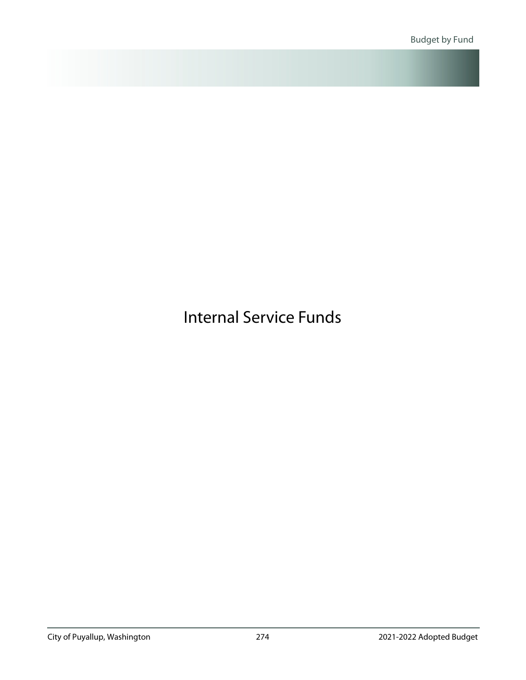<span id="page-60-0"></span>Internal Service Funds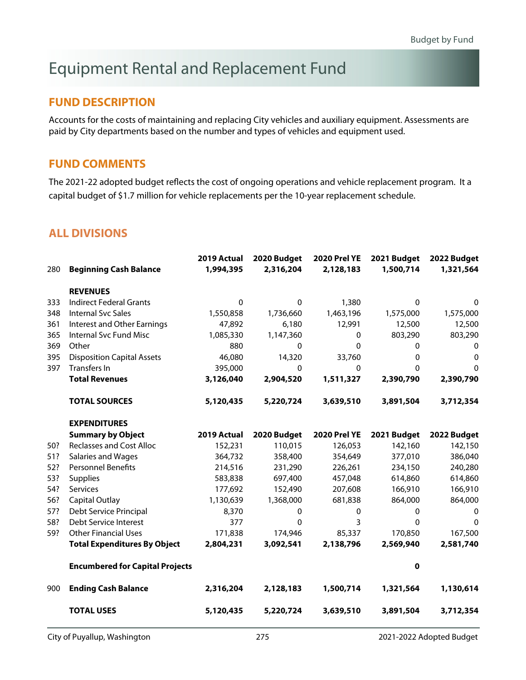# Equipment Rental and Replacement Fund

#### **FUND DESCRIPTION**

Accounts for the costs of maintaining and replacing City vehicles and auxiliary equipment. Assessments are paid by City departments based on the number and types of vehicles and equipment used.

#### **FUND COMMENTS**

The 2021-22 adopted budget reflects the cost of ongoing operations and vehicle replacement program. It a capital budget of \$1.7 million for vehicle replacements per the 10-year replacement schedule.

|     |                                        | 2019 Actual | 2020 Budget | <b>2020 Prel YE</b> | 2021 Budget  | 2022 Budget  |
|-----|----------------------------------------|-------------|-------------|---------------------|--------------|--------------|
| 280 | <b>Beginning Cash Balance</b>          | 1,994,395   | 2,316,204   | 2,128,183           | 1,500,714    | 1,321,564    |
|     | <b>REVENUES</b>                        |             |             |                     |              |              |
| 333 | <b>Indirect Federal Grants</b>         | $\Omega$    | $\Omega$    | 1,380               | 0            | 0            |
| 348 | <b>Internal Svc Sales</b>              | 1,550,858   | 1,736,660   | 1,463,196           | 1,575,000    | 1,575,000    |
| 361 | <b>Interest and Other Earnings</b>     | 47,892      | 6,180       | 12,991              | 12,500       | 12,500       |
| 365 | Internal Svc Fund Misc                 | 1,085,330   | 1,147,360   | $\mathbf{0}$        | 803,290      | 803,290      |
| 369 | Other                                  | 880         | 0           | 0                   | $\mathbf 0$  | 0            |
| 395 | <b>Disposition Capital Assets</b>      | 46,080      | 14,320      | 33,760              | 0            | $\mathbf 0$  |
| 397 | Transfers In                           | 395,000     | $\Omega$    | $\mathbf 0$         | $\mathbf{0}$ | $\mathbf{0}$ |
|     | <b>Total Revenues</b>                  | 3,126,040   | 2,904,520   | 1,511,327           | 2,390,790    | 2,390,790    |
|     | <b>TOTAL SOURCES</b>                   | 5,120,435   | 5,220,724   | 3,639,510           | 3,891,504    | 3,712,354    |
|     | <b>EXPENDITURES</b>                    |             |             |                     |              |              |
|     | <b>Summary by Object</b>               | 2019 Actual | 2020 Budget | <b>2020 Prel YE</b> | 2021 Budget  | 2022 Budget  |
| 50? | <b>Reclasses and Cost Alloc</b>        | 152,231     | 110,015     | 126,053             | 142,160      | 142,150      |
| 51? | Salaries and Wages                     | 364,732     | 358,400     | 354,649             | 377,010      | 386,040      |
| 52? | <b>Personnel Benefits</b>              | 214,516     | 231,290     | 226,261             | 234,150      | 240,280      |
| 53? | <b>Supplies</b>                        | 583,838     | 697,400     | 457,048             | 614,860      | 614,860      |
| 54? | <b>Services</b>                        | 177,692     | 152,490     | 207,608             | 166,910      | 166,910      |
| 56? | <b>Capital Outlay</b>                  | 1,130,639   | 1,368,000   | 681,838             | 864,000      | 864,000      |
| 57? | Debt Service Principal                 | 8,370       | 0           | 0                   | 0            | 0            |
| 58? | Debt Service Interest                  | 377         | 0           | 3                   | $\mathbf 0$  | $\mathbf 0$  |
| 59? | <b>Other Financial Uses</b>            | 171,838     | 174,946     | 85,337              | 170,850      | 167,500      |
|     | <b>Total Expenditures By Object</b>    | 2,804,231   | 3,092,541   | 2,138,796           | 2,569,940    | 2,581,740    |
|     | <b>Encumbered for Capital Projects</b> |             |             |                     | 0            |              |
| 900 | <b>Ending Cash Balance</b>             | 2,316,204   | 2,128,183   | 1,500,714           | 1,321,564    | 1,130,614    |
|     | <b>TOTAL USES</b>                      | 5,120,435   | 5,220,724   | 3,639,510           | 3,891,504    | 3,712,354    |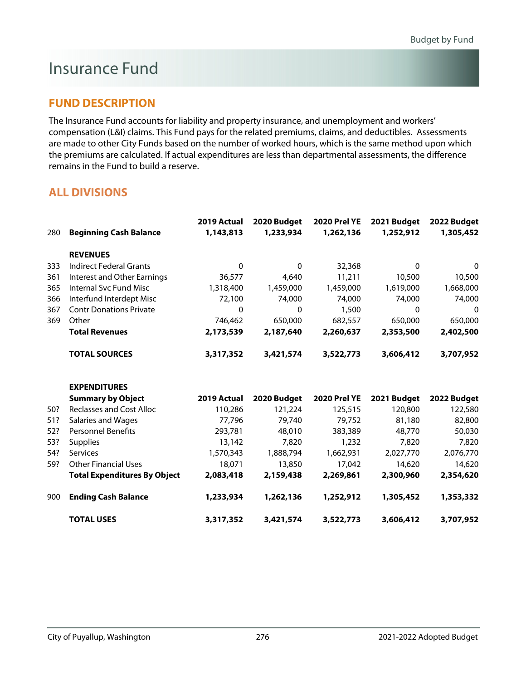### Insurance Fund

### **FUND DESCRIPTION**

The Insurance Fund accounts for liability and property insurance, and unemployment and workers' compensation (L&I) claims. This Fund pays for the related premiums, claims, and deductibles. Assessments are made to other City Funds based on the number of worked hours, which is the same method upon which the premiums are calculated. If actual expenditures are less than departmental assessments, the difference remains in the Fund to build a reserve.

|     |                                     | 2019 Actual  | 2020 Budget  | <b>2020 Prel YE</b> | 2021 Budget | 2022 Budget |
|-----|-------------------------------------|--------------|--------------|---------------------|-------------|-------------|
| 280 | <b>Beginning Cash Balance</b>       | 1,143,813    | 1,233,934    | 1,262,136           | 1,252,912   | 1,305,452   |
|     | <b>REVENUES</b>                     |              |              |                     |             |             |
| 333 | <b>Indirect Federal Grants</b>      | $\mathbf{0}$ | $\Omega$     | 32,368              | $\mathbf 0$ | 0           |
| 361 | Interest and Other Earnings         | 36,577       | 4,640        | 11,211              | 10,500      | 10,500      |
| 365 | <b>Internal Svc Fund Misc</b>       | 1,318,400    | 1,459,000    | 1,459,000           | 1,619,000   | 1,668,000   |
| 366 | Interfund Interdept Misc            | 72,100       | 74,000       | 74,000              | 74,000      | 74,000      |
| 367 | <b>Contr Donations Private</b>      | 0            | $\mathbf{0}$ | 1,500               | 0           | 0           |
| 369 | Other                               | 746,462      | 650,000      | 682,557             | 650,000     | 650,000     |
|     | <b>Total Revenues</b>               | 2,173,539    | 2,187,640    | 2,260,637           | 2,353,500   | 2,402,500   |
|     | <b>TOTAL SOURCES</b>                | 3,317,352    | 3,421,574    | 3,522,773           | 3,606,412   | 3,707,952   |
|     | <b>EXPENDITURES</b>                 |              |              |                     |             |             |
|     | <b>Summary by Object</b>            | 2019 Actual  | 2020 Budget  | <b>2020 Prel YE</b> | 2021 Budget | 2022 Budget |
| 50? | <b>Reclasses and Cost Alloc</b>     | 110,286      | 121,224      | 125,515             | 120,800     | 122,580     |
| 51? | Salaries and Wages                  | 77,796       | 79,740       | 79,752              | 81,180      | 82,800      |
| 52? | <b>Personnel Benefits</b>           | 293,781      | 48,010       | 383,389             | 48,770      | 50,030      |
| 53? | <b>Supplies</b>                     | 13,142       | 7,820        | 1,232               | 7,820       | 7,820       |
| 54? | Services                            | 1,570,343    | 1,888,794    | 1,662,931           | 2,027,770   | 2,076,770   |
| 59? | <b>Other Financial Uses</b>         | 18,071       | 13,850       | 17,042              | 14,620      | 14,620      |
|     | <b>Total Expenditures By Object</b> | 2,083,418    | 2,159,438    | 2,269,861           | 2,300,960   | 2,354,620   |
| 900 | <b>Ending Cash Balance</b>          | 1,233,934    | 1,262,136    | 1,252,912           | 1,305,452   | 1,353,332   |
|     | <b>TOTAL USES</b>                   | 3,317,352    | 3,421,574    | 3,522,773           | 3,606,412   | 3,707,952   |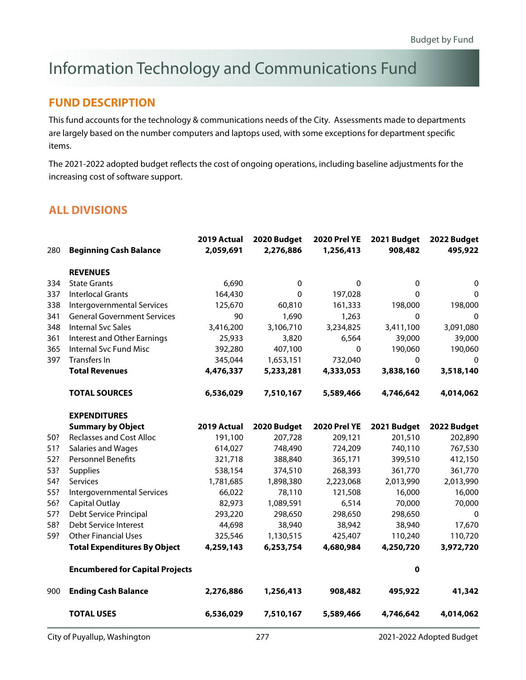# Information Technology and Communications Fund

#### **FUND DESCRIPTION**

This fund accounts for the technology & communications needs of the City. Assessments made to departments are largely based on the number computers and laptops used, with some exceptions for department specific items.

The 2021-2022 adopted budget reflects the cost of ongoing operations, including baseline adjustments for the increasing cost of software support.

| 280 | <b>Beginning Cash Balance</b>          | 2019 Actual<br>2,059,691 | 2020 Budget<br>2,276,886 | <b>2020 Prel YE</b><br>1,256,413 | 2021 Budget<br>908,482 | 2022 Budget<br>495,922 |
|-----|----------------------------------------|--------------------------|--------------------------|----------------------------------|------------------------|------------------------|
|     | <b>REVENUES</b>                        |                          |                          |                                  |                        |                        |
| 334 | <b>State Grants</b>                    | 6,690                    | 0                        | 0                                | 0                      | 0                      |
| 337 | <b>Interlocal Grants</b>               | 164,430                  | $\Omega$                 | 197,028                          | 0                      | 0                      |
| 338 | Intergovernmental Services             | 125,670                  | 60,810                   | 161,333                          | 198,000                | 198,000                |
| 341 | <b>General Government Services</b>     | 90                       | 1,690                    | 1,263                            | $\Omega$               | 0                      |
| 348 | <b>Internal Svc Sales</b>              | 3,416,200                | 3,106,710                | 3,234,825                        | 3,411,100              | 3,091,080              |
| 361 | <b>Interest and Other Earnings</b>     | 25,933                   | 3,820                    | 6,564                            | 39,000                 | 39,000                 |
| 365 | Internal Svc Fund Misc                 | 392,280                  | 407,100                  | $\mathbf 0$                      | 190,060                | 190,060                |
| 397 | Transfers In                           | 345,044                  | 1,653,151                | 732,040                          | 0                      | 0                      |
|     | <b>Total Revenues</b>                  | 4,476,337                | 5,233,281                | 4,333,053                        | 3,838,160              | 3,518,140              |
|     | <b>TOTAL SOURCES</b>                   | 6,536,029                | 7,510,167                | 5,589,466                        | 4,746,642              | 4,014,062              |
|     | <b>EXPENDITURES</b>                    |                          |                          |                                  |                        |                        |
|     | <b>Summary by Object</b>               | 2019 Actual              | 2020 Budget              | <b>2020 Prel YE</b>              | 2021 Budget            | 2022 Budget            |
| 50? | <b>Reclasses and Cost Alloc</b>        | 191,100                  | 207,728                  | 209,121                          | 201,510                | 202,890                |
| 51? | Salaries and Wages                     | 614,027                  | 748,490                  | 724,209                          | 740,110                | 767,530                |
| 52? | Personnel Benefits                     | 321,718                  | 388,840                  | 365,171                          | 399,510                | 412,150                |
| 53? | Supplies                               | 538,154                  | 374,510                  | 268,393                          | 361,770                | 361,770                |
| 54? | Services                               | 1,781,685                | 1,898,380                | 2,223,068                        | 2,013,990              | 2,013,990              |
| 55? | Intergovernmental Services             | 66,022                   | 78,110                   | 121,508                          | 16,000                 | 16,000                 |
| 56? | Capital Outlay                         | 82,973                   | 1,089,591                | 6,514                            | 70,000                 | 70,000                 |
| 57? | Debt Service Principal                 | 293,220                  | 298,650                  | 298,650                          | 298,650                | $\Omega$               |
| 58? | Debt Service Interest                  | 44,698                   | 38,940                   | 38,942                           | 38,940                 | 17,670                 |
| 59? | <b>Other Financial Uses</b>            | 325,546                  | 1,130,515                | 425,407                          | 110,240                | 110,720                |
|     | <b>Total Expenditures By Object</b>    | 4,259,143                | 6,253,754                | 4,680,984                        | 4,250,720              | 3,972,720              |
|     | <b>Encumbered for Capital Projects</b> |                          |                          |                                  | $\mathbf 0$            |                        |
| 900 | <b>Ending Cash Balance</b>             | 2,276,886                | 1,256,413                | 908,482                          | 495,922                | 41,342                 |
|     | <b>TOTAL USES</b>                      | 6,536,029                | 7,510,167                | 5,589,466                        | 4,746,642              | 4,014,062              |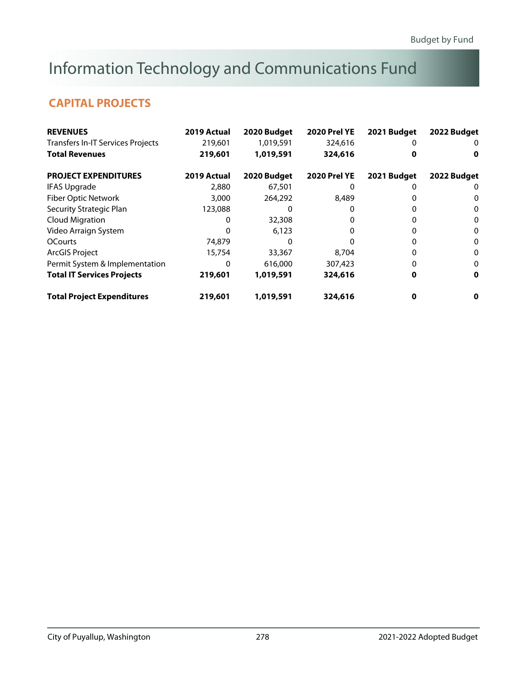# Information Technology and Communications Fund

### **CAPITAL PROJECTS**

| <b>REVENUES</b>                          | 2019 Actual | 2020 Budget | <b>2020 Prel YE</b> | 2021 Budget | 2022 Budget |
|------------------------------------------|-------------|-------------|---------------------|-------------|-------------|
| <b>Transfers In-IT Services Projects</b> | 219,601     | 1,019,591   | 324,616             |             | O           |
| <b>Total Revenues</b>                    | 219,601     | 1,019,591   | 324,616             | o           | 0           |
| <b>PROJECT EXPENDITURES</b>              | 2019 Actual | 2020 Budget | <b>2020 Prel YE</b> | 2021 Budget | 2022 Budget |
| <b>IFAS Upgrade</b>                      | 2,880       | 67,501      | O                   |             | 0           |
| <b>Fiber Optic Network</b>               | 3,000       | 264,292     | 8,489               |             | 0           |
| Security Strategic Plan                  | 123,088     |             |                     |             | 0           |
| <b>Cloud Migration</b>                   |             | 32,308      | 0                   |             | 0           |
| Video Arraign System                     | O           | 6,123       | 0                   |             | 0           |
| <b>OCourts</b>                           | 74,879      |             |                     |             | 0           |
| <b>ArcGIS Project</b>                    | 15,754      | 33,367      | 8,704               |             | 0           |
| Permit System & Implementation           | 0           | 616,000     | 307,423             |             | 0           |
| <b>Total IT Services Projects</b>        | 219,601     | 1,019,591   | 324,616             |             | 0           |
| <b>Total Project Expenditures</b>        | 219,601     | 1,019,591   | 324,616             | 0           | 0           |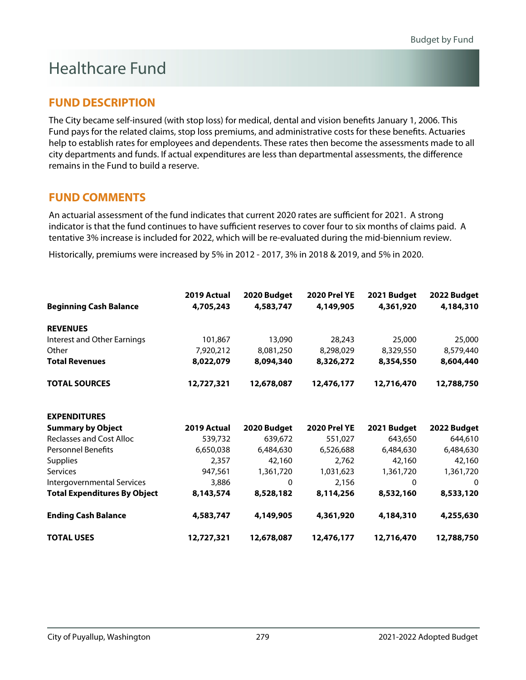# Healthcare Fund

### **FUND DESCRIPTION**

The City became self-insured (with stop loss) for medical, dental and vision benefits January 1, 2006. This Fund pays for the related claims, stop loss premiums, and administrative costs for these benefits. Actuaries help to establish rates for employees and dependents. These rates then become the assessments made to all city departments and funds. If actual expenditures are less than departmental assessments, the difference remains in the Fund to build a reserve.

### **FUND COMMENTS**

An actuarial assessment of the fund indicates that current 2020 rates are sufficient for 2021. A strong indicator is that the fund continues to have sufficient reserves to cover four to six months of claims paid. A tentative 3% increase is included for 2022, which will be re-evaluated during the mid-biennium review.

Historically, premiums were increased by 5% in 2012 - 2017, 3% in 2018 & 2019, and 5% in 2020.

|                                     | 2019 Actual | 2020 Budget  | <b>2020 Prel YE</b> | 2021 Budget | 2022 Budget |
|-------------------------------------|-------------|--------------|---------------------|-------------|-------------|
| <b>Beginning Cash Balance</b>       | 4,705,243   | 4,583,747    | 4,149,905           | 4,361,920   | 4,184,310   |
| <b>REVENUES</b>                     |             |              |                     |             |             |
| Interest and Other Earnings         | 101,867     | 13,090       | 28,243              | 25,000      | 25,000      |
| Other                               | 7,920,212   | 8,081,250    | 8,298,029           | 8,329,550   | 8,579,440   |
| <b>Total Revenues</b>               | 8,022,079   | 8,094,340    | 8,326,272           | 8,354,550   | 8,604,440   |
| <b>TOTAL SOURCES</b>                | 12,727,321  | 12,678,087   | 12,476,177          | 12,716,470  | 12,788,750  |
| <b>EXPENDITURES</b>                 |             |              |                     |             |             |
| <b>Summary by Object</b>            | 2019 Actual | 2020 Budget  | <b>2020 Prel YE</b> | 2021 Budget | 2022 Budget |
| <b>Reclasses and Cost Alloc</b>     | 539,732     | 639,672      | 551,027             | 643,650     | 644,610     |
| <b>Personnel Benefits</b>           | 6,650,038   | 6,484,630    | 6,526,688           | 6,484,630   | 6,484,630   |
| Supplies                            | 2,357       | 42,160       | 2,762               | 42,160      | 42,160      |
| Services                            | 947,561     | 1,361,720    | 1,031,623           | 1,361,720   | 1,361,720   |
| Intergovernmental Services          | 3,886       | $\mathbf{0}$ | 2,156               | $\Omega$    | $\Omega$    |
| <b>Total Expenditures By Object</b> | 8,143,574   | 8,528,182    | 8,114,256           | 8,532,160   | 8,533,120   |
| <b>Ending Cash Balance</b>          | 4,583,747   | 4,149,905    | 4,361,920           | 4,184,310   | 4,255,630   |
| <b>TOTAL USES</b>                   | 12,727,321  | 12,678,087   | 12,476,177          | 12,716,470  | 12,788,750  |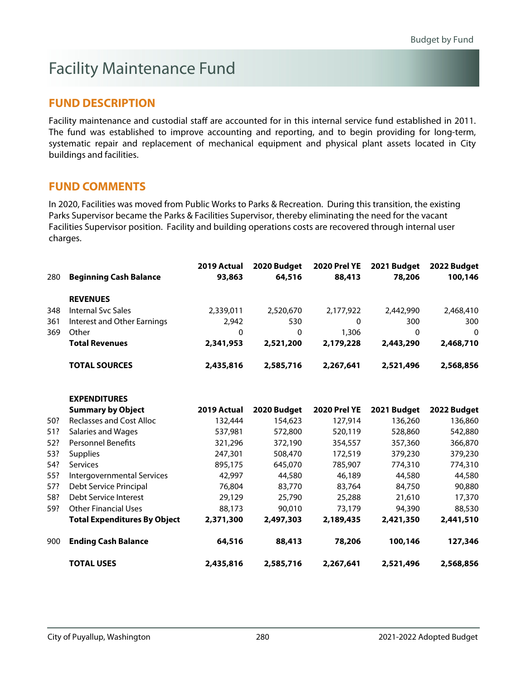# Facility Maintenance Fund

### **FUND DESCRIPTION**

Facility maintenance and custodial staff are accounted for in this internal service fund established in 2011. The fund was established to improve accounting and reporting, and to begin providing for long-term, systematic repair and replacement of mechanical equipment and physical plant assets located in City buildings and facilities.

### **FUND COMMENTS**

In 2020, Facilities was moved from Public Works to Parks & Recreation. During this transition, the existing Parks Supervisor became the Parks & Facilities Supervisor, thereby eliminating the need for the vacant Facilities Supervisor position. Facility and building operations costs are recovered through internal user charges.

|     |                                     | 2019 Actual | 2020 Budget | <b>2020 Prel YE</b> | 2021 Budget | 2022 Budget  |
|-----|-------------------------------------|-------------|-------------|---------------------|-------------|--------------|
| 280 | <b>Beginning Cash Balance</b>       | 93,863      | 64,516      | 88,413              | 78,206      | 100,146      |
|     | <b>REVENUES</b>                     |             |             |                     |             |              |
| 348 | <b>Internal Svc Sales</b>           | 2,339,011   | 2,520,670   | 2,177,922           | 2,442,990   | 2,468,410    |
| 361 | Interest and Other Earnings         | 2,942       | 530         | $\mathbf 0$         | 300         | 300          |
| 369 | Other                               | 0           | $\mathbf 0$ | 1,306               | $\mathbf 0$ | $\mathbf{0}$ |
|     | <b>Total Revenues</b>               | 2,341,953   | 2,521,200   | 2,179,228           | 2,443,290   | 2,468,710    |
|     | <b>TOTAL SOURCES</b>                | 2,435,816   | 2,585,716   | 2,267,641           | 2,521,496   | 2,568,856    |
|     | <b>EXPENDITURES</b>                 |             |             |                     |             |              |
|     | <b>Summary by Object</b>            | 2019 Actual | 2020 Budget | <b>2020 Prel YE</b> | 2021 Budget | 2022 Budget  |
| 50? | <b>Reclasses and Cost Alloc</b>     | 132,444     | 154,623     | 127,914             | 136,260     | 136,860      |
| 51? | <b>Salaries and Wages</b>           | 537,981     | 572,800     | 520,119             | 528,860     | 542,880      |
| 52? | <b>Personnel Benefits</b>           | 321,296     | 372,190     | 354,557             | 357,360     | 366,870      |
| 53? | <b>Supplies</b>                     | 247,301     | 508,470     | 172,519             | 379,230     | 379,230      |
| 54? | <b>Services</b>                     | 895,175     | 645,070     | 785,907             | 774,310     | 774,310      |
| 55? | Intergovernmental Services          | 42,997      | 44,580      | 46,189              | 44,580      | 44,580       |
| 57? | Debt Service Principal              | 76,804      | 83,770      | 83,764              | 84,750      | 90,880       |
| 58? | Debt Service Interest               | 29,129      | 25,790      | 25,288              | 21,610      | 17,370       |
| 59? | <b>Other Financial Uses</b>         | 88,173      | 90,010      | 73,179              | 94,390      | 88,530       |
|     | <b>Total Expenditures By Object</b> | 2,371,300   | 2,497,303   | 2,189,435           | 2,421,350   | 2,441,510    |
| 900 | <b>Ending Cash Balance</b>          | 64,516      | 88,413      | 78,206              | 100,146     | 127,346      |
|     | <b>TOTAL USES</b>                   | 2,435,816   | 2,585,716   | 2,267,641           | 2,521,496   | 2,568,856    |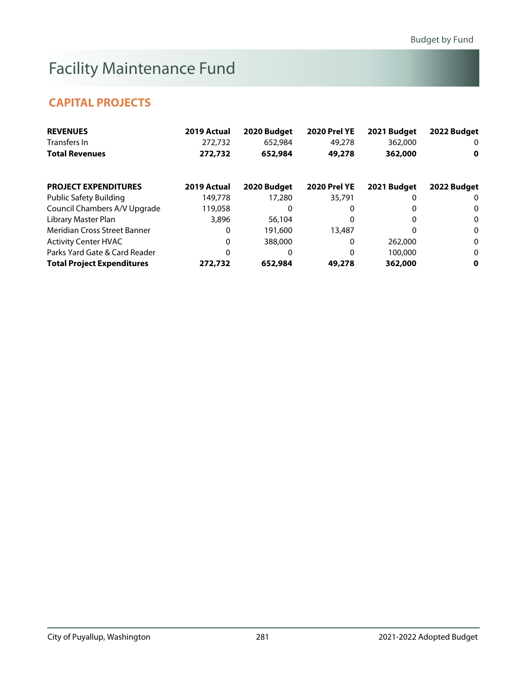# Facility Maintenance Fund

### **CAPITAL PROJECTS**

| <b>REVENUES</b>                   | 2019 Actual | 2020 Budget | <b>2020 Prel YE</b> | 2021 Budget | 2022 Budget  |
|-----------------------------------|-------------|-------------|---------------------|-------------|--------------|
| Transfers In                      | 272,732     | 652,984     | 49,278              | 362,000     | 0            |
| <b>Total Revenues</b>             | 272,732     | 652,984     | 49,278              | 362,000     | 0            |
| <b>PROJECT EXPENDITURES</b>       | 2019 Actual | 2020 Budget | <b>2020 Prel YE</b> | 2021 Budget | 2022 Budget  |
| <b>Public Safety Building</b>     | 149,778     | 17,280      | 35,791              |             | 0            |
| Council Chambers A/V Upgrade      | 119,058     | O           | 0                   |             | 0            |
| Library Master Plan               | 3,896       | 56,104      | 0                   | 0           | $\mathbf{0}$ |
| Meridian Cross Street Banner      | 0           | 191,600     | 13,487              | 0           | $\bf{0}$     |
| <b>Activity Center HVAC</b>       | 0           | 388,000     | 0                   | 262,000     | $\mathbf{0}$ |
| Parks Yard Gate & Card Reader     | 0           | 0           | 0                   | 100,000     | $\mathbf{0}$ |
| <b>Total Project Expenditures</b> | 272,732     | 652,984     | 49,278              | 362,000     | 0            |